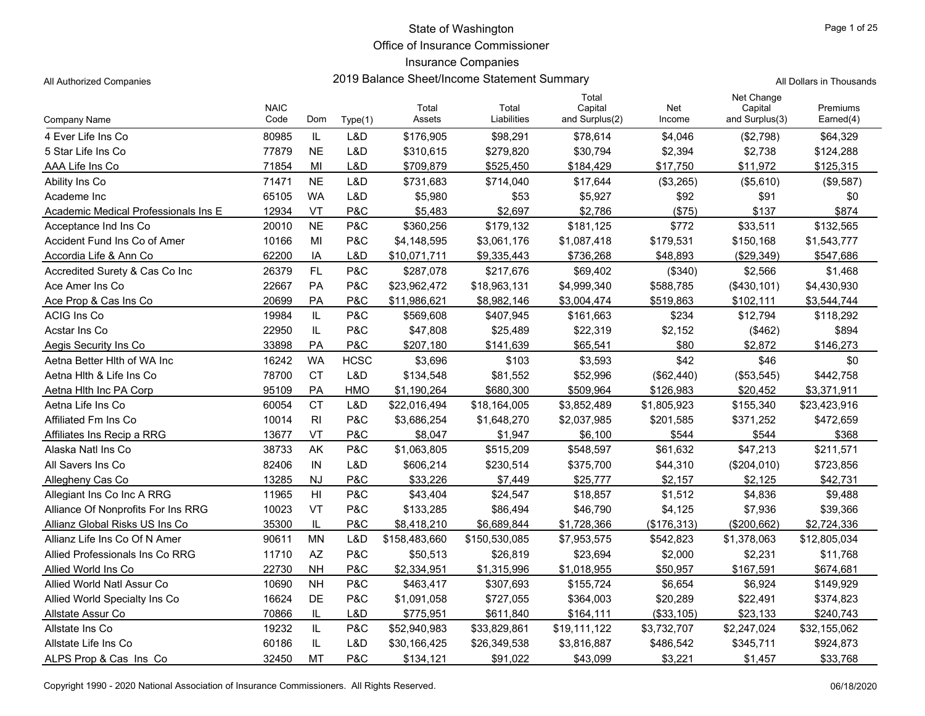Office of Insurance Commissioner

### Insurance Companies

All Authorized Companies **2019 Balance Sheet/Income Statement Summary** All Authorized Companies

|  | Il Dollars in Thousands. |
|--|--------------------------|

|                                      | <b>NAIC</b> |                |             | Total         | Total         | Total<br>Capital | Net         | Net Change<br>Capital | Premiums     |
|--------------------------------------|-------------|----------------|-------------|---------------|---------------|------------------|-------------|-----------------------|--------------|
| Company Name                         | Code        | Dom            | Type(1)     | Assets        | Liabilities   | and Surplus(2)   | Income      | and Surplus(3)        | Earned(4)    |
| 4 Ever Life Ins Co                   | 80985       | IL             | L&D         | \$176,905     | \$98,291      | \$78,614         | \$4,046     | (\$2,798)             | \$64,329     |
| 5 Star Life Ins Co                   | 77879       | <b>NE</b>      | L&D         | \$310,615     | \$279,820     | \$30.794         | \$2,394     | \$2,738               | \$124,288    |
| AAA Life Ins Co                      | 71854       | MI             | L&D         | \$709,879     | \$525,450     | \$184,429        | \$17,750    | \$11,972              | \$125,315    |
| Ability Ins Co                       | 71471       | <b>NE</b>      | L&D         | \$731,683     | \$714,040     | \$17,644         | (\$3,265)   | (\$5,610)             | (\$9,587)    |
| Academe Inc                          | 65105       | <b>WA</b>      | L&D         | \$5,980       | \$53          | \$5,927          | \$92        | \$91                  | \$0          |
| Academic Medical Professionals Ins E | 12934       | VT             | P&C         | \$5,483       | \$2,697       | \$2.786          | (\$75)      | \$137                 | \$874        |
| Acceptance Ind Ins Co                | 20010       | <b>NE</b>      | P&C         | \$360,256     | \$179,132     | \$181,125        | \$772       | \$33,511              | \$132,565    |
| Accident Fund Ins Co of Amer         | 10166       | MI             | P&C         | \$4,148,595   | \$3,061,176   | \$1,087,418      | \$179,531   | \$150,168             | \$1,543,777  |
| Accordia Life & Ann Co               | 62200       | IA             | L&D         | \$10,071,711  | \$9,335,443   | \$736,268        | \$48,893    | (\$29,349)            | \$547,686    |
| Accredited Surety & Cas Co Inc       | 26379       | FL             | P&C         | \$287,078     | \$217,676     | \$69,402         | (\$340)     | \$2,566               | \$1,468      |
| Ace Amer Ins Co                      | 22667       | PA             | P&C         | \$23,962,472  | \$18,963,131  | \$4,999,340      | \$588,785   | (\$430,101)           | \$4,430,930  |
| Ace Prop & Cas Ins Co                | 20699       | PA             | P&C         | \$11,986,621  | \$8,982,146   | \$3,004,474      | \$519,863   | \$102,111             | \$3,544,744  |
| <b>ACIG Ins Co</b>                   | 19984       | IL             | P&C         | \$569,608     | \$407,945     | \$161,663        | \$234       | \$12,794              | \$118,292    |
| Acstar Ins Co                        | 22950       | IL             | P&C         | \$47,808      | \$25,489      | \$22,319         | \$2,152     | (\$462)               | \$894        |
| Aegis Security Ins Co                | 33898       | PA             | P&C         | \$207,180     | \$141,639     | \$65,541         | \$80        | \$2,872               | \$146,273    |
| Aetna Better Hith of WA Inc          | 16242       | <b>WA</b>      | <b>HCSC</b> | \$3,696       | \$103         | \$3,593          | \$42        | \$46                  | \$0          |
| Aetna Hith & Life Ins Co             | 78700       | <b>CT</b>      | L&D         | \$134,548     | \$81,552      | \$52,996         | (\$62,440)  | (\$53,545)            | \$442,758    |
| Aetna Hith Inc PA Corp               | 95109       | PA             | <b>HMO</b>  | \$1,190,264   | \$680,300     | \$509,964        | \$126,983   | \$20,452              | \$3,371,911  |
| Aetna Life Ins Co                    | 60054       | <b>CT</b>      | L&D         | \$22,016,494  | \$18,164,005  | \$3,852,489      | \$1,805,923 | \$155,340             | \$23,423,916 |
| Affiliated Fm Ins Co                 | 10014       | R <sub>l</sub> | P&C         | \$3,686,254   | \$1,648,270   | \$2,037,985      | \$201,585   | \$371,252             | \$472,659    |
| Affiliates Ins Recip a RRG           | 13677       | VT             | P&C         | \$8,047       | \$1,947       | \$6,100          | \$544       | \$544                 | \$368        |
| Alaska Natl Ins Co                   | 38733       | AK             | P&C         | \$1,063,805   | \$515,209     | \$548,597        | \$61,632    | \$47,213              | \$211,571    |
| All Savers Ins Co                    | 82406       | IN             | L&D         | \$606,214     | \$230,514     | \$375,700        | \$44,310    | (\$204,010)           | \$723,856    |
| Allegheny Cas Co                     | 13285       | <b>NJ</b>      | P&C         | \$33,226      | \$7,449       | \$25,777         | \$2,157     | \$2,125               | \$42,731     |
| Allegiant Ins Co Inc A RRG           | 11965       | H <sub>l</sub> | P&C         | \$43,404      | \$24,547      | \$18,857         | \$1,512     | \$4,836               | \$9,488      |
| Alliance Of Nonprofits For Ins RRG   | 10023       | VT             | P&C         | \$133,285     | \$86,494      | \$46,790         | \$4,125     | \$7,936               | \$39,366     |
| Allianz Global Risks US Ins Co       | 35300       | IL             | P&C         | \$8,418,210   | \$6,689,844   | \$1,728,366      | (\$176,313) | (\$200,662)           | \$2,724,336  |
| Allianz Life Ins Co Of N Amer        | 90611       | <b>MN</b>      | L&D         | \$158,483,660 | \$150,530,085 | \$7,953,575      | \$542,823   | \$1,378,063           | \$12,805,034 |
| Allied Professionals Ins Co RRG      | 11710       | AZ             | P&C         | \$50,513      | \$26,819      | \$23,694         | \$2,000     | \$2,231               | \$11,768     |
| Allied World Ins Co.                 | 22730       | <b>NH</b>      | P&C         | \$2,334,951   | \$1,315,996   | \$1,018,955      | \$50,957    | \$167,591             | \$674,681    |
| Allied World Natl Assur Co.          | 10690       | <b>NH</b>      | P&C         | \$463,417     | \$307,693     | \$155,724        | \$6,654     | \$6,924               | \$149,929    |
| Allied World Specialty Ins Co        | 16624       | <b>DE</b>      | P&C         | \$1,091,058   | \$727,055     | \$364,003        | \$20,289    | \$22,491              | \$374,823    |
| Allstate Assur Co                    | 70866       | IL             | L&D         | \$775,951     | \$611,840     | \$164,111        | (\$33,105)  | \$23,133              | \$240,743    |
| Allstate Ins Co                      | 19232       | IL             | P&C         | \$52,940,983  | \$33,829,861  | \$19,111,122     | \$3,732,707 | \$2,247,024           | \$32,155,062 |
| Allstate Life Ins Co                 | 60186       | IL             | L&D         | \$30,166,425  | \$26,349,538  | \$3,816,887      | \$486,542   | \$345,711             | \$924,873    |
| ALPS Prop & Cas Ins Co               | 32450       | <b>MT</b>      | P&C         | \$134,121     | \$91,022      | \$43,099         | \$3,221     | \$1,457               | \$33,768     |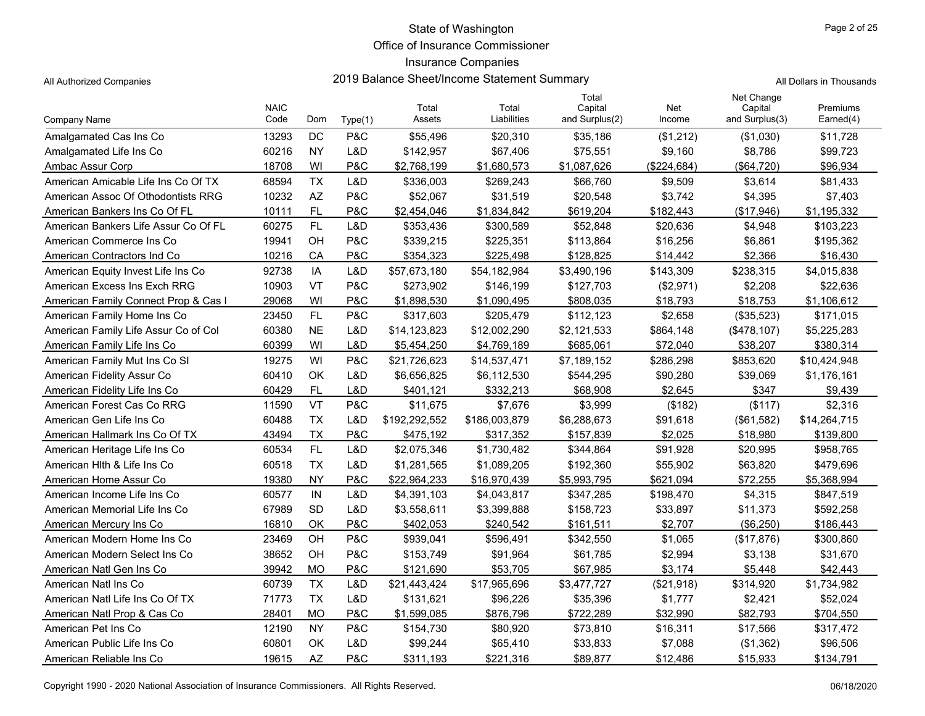Office of Insurance Commissioner

## Insurance Companies

All Authorized Companies 2019 Balance Sheet/Income Statement Summary

|  |  | All Dollars in Thousands |
|--|--|--------------------------|
|--|--|--------------------------|

|                                      | <b>NAIC</b> |           |                | Total         | Total         | Total<br>Capital | Net         | Net Change<br>Capital | Premiums     |
|--------------------------------------|-------------|-----------|----------------|---------------|---------------|------------------|-------------|-----------------------|--------------|
| Company Name                         | Code        | Dom       | Type(1)        | Assets        | Liabilities   | and Surplus(2)   | Income      | and Surplus(3)        | Earned(4)    |
| Amalgamated Cas Ins Co               | 13293       | DC        | P&C            | \$55,496      | \$20,310      | \$35,186         | (\$1,212)   | (\$1,030)             | \$11,728     |
| Amalgamated Life Ins Co              | 60216       | <b>NY</b> | L&D            | \$142,957     | \$67,406      | \$75,551         | \$9,160     | \$8,786               | \$99,723     |
| Ambac Assur Corp                     | 18708       | WI        | P&C            | \$2,768,199   | \$1,680,573   | \$1,087,626      | (\$224,684) | (\$64,720)            | \$96,934     |
| American Amicable Life Ins Co Of TX  | 68594       | <b>TX</b> | L&D            | \$336,003     | \$269,243     | \$66,760         | \$9,509     | \$3,614               | \$81,433     |
| American Assoc Of Othodontists RRG   | 10232       | AZ        | P&C            | \$52,067      | \$31,519      | \$20,548         | \$3.742     | \$4,395               | \$7,403      |
| American Bankers Ins Co Of FL        | 10111       | <b>FL</b> | P&C            | \$2,454,046   | \$1,834,842   | \$619,204        | \$182.443   | (\$17.946)            | \$1,195,332  |
| American Bankers Life Assur Co Of FL | 60275       | <b>FL</b> | L&D            | \$353,436     | \$300,589     | \$52,848         | \$20,636    | \$4,948               | \$103,223    |
| American Commerce Ins Co             | 19941       | OH        | P&C            | \$339,215     | \$225,351     | \$113,864        | \$16,256    | \$6,861               | \$195,362    |
| American Contractors Ind Co          | 10216       | CA        | P&C            | \$354,323     | \$225,498     | \$128,825        | \$14,442    | \$2,366               | \$16,430     |
| American Equity Invest Life Ins Co   | 92738       | IA        | L&D            | \$57,673,180  | \$54,182,984  | \$3,490,196      | \$143,309   | \$238,315             | \$4,015,838  |
| American Excess Ins Exch RRG         | 10903       | VT        | P&C            | \$273,902     | \$146,199     | \$127,703        | (\$2,971)   | \$2,208               | \$22,636     |
| American Family Connect Prop & Cas I | 29068       | WI        | <b>P&amp;C</b> | \$1,898,530   | \$1,090,495   | \$808,035        | \$18,793    | \$18,753              | \$1,106,612  |
| American Family Home Ins Co          | 23450       | <b>FL</b> | P&C            | \$317,603     | \$205,479     | \$112,123        | \$2,658     | (\$35,523)            | \$171,015    |
| American Family Life Assur Co of Col | 60380       | <b>NE</b> | L&D            | \$14,123,823  | \$12,002,290  | \$2,121,533      | \$864,148   | (\$478, 107)          | \$5,225,283  |
| American Family Life Ins Co          | 60399       | WI        | L&D            | \$5,454,250   | \$4,769,189   | \$685,061        | \$72,040    | \$38,207              | \$380,314    |
| American Family Mut Ins Co SI        | 19275       | WI        | P&C            | \$21,726,623  | \$14,537,471  | \$7,189,152      | \$286,298   | \$853,620             | \$10,424,948 |
| American Fidelity Assur Co           | 60410       | OK        | L&D            | \$6.656.825   | \$6,112,530   | \$544,295        | \$90,280    | \$39,069              | \$1,176,161  |
| American Fidelity Life Ins Co        | 60429       | FL        | L&D            | \$401,121     | \$332,213     | \$68,908         | \$2,645     | \$347                 | \$9,439      |
| American Forest Cas Co RRG           | 11590       | VT        | P&C            | \$11,675      | \$7,676       | \$3,999          | (\$182)     | (\$117)               | \$2,316      |
| American Gen Life Ins Co             | 60488       | <b>TX</b> | L&D            | \$192,292,552 | \$186,003,879 | \$6,288,673      | \$91,618    | (\$61,582)            | \$14,264,715 |
| American Hallmark Ins Co Of TX       | 43494       | <b>TX</b> | P&C            | \$475,192     | \$317,352     | \$157,839        | \$2.025     | \$18,980              | \$139,800    |
| American Heritage Life Ins Co        | 60534       | FL        | L&D            | \$2,075,346   | \$1,730,482   | \$344,864        | \$91,928    | \$20,995              | \$958,765    |
| American Hith & Life Ins Co          | 60518       | <b>TX</b> | L&D            | \$1,281,565   | \$1,089,205   | \$192,360        | \$55,902    | \$63,820              | \$479,696    |
| American Home Assur Co               | 19380       | <b>NY</b> | P&C            | \$22,964,233  | \$16,970,439  | \$5,993,795      | \$621,094   | \$72,255              | \$5,368,994  |
| American Income Life Ins Co          | 60577       | IN        | L&D            | \$4,391,103   | \$4,043,817   | \$347,285        | \$198,470   | \$4,315               | \$847,519    |
| American Memorial Life Ins Co        | 67989       | <b>SD</b> | L&D            | \$3,558,611   | \$3,399,888   | \$158,723        | \$33,897    | \$11,373              | \$592,258    |
| American Mercury Ins Co.             | 16810       | OK        | P&C            | \$402.053     | \$240,542     | \$161,511        | \$2.707     | (\$6,250)             | \$186,443    |
| American Modern Home Ins Co          | 23469       | OH        | P&C            | \$939,041     | \$596,491     | \$342,550        | \$1,065     | (\$17,876)            | \$300,860    |
| American Modern Select Ins Co        | 38652       | OH        | <b>P&amp;C</b> | \$153,749     | \$91,964      | \$61,785         | \$2,994     | \$3,138               | \$31,670     |
| American Natl Gen Ins Co             | 39942       | <b>MO</b> | P&C            | \$121,690     | \$53,705      | \$67,985         | \$3,174     | \$5,448               | \$42,443     |
| American Natl Ins Co                 | 60739       | <b>TX</b> | L&D            | \$21,443,424  | \$17,965,696  | \$3,477,727      | (\$21,918)  | \$314,920             | \$1,734,982  |
| American Natl Life Ins Co Of TX      | 71773       | <b>TX</b> | L&D            | \$131,621     | \$96,226      | \$35,396         | \$1,777     | \$2,421               | \$52,024     |
| American Natl Prop & Cas Co          | 28401       | <b>MO</b> | <b>P&amp;C</b> | \$1,599,085   | \$876,796     | \$722,289        | \$32,990    | \$82,793              | \$704,550    |
| American Pet Ins Co                  | 12190       | <b>NY</b> | P&C            | \$154,730     | \$80,920      | \$73,810         | \$16,311    | \$17,566              | \$317,472    |
| American Public Life Ins Co          | 60801       | OK        | L&D            | \$99,244      | \$65,410      | \$33,833         | \$7,088     | (\$1,362)             | \$96,506     |
| American Reliable Ins Co             | 19615       | <b>AZ</b> | P&C            | \$311.193     | \$221,316     | \$89,877         | \$12,486    | \$15,933              | \$134,791    |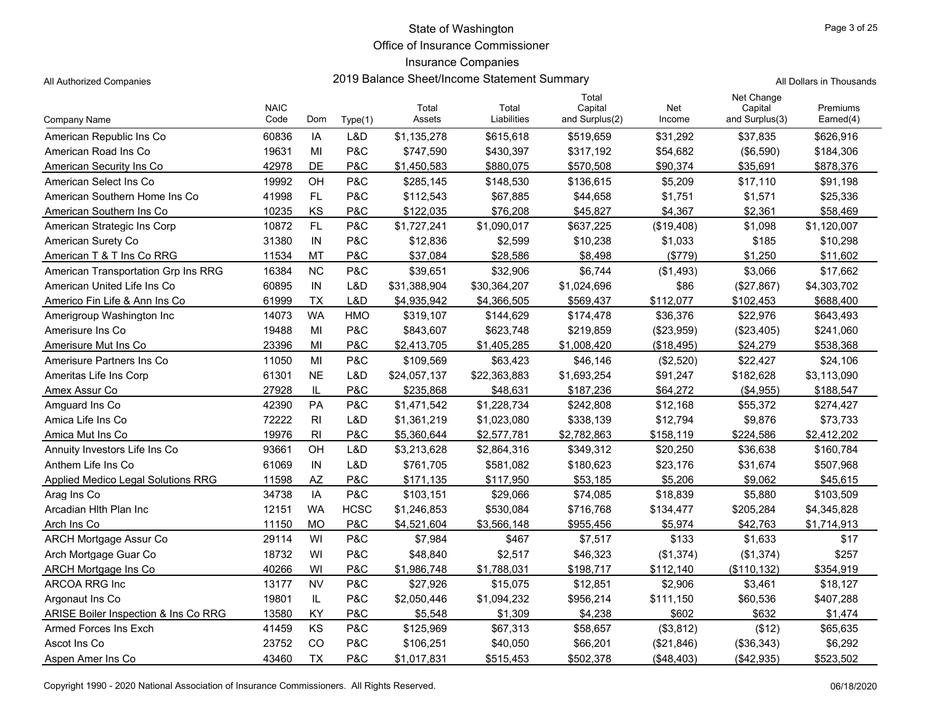Office of Insurance Commissioner

## Insurance Companies

All Authorized Companies **2019 Balance Sheet/Income Statement Summary** All Dollars in Thousands

|                                      | <b>NAIC</b> |                |             | Total        | Total        | Total<br>Capital | Net        | Net Change<br>Capital | Premiums    |
|--------------------------------------|-------------|----------------|-------------|--------------|--------------|------------------|------------|-----------------------|-------------|
| <b>Company Name</b>                  | Code        | Dom            | Type(1)     | Assets       | Liabilities  | and Surplus(2)   | Income     | and Surplus(3)        | Earned(4)   |
| American Republic Ins Co             | 60836       | IA             | L&D         | \$1,135,278  | \$615,618    | \$519,659        | \$31,292   | \$37,835              | \$626,916   |
| American Road Ins Co                 | 19631       | MI             | P&C         | \$747,590    | \$430,397    | \$317,192        | \$54,682   | (\$6,590)             | \$184,306   |
| American Security Ins Co             | 42978       | DE             | P&C         | \$1,450,583  | \$880,075    | \$570,508        | \$90.374   | \$35,691              | \$878,376   |
| American Select Ins Co               | 19992       | OH             | P&C         | \$285,145    | \$148,530    | \$136,615        | \$5,209    | \$17,110              | \$91,198    |
| American Southern Home Ins Co        | 41998       | <b>FL</b>      | P&C         | \$112,543    | \$67,885     | \$44,658         | \$1,751    | \$1,571               | \$25,336    |
| American Southern Ins Co             | 10235       | KS             | P&C         | \$122.035    | \$76.208     | \$45.827         | \$4.367    | \$2.361               | \$58,469    |
| American Strategic Ins Corp          | 10872       | <b>FL</b>      | P&C         | \$1,727,241  | \$1.090.017  | \$637,225        | (\$19,408) | \$1,098               | \$1,120,007 |
| American Surety Co                   | 31380       | IN             | P&C         | \$12,836     | \$2,599      | \$10,238         | \$1,033    | \$185                 | \$10,298    |
| American T & T Ins Co RRG            | 11534       | <b>MT</b>      | P&C         | \$37,084     | \$28,586     | \$8,498          | (\$779)    | \$1,250               | \$11,602    |
| American Transportation Grp Ins RRG  | 16384       | <b>NC</b>      | P&C         | \$39,651     | \$32,906     | \$6,744          | (\$1,493)  | \$3,066               | \$17,662    |
| American United Life Ins Co          | 60895       | IN             | L&D         | \$31,388,904 | \$30,364,207 | \$1,024,696      | \$86       | (\$27,867)            | \$4,303,702 |
| Americo Fin Life & Ann Ins Co        | 61999       | <b>TX</b>      | L&D         | \$4,935,942  | \$4,366,505  | \$569,437        | \$112,077  | \$102,453             | \$688,400   |
| Amerigroup Washington Inc            | 14073       | <b>WA</b>      | <b>HMO</b>  | \$319,107    | \$144,629    | \$174,478        | \$36,376   | \$22,976              | \$643,493   |
| Amerisure Ins Co                     | 19488       | MI             | P&C         | \$843,607    | \$623,748    | \$219,859        | (\$23,959) | (\$23,405)            | \$241,060   |
| Amerisure Mut Ins Co                 | 23396       | MI             | P&C         | \$2,413,705  | \$1,405,285  | \$1,008,420      | (\$18,495) | \$24,279              | \$538,368   |
| Amerisure Partners Ins Co            | 11050       | MI             | P&C         | \$109,569    | \$63,423     | \$46,146         | (\$2,520)  | \$22,427              | \$24,106    |
| Ameritas Life Ins Corp               | 61301       | <b>NE</b>      | L&D         | \$24,057,137 | \$22,363,883 | \$1,693,254      | \$91,247   | \$182,628             | \$3,113,090 |
| Amex Assur Co                        | 27928       | IL             | P&C         | \$235,868    | \$48,631     | \$187,236        | \$64,272   | (\$4,955)             | \$188,547   |
| Amguard Ins Co                       | 42390       | PA             | P&C         | \$1,471,542  | \$1,228,734  | \$242,808        | \$12,168   | \$55,372              | \$274,427   |
| Amica Life Ins Co                    | 72222       | R <sub>l</sub> | L&D         | \$1,361,219  | \$1,023,080  | \$338,139        | \$12,794   | \$9,876               | \$73,733    |
| Amica Mut Ins Co                     | 19976       | R <sub>l</sub> | P&C         | \$5,360,644  | \$2,577,781  | \$2,782,863      | \$158,119  | \$224,586             | \$2,412,202 |
| Annuity Investors Life Ins Co        | 93661       | OH             | L&D         | \$3,213,628  | \$2,864,316  | \$349,312        | \$20,250   | \$36,638              | \$160,784   |
| Anthem Life Ins Co                   | 61069       | IN             | L&D         | \$761,705    | \$581,082    | \$180,623        | \$23,176   | \$31,674              | \$507,968   |
| Applied Medico Legal Solutions RRG   | 11598       | <b>AZ</b>      | P&C         | \$171,135    | \$117,950    | \$53,185         | \$5,206    | \$9,062               | \$45,615    |
| Arag Ins Co                          | 34738       | IA             | P&C         | \$103,151    | \$29,066     | \$74,085         | \$18,839   | \$5,880               | \$103,509   |
| Arcadian Hith Plan Inc               | 12151       | <b>WA</b>      | <b>HCSC</b> | \$1,246,853  | \$530,084    | \$716,768        | \$134,477  | \$205,284             | \$4,345,828 |
| Arch Ins Co                          | 11150       | <b>MO</b>      | P&C         | \$4,521,604  | \$3,566,148  | \$955,456        | \$5,974    | \$42,763              | \$1,714,913 |
| <b>ARCH Mortgage Assur Co</b>        | 29114       | WI             | P&C         | \$7,984      | \$467        | \$7,517          | \$133      | \$1,633               | \$17        |
| Arch Mortgage Guar Co                | 18732       | WI             | P&C         | \$48,840     | \$2,517      | \$46,323         | (\$1,374)  | (\$1,374)             | \$257       |
| ARCH Mortgage Ins Co                 | 40266       | WI             | P&C         | \$1,986,748  | \$1,788,031  | \$198,717        | \$112,140  | (\$110, 132)          | \$354,919   |
| ARCOA RRG Inc                        | 13177       | <b>NV</b>      | P&C         | \$27,926     | \$15,075     | \$12,851         | \$2,906    | \$3,461               | \$18,127    |
| Argonaut Ins Co                      | 19801       | IL             | P&C         | \$2,050,446  | \$1,094,232  | \$956,214        | \$111,150  | \$60,536              | \$407,288   |
| ARISE Boiler Inspection & Ins Co RRG | 13580       | KY             | P&C         | \$5,548      | \$1,309      | \$4,238          | \$602      | \$632                 | \$1,474     |
| Armed Forces Ins Exch                | 41459       | KS             | P&C         | \$125,969    | \$67,313     | \$58,657         | (\$3,812)  | (\$12)                | \$65,635    |
| Ascot Ins Co                         | 23752       | CO             | P&C         | \$106,251    | \$40,050     | \$66,201         | (\$21,846) | (\$36,343)            | \$6,292     |
| Aspen Amer Ins Co                    | 43460       | <b>TX</b>      | P&C         | \$1,017,831  | \$515,453    | \$502,378        | (\$48,403) | (\$42,935)            | \$523,502   |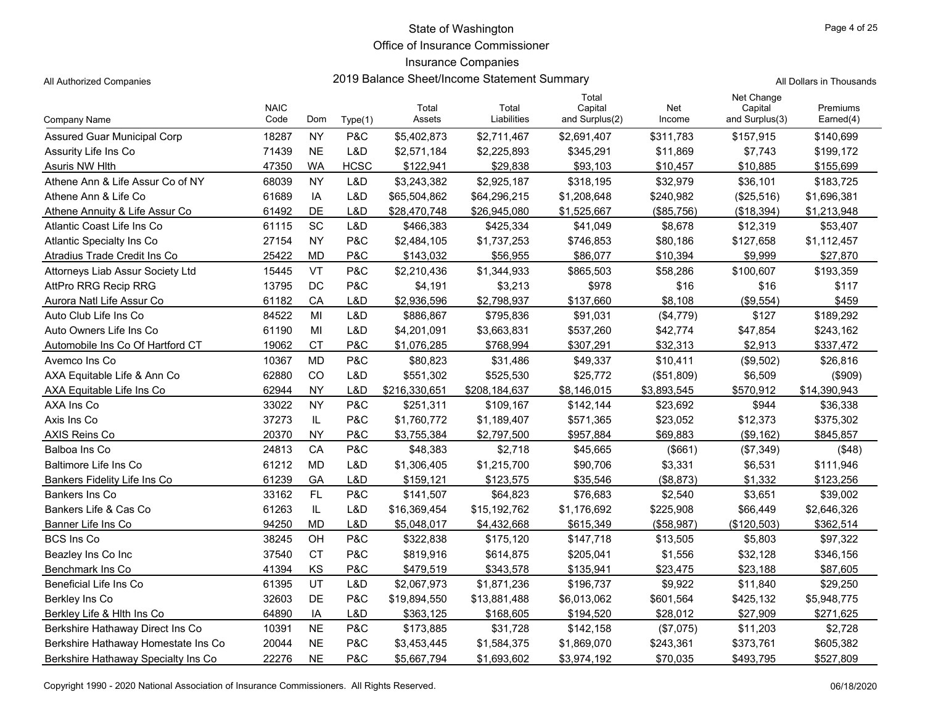Office of Insurance Commissioner

## Insurance Companies

All Authorized Companies **2019 Balance Sheet/Income Statement Summary** A

|  | All Dollars in Thousands |
|--|--------------------------|
|  |                          |

|                                     | <b>NAIC</b> |           |             | Total         | Total         | Total<br>Capital | Net         | Net Change<br>Capital | Premiums     |
|-------------------------------------|-------------|-----------|-------------|---------------|---------------|------------------|-------------|-----------------------|--------------|
| Company Name                        | Code        | Dom       | Type(1)     | Assets        | Liabilities   | and Surplus(2)   | Income      | and Surplus(3)        | Earned(4)    |
| <b>Assured Guar Municipal Corp</b>  | 18287       | <b>NY</b> | P&C         | \$5,402,873   | \$2,711,467   | \$2,691,407      | \$311,783   | \$157,915             | \$140,699    |
| Assurity Life Ins Co                | 71439       | <b>NE</b> | L&D         | \$2,571,184   | \$2,225,893   | \$345,291        | \$11,869    | \$7,743               | \$199,172    |
| Asuris NW Hlth                      | 47350       | <b>WA</b> | <b>HCSC</b> | \$122,941     | \$29,838      | \$93,103         | \$10,457    | \$10,885              | \$155,699    |
| Athene Ann & Life Assur Co of NY    | 68039       | <b>NY</b> | L&D         | \$3,243,382   | \$2,925,187   | \$318,195        | \$32,979    | \$36,101              | \$183,725    |
| Athene Ann & Life Co                | 61689       | IA        | L&D         | \$65,504,862  | \$64,296,215  | \$1,208,648      | \$240,982   | (\$25,516)            | \$1,696,381  |
| Athene Annuity & Life Assur Co      | 61492       | DE        | L&D         | \$28,470,748  | \$26,945,080  | \$1,525,667      | (\$85,756)  | (\$18,394)            | \$1,213,948  |
| Atlantic Coast Life Ins Co          | 61115       | SC        | L&D         | \$466,383     | \$425,334     | \$41,049         | \$8,678     | \$12,319              | \$53,407     |
| <b>Atlantic Specialty Ins Co</b>    | 27154       | <b>NY</b> | P&C         | \$2,484,105   | \$1,737,253   | \$746,853        | \$80,186    | \$127,658             | \$1,112,457  |
| Atradius Trade Credit Ins Co        | 25422       | <b>MD</b> | P&C         | \$143,032     | \$56,955      | \$86,077         | \$10,394    | \$9,999               | \$27,870     |
| Attorneys Liab Assur Society Ltd    | 15445       | VT        | P&C         | \$2,210,436   | \$1,344,933   | \$865,503        | \$58,286    | \$100,607             | \$193,359    |
| <b>AttPro RRG Recip RRG</b>         | 13795       | <b>DC</b> | P&C         | \$4,191       | \$3,213       | \$978            | \$16        | \$16                  | \$117        |
| Aurora Natl Life Assur Co           | 61182       | CA        | L&D         | \$2,936,596   | \$2,798,937   | \$137,660        | \$8,108     | (\$9,554)             | \$459        |
| Auto Club Life Ins Co               | 84522       | MI        | L&D         | \$886,867     | \$795,836     | \$91,031         | (\$4,779)   | \$127                 | \$189,292    |
| Auto Owners Life Ins Co             | 61190       | MI        | L&D         | \$4,201,091   | \$3,663,831   | \$537,260        | \$42,774    | \$47,854              | \$243,162    |
| Automobile Ins Co Of Hartford CT    | 19062       | <b>CT</b> | P&C         | \$1,076,285   | \$768,994     | \$307,291        | \$32,313    | \$2,913               | \$337,472    |
| Avemco Ins Co                       | 10367       | <b>MD</b> | P&C         | \$80,823      | \$31,486      | \$49,337         | \$10,411    | (\$9,502)             | \$26,816     |
| AXA Equitable Life & Ann Co         | 62880       | CO        | L&D         | \$551,302     | \$525,530     | \$25,772         | (\$51,809)  | \$6,509               | $($ \$909)   |
| AXA Equitable Life Ins Co           | 62944       | <b>NY</b> | L&D         | \$216,330,651 | \$208,184,637 | \$8,146,015      | \$3,893,545 | \$570,912             | \$14,390,943 |
| AXA Ins Co                          | 33022       | <b>NY</b> | P&C         | \$251,311     | \$109,167     | \$142,144        | \$23,692    | \$944                 | \$36,338     |
| Axis Ins Co                         | 37273       | IL        | P&C         | \$1,760,772   | \$1,189,407   | \$571,365        | \$23,052    | \$12,373              | \$375,302    |
| AXIS Reins Co                       | 20370       | <b>NY</b> | P&C         | \$3,755,384   | \$2,797,500   | \$957,884        | \$69,883    | (\$9,162)             | \$845,857    |
| Balboa Ins Co                       | 24813       | CA        | P&C         | \$48,383      | \$2,718       | \$45,665         | (\$661)     | (\$7,349)             | (\$48)       |
| Baltimore Life Ins Co               | 61212       | <b>MD</b> | L&D         | \$1,306,405   | \$1,215,700   | \$90,706         | \$3,331     | \$6,531               | \$111,946    |
| Bankers Fidelity Life Ins Co        | 61239       | GA        | L&D         | \$159,121     | \$123,575     | \$35,546         | (\$8,873)   | \$1,332               | \$123,256    |
| Bankers Ins Co                      | 33162       | FL        | P&C         | \$141,507     | \$64,823      | \$76,683         | \$2,540     | \$3,651               | \$39,002     |
| Bankers Life & Cas Co               | 61263       | IL        | L&D         | \$16,369,454  | \$15,192,762  | \$1,176,692      | \$225,908   | \$66,449              | \$2,646,326  |
| Banner Life Ins Co                  | 94250       | <b>MD</b> | L&D         | \$5.048.017   | \$4,432,668   | \$615,349        | (\$58,987)  | (\$120,503)           | \$362,514    |
| <b>BCS Ins Co</b>                   | 38245       | OH        | P&C         | \$322,838     | \$175,120     | \$147,718        | \$13,505    | \$5,803               | \$97,322     |
| Beazley Ins Co Inc                  | 37540       | <b>CT</b> | P&C         | \$819,916     | \$614,875     | \$205,041        | \$1,556     | \$32,128              | \$346,156    |
| Benchmark Ins Co                    | 41394       | KS        | P&C         | \$479,519     | \$343,578     | \$135,941        | \$23,475    | \$23,188              | \$87,605     |
| Beneficial Life Ins Co              | 61395       | UT        | L&D         | \$2,067,973   | \$1,871,236   | \$196,737        | \$9,922     | \$11,840              | \$29,250     |
| Berkley Ins Co                      | 32603       | DE        | P&C         | \$19,894,550  | \$13,881,488  | \$6,013,062      | \$601,564   | \$425,132             | \$5,948,775  |
| Berkley Life & Hith Ins Co          | 64890       | IA        | L&D         | \$363,125     | \$168,605     | \$194,520        | \$28,012    | \$27,909              | \$271,625    |
| Berkshire Hathaway Direct Ins Co    | 10391       | <b>NE</b> | P&C         | \$173,885     | \$31,728      | \$142,158        | (\$7,075)   | \$11,203              | \$2,728      |
| Berkshire Hathaway Homestate Ins Co | 20044       | <b>NE</b> | P&C         | \$3,453,445   | \$1,584,375   | \$1,869,070      | \$243,361   | \$373,761             | \$605,382    |
| Berkshire Hathaway Specialty Ins Co | 22276       | <b>NE</b> | P&C         | \$5,667,794   | \$1,693,602   | \$3,974,192      | \$70,035    | \$493,795             | \$527,809    |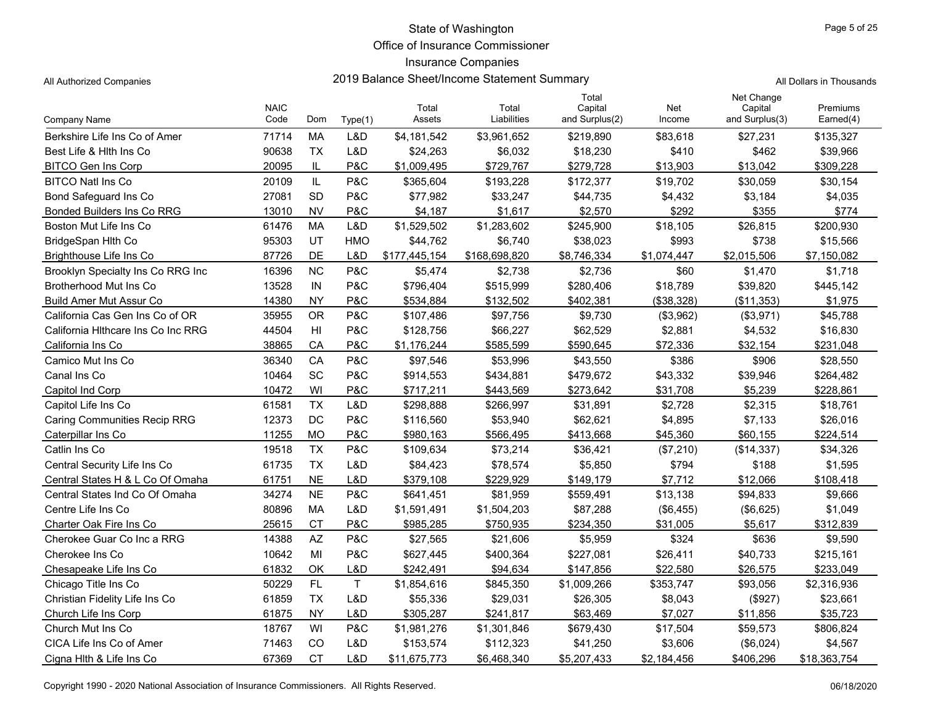Office of Insurance Commissioner

## Insurance Companies

All Authorized Companies **2019 Balance Sheet/Income Statement Summary** All Dollars in Thousands

|                                     | <b>NAIC</b> |           |              | Total         | Total         | Total<br>Capital | Net         | Net Change<br>Capital | Premiums     |
|-------------------------------------|-------------|-----------|--------------|---------------|---------------|------------------|-------------|-----------------------|--------------|
| Company Name                        | Code        | Dom       | Type(1)      | Assets        | Liabilities   | and Surplus(2)   | Income      | and Surplus(3)        | Earned(4)    |
| Berkshire Life Ins Co of Amer       | 71714       | <b>MA</b> | L&D          | \$4,181,542   | \$3,961,652   | \$219,890        | \$83,618    | \$27,231              | \$135,327    |
| Best Life & Hith Ins Co             | 90638       | <b>TX</b> | L&D          | \$24,263      | \$6,032       | \$18,230         | \$410       | \$462                 | \$39,966     |
| <b>BITCO Gen Ins Corp</b>           | 20095       | IL        | P&C          | \$1,009,495   | \$729,767     | \$279,728        | \$13,903    | \$13,042              | \$309,228    |
| <b>BITCO Natl Ins Co</b>            | 20109       | IL        | P&C          | \$365,604     | \$193,228     | \$172,377        | \$19,702    | \$30,059              | \$30,154     |
| <b>Bond Safeguard Ins Co</b>        | 27081       | SD        | P&C          | \$77,982      | \$33,247      | \$44,735         | \$4,432     | \$3,184               | \$4,035      |
| Bonded Builders Ins Co RRG          | 13010       | <b>NV</b> | P&C          | \$4,187       | \$1,617       | \$2,570          | \$292       | \$355                 | \$774        |
| Boston Mut Life Ins Co              | 61476       | <b>MA</b> | L&D          | \$1,529,502   | \$1,283,602   | \$245,900        | \$18,105    | \$26,815              | \$200,930    |
| BridgeSpan Hlth Co                  | 95303       | UT        | HMO          | \$44,762      | \$6,740       | \$38,023         | \$993       | \$738                 | \$15,566     |
| Brighthouse Life Ins Co             | 87726       | DE        | L&D          | \$177,445,154 | \$168,698,820 | \$8,746,334      | \$1,074,447 | \$2,015,506           | \$7,150,082  |
| Brooklyn Specialty Ins Co RRG Inc   | 16396       | <b>NC</b> | P&C          | \$5,474       | \$2,738       | \$2,736          | \$60        | \$1,470               | \$1,718      |
| Brotherhood Mut Ins Co              | 13528       | IN        | P&C          | \$796,404     | \$515,999     | \$280,406        | \$18,789    | \$39,820              | \$445,142    |
| <b>Build Amer Mut Assur Co</b>      | 14380       | <b>NY</b> | P&C          | \$534,884     | \$132,502     | \$402,381        | (\$38,328)  | (\$11,353)            | \$1,975      |
| California Cas Gen Ins Co of OR     | 35955       | <b>OR</b> | P&C          | \$107,486     | \$97,756      | \$9,730          | (\$3,962)   | (\$3,971)             | \$45,788     |
| California Hithcare Ins Co Inc RRG  | 44504       | HI        | P&C          | \$128,756     | \$66,227      | \$62,529         | \$2,881     | \$4,532               | \$16,830     |
| California Ins Co                   | 38865       | CA        | P&C          | \$1,176,244   | \$585,599     | \$590,645        | \$72,336    | \$32,154              | \$231,048    |
| Camico Mut Ins Co                   | 36340       | CA        | P&C          | \$97,546      | \$53,996      | \$43,550         | \$386       | \$906                 | \$28,550     |
| Canal Ins Co                        | 10464       | SC        | P&C          | \$914,553     | \$434,881     | \$479,672        | \$43,332    | \$39,946              | \$264,482    |
| Capitol Ind Corp                    | 10472       | WI        | P&C          | \$717,211     | \$443,569     | \$273,642        | \$31,708    | \$5,239               | \$228,861    |
| Capitol Life Ins Co                 | 61581       | <b>TX</b> | L&D          | \$298,888     | \$266,997     | \$31,891         | \$2,728     | \$2,315               | \$18,761     |
| <b>Caring Communities Recip RRG</b> | 12373       | DC        | P&C          | \$116,560     | \$53,940      | \$62,621         | \$4,895     | \$7,133               | \$26,016     |
| Caterpillar Ins Co                  | 11255       | <b>MO</b> | P&C          | \$980,163     | \$566,495     | \$413,668        | \$45,360    | \$60,155              | \$224,514    |
| Catlin Ins Co                       | 19518       | <b>TX</b> | P&C          | \$109,634     | \$73,214      | \$36,421         | (\$7,210)   | (\$14,337)            | \$34,326     |
| Central Security Life Ins Co        | 61735       | <b>TX</b> | L&D          | \$84,423      | \$78,574      | \$5,850          | \$794       | \$188                 | \$1,595      |
| Central States H & L Co Of Omaha    | 61751       | <b>NE</b> | L&D          | \$379,108     | \$229,929     | \$149,179        | \$7.712     | \$12,066              | \$108,418    |
| Central States Ind Co Of Omaha      | 34274       | <b>NE</b> | P&C          | \$641,451     | \$81,959      | \$559,491        | \$13,138    | \$94,833              | \$9,666      |
| Centre Life Ins Co                  | 80896       | MA        | L&D          | \$1,591,491   | \$1,504,203   | \$87,288         | (\$6,455)   | (\$6,625)             | \$1,049      |
| Charter Oak Fire Ins Co             | 25615       | <b>CT</b> | P&C          | \$985,285     | \$750,935     | \$234,350        | \$31,005    | \$5,617               | \$312,839    |
| Cherokee Guar Co Inc a RRG          | 14388       | AZ        | P&C          | \$27,565      | \$21,606      | \$5,959          | \$324       | \$636                 | \$9,590      |
| Cherokee Ins Co                     | 10642       | MI        | P&C          | \$627,445     | \$400,364     | \$227,081        | \$26,411    | \$40,733              | \$215,161    |
| Chesapeake Life Ins Co              | 61832       | OK        | L&D          | \$242,491     | \$94,634      | \$147,856        | \$22,580    | \$26,575              | \$233,049    |
| Chicago Title Ins Co                | 50229       | FL        | $\mathsf{T}$ | \$1,854,616   | \$845,350     | \$1,009,266      | \$353,747   | \$93,056              | \$2,316,936  |
| Christian Fidelity Life Ins Co      | 61859       | <b>TX</b> | L&D          | \$55,336      | \$29,031      | \$26,305         | \$8,043     | (\$927)               | \$23,661     |
| Church Life Ins Corp                | 61875       | <b>NY</b> | L&D          | \$305,287     | \$241,817     | \$63,469         | \$7,027     | \$11,856              | \$35,723     |
| Church Mut Ins Co.                  | 18767       | WI        | P&C          | \$1,981,276   | \$1,301,846   | \$679,430        | \$17,504    | \$59,573              | \$806,824    |
| CICA Life Ins Co of Amer            | 71463       | CO        | L&D          | \$153,574     | \$112,323     | \$41,250         | \$3,606     | (\$6,024)             | \$4,567      |
| Cigna Hlth & Life Ins Co            | 67369       | <b>CT</b> | L&D          | \$11,675,773  | \$6,468,340   | \$5,207,433      | \$2,184,456 | \$406,296             | \$18,363,754 |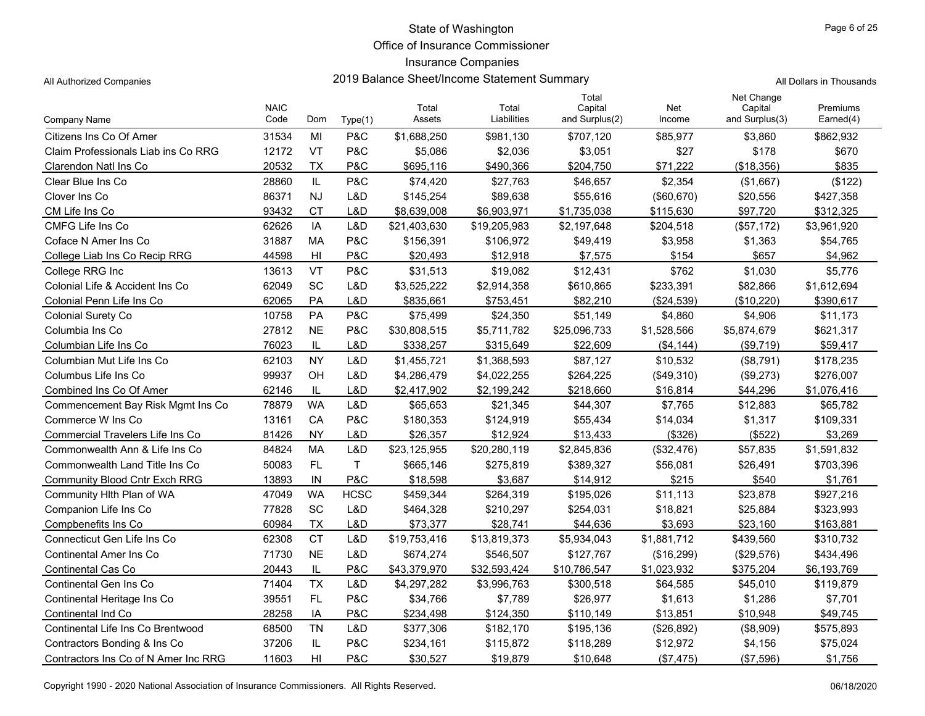Office of Insurance Commissioner

## Insurance Companies

All Authorized Companies **2019 Balance Sheet/Income Statement Summary** A

|  | All Dollars in Thousands |
|--|--------------------------|
|  |                          |

|                                      | <b>NAIC</b> |                |                | Total        | Total        | Total<br>Capital | Net         | Net Change<br>Capital | Premiums    |
|--------------------------------------|-------------|----------------|----------------|--------------|--------------|------------------|-------------|-----------------------|-------------|
| Company Name                         | Code        | Dom            | Type(1)        | Assets       | Liabilities  | and Surplus(2)   | Income      | and Surplus(3)        | Earned(4)   |
| Citizens Ins Co Of Amer              | 31534       | MI             | P&C            | \$1,688,250  | \$981,130    | \$707,120        | \$85,977    | \$3,860               | \$862,932   |
| Claim Professionals Liab ins Co RRG  | 12172       | VT             | P&C            | \$5,086      | \$2,036      | \$3,051          | \$27        | \$178                 | \$670       |
| Clarendon Natl Ins Co                | 20532       | <b>TX</b>      | P&C            | \$695,116    | \$490,366    | \$204,750        | \$71,222    | (\$18,356)            | \$835       |
| Clear Blue Ins Co                    | 28860       | IL             | P&C            | \$74,420     | \$27,763     | \$46,657         | \$2,354     | (\$1,667)             | (\$122)     |
| Clover Ins Co.                       | 86371       | <b>NJ</b>      | L&D            | \$145,254    | \$89,638     | \$55,616         | (\$60,670)  | \$20,556              | \$427,358   |
| CM Life Ins Co                       | 93432       | <b>CT</b>      | L&D            | \$8.639.008  | \$6,903,971  | \$1,735,038      | \$115,630   | \$97,720              | \$312,325   |
| CMFG Life Ins Co                     | 62626       | IA             | L&D            | \$21,403,630 | \$19,205,983 | \$2,197,648      | \$204,518   | (\$57,172)            | \$3,961,920 |
| Coface N Amer Ins Co                 | 31887       | MA             | P&C            | \$156,391    | \$106,972    | \$49,419         | \$3,958     | \$1,363               | \$54,765    |
| College Liab Ins Co Recip RRG        | 44598       | H <sub>l</sub> | P&C            | \$20,493     | \$12,918     | \$7,575          | \$154       | \$657                 | \$4,962     |
| College RRG Inc                      | 13613       | <b>VT</b>      | P&C            | \$31,513     | \$19,082     | \$12,431         | \$762       | \$1,030               | \$5,776     |
| Colonial Life & Accident Ins Co      | 62049       | SC             | L&D            | \$3,525,222  | \$2,914,358  | \$610,865        | \$233,391   | \$82,866              | \$1,612,694 |
| Colonial Penn Life Ins Co            | 62065       | PA             | L&D            | \$835,661    | \$753,451    | \$82,210         | (\$24,539)  | (\$10,220)            | \$390,617   |
| <b>Colonial Surety Co</b>            | 10758       | PA             | <b>P&amp;C</b> | \$75,499     | \$24,350     | \$51,149         | \$4,860     | \$4,906               | \$11,173    |
| Columbia Ins Co                      | 27812       | <b>NE</b>      | P&C            | \$30,808,515 | \$5,711,782  | \$25,096,733     | \$1,528,566 | \$5,874,679           | \$621,317   |
| Columbian Life Ins Co                | 76023       | IL             | L&D            | \$338,257    | \$315,649    | \$22,609         | (\$4, 144)  | (\$9,719)             | \$59,417    |
| Columbian Mut Life Ins Co            | 62103       | <b>NY</b>      | L&D            | \$1,455,721  | \$1,368,593  | \$87,127         | \$10,532    | (\$8,791)             | \$178,235   |
| Columbus Life Ins Co                 | 99937       | OH             | L&D            | \$4,286,479  | \$4,022,255  | \$264,225        | (\$49,310)  | (\$9,273)             | \$276,007   |
| Combined Ins Co Of Amer              | 62146       | IL             | L&D            | \$2,417,902  | \$2,199,242  | \$218,660        | \$16,814    | \$44,296              | \$1,076,416 |
| Commencement Bay Risk Mgmt Ins Co    | 78879       | <b>WA</b>      | L&D            | \$65,653     | \$21,345     | \$44,307         | \$7,765     | \$12,883              | \$65,782    |
| Commerce W Ins Co                    | 13161       | CA             | P&C            | \$180,353    | \$124,919    | \$55,434         | \$14,034    | \$1,317               | \$109,331   |
| Commercial Travelers Life Ins Co     | 81426       | <b>NY</b>      | L&D            | \$26.357     | \$12,924     | \$13,433         | (\$326)     | (\$522)               | \$3,269     |
| Commonwealth Ann & Life Ins Co       | 84824       | <b>MA</b>      | L&D            | \$23,125,955 | \$20,280,119 | \$2,845,836      | (\$32,476)  | \$57,835              | \$1,591,832 |
| Commonwealth Land Title Ins Co       | 50083       | <b>FL</b>      | T              | \$665,146    | \$275,819    | \$389,327        | \$56,081    | \$26,491              | \$703,396   |
| <b>Community Blood Cntr Exch RRG</b> | 13893       | IN             | P&C            | \$18,598     | \$3,687      | \$14,912         | \$215       | \$540                 | \$1,761     |
| Community Hith Plan of WA            | 47049       | <b>WA</b>      | <b>HCSC</b>    | \$459,344    | \$264,319    | \$195,026        | \$11,113    | \$23,878              | \$927,216   |
| Companion Life Ins Co                | 77828       | SC             | L&D            | \$464,328    | \$210,297    | \$254,031        | \$18,821    | \$25,884              | \$323,993   |
| Compbenefits Ins Co.                 | 60984       | <b>TX</b>      | L&D            | \$73.377     | \$28,741     | \$44,636         | \$3.693     | \$23,160              | \$163,881   |
| Connecticut Gen Life Ins Co          | 62308       | <b>CT</b>      | L&D            | \$19,753,416 | \$13,819,373 | \$5,934,043      | \$1,881,712 | \$439,560             | \$310,732   |
| Continental Amer Ins Co              | 71730       | <b>NE</b>      | L&D            | \$674,274    | \$546,507    | \$127,767        | (\$16,299)  | (\$29,576)            | \$434,496   |
| <b>Continental Cas Co</b>            | 20443       | IL             | P&C            | \$43,379,970 | \$32,593,424 | \$10,786,547     | \$1,023,932 | \$375,204             | \$6,193,769 |
| Continental Gen Ins Co               | 71404       | <b>TX</b>      | L&D            | \$4,297,282  | \$3,996,763  | \$300,518        | \$64,585    | \$45,010              | \$119,879   |
| Continental Heritage Ins Co          | 39551       | FL             | <b>P&amp;C</b> | \$34,766     | \$7,789      | \$26,977         | \$1,613     | \$1,286               | \$7,701     |
| Continental Ind Co                   | 28258       | IA             | P&C            | \$234,498    | \$124,350    | \$110,149        | \$13,851    | \$10,948              | \$49,745    |
| Continental Life Ins Co Brentwood    | 68500       | <b>TN</b>      | L&D            | \$377,306    | \$182,170    | \$195,136        | (\$26,892)  | (\$8,909)             | \$575,893   |
| Contractors Bonding & Ins Co         | 37206       | IL             | P&C            | \$234,161    | \$115,872    | \$118,289        | \$12,972    | \$4,156               | \$75,024    |
| Contractors Ins Co of N Amer Inc RRG | 11603       | HI             | P&C            | \$30,527     | \$19,879     | \$10,648         | (\$7,475)   | (\$7,596)             | \$1,756     |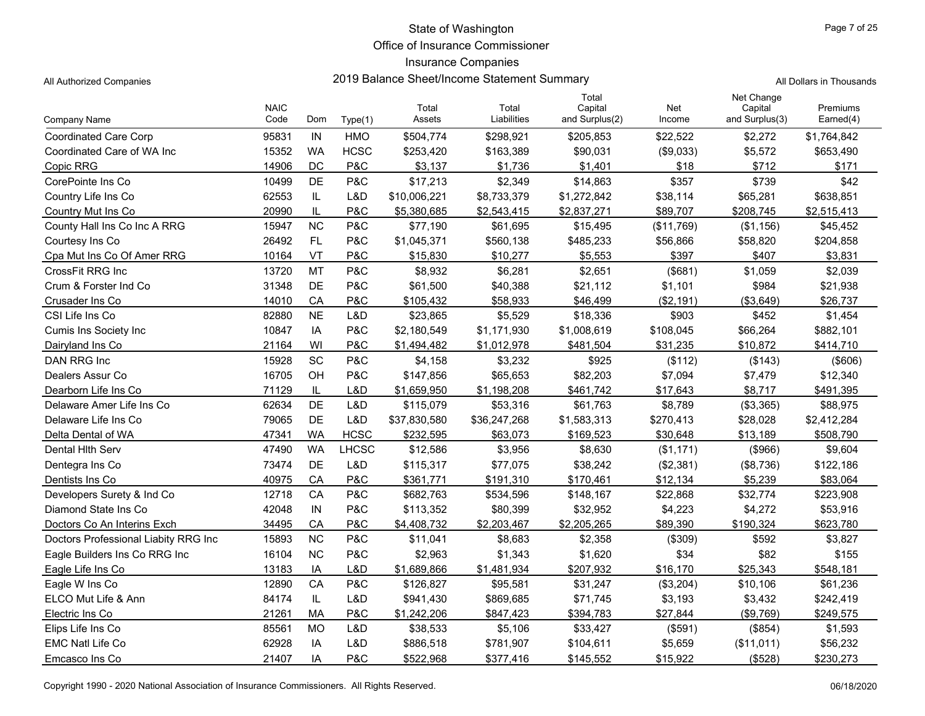Office of Insurance Commissioner

### Insurance Companies

All Authorized Companies **2019 Balance Sheet/Income Statement Summary** All Dollars in Thousands

| Company Name                         | <b>NAIC</b><br>Code | Dom       | Type(1)     | Total<br>Assets | Total<br>Liabilities | Total<br>Capital<br>and Surplus(2) | Net<br>Income | Net Change<br>Capital<br>and Surplus(3) | Premiums<br>Earned(4) |
|--------------------------------------|---------------------|-----------|-------------|-----------------|----------------------|------------------------------------|---------------|-----------------------------------------|-----------------------|
| <b>Coordinated Care Corp</b>         | 95831               | IN        | <b>HMO</b>  | \$504,774       | \$298,921            | \$205,853                          | \$22,522      | \$2,272                                 | \$1,764,842           |
| Coordinated Care of WA Inc           | 15352               | <b>WA</b> | <b>HCSC</b> | \$253,420       | \$163,389            | \$90,031                           | (\$9,033)     | \$5,572                                 | \$653,490             |
| Copic RRG                            | 14906               | DC        | P&C         | \$3,137         | \$1,736              | \$1,401                            | \$18          | \$712                                   | \$171                 |
| CorePointe Ins Co                    | 10499               | DE        | P&C         | \$17,213        | \$2,349              | \$14,863                           | \$357         | \$739                                   | \$42                  |
| Country Life Ins Co                  | 62553               | IL.       | L&D         | \$10,006,221    | \$8,733,379          | \$1,272,842                        | \$38,114      | \$65,281                                | \$638,851             |
| Country Mut Ins Co                   | 20990               | IL        | P&C         | \$5,380,685     | \$2,543,415          | \$2,837,271                        | \$89,707      | \$208,745                               | \$2,515,413           |
| County Hall Ins Co Inc A RRG         | 15947               | <b>NC</b> | P&C         | \$77,190        | \$61,695             | \$15,495                           | (\$11,769)    | (\$1,156)                               | \$45,452              |
| Courtesy Ins Co                      | 26492               | FL.       | P&C         | \$1,045,371     | \$560,138            | \$485,233                          | \$56,866      | \$58,820                                | \$204,858             |
| Cpa Mut Ins Co Of Amer RRG           | 10164               | VT        | P&C         | \$15,830        | \$10,277             | \$5,553                            | \$397         | \$407                                   | \$3,831               |
| CrossFit RRG Inc                     | 13720               | <b>MT</b> | P&C         | \$8,932         | \$6,281              | \$2,651                            | (\$681)       | \$1,059                                 | \$2,039               |
| Crum & Forster Ind Co                | 31348               | DE        | P&C         | \$61,500        | \$40,388             | \$21,112                           | \$1,101       | \$984                                   | \$21,938              |
| Crusader Ins Co                      | 14010               | CA        | P&C         | \$105,432       | \$58,933             | \$46,499                           | (\$2,191)     | ( \$3,649)                              | \$26,737              |
| CSI Life Ins Co                      | 82880               | <b>NE</b> | L&D         | \$23,865        | \$5,529              | \$18,336                           | \$903         | \$452                                   | \$1,454               |
| Cumis Ins Society Inc                | 10847               | IA        | P&C         | \$2,180,549     | \$1,171,930          | \$1,008,619                        | \$108,045     | \$66,264                                | \$882,101             |
| Dairyland Ins Co                     | 21164               | WI        | P&C         | \$1,494,482     | \$1,012,978          | \$481,504                          | \$31,235      | \$10,872                                | \$414,710             |
| DAN RRG Inc                          | 15928               | SC        | P&C         | \$4,158         | \$3,232              | \$925                              | (\$112)       | (\$143)                                 | (\$606)               |
| Dealers Assur Co                     | 16705               | OH        | P&C         | \$147,856       | \$65,653             | \$82,203                           | \$7,094       | \$7,479                                 | \$12,340              |
| Dearborn Life Ins Co                 | 71129               | IL        | L&D         | \$1,659,950     | \$1,198,208          | \$461,742                          | \$17,643      | \$8,717                                 | \$491,395             |
| Delaware Amer Life Ins Co            | 62634               | DE        | L&D         | \$115,079       | \$53,316             | \$61,763                           | \$8,789       | (\$3,365)                               | \$88,975              |
| Delaware Life Ins Co                 | 79065               | <b>DE</b> | L&D         | \$37,830,580    | \$36,247,268         | \$1,583,313                        | \$270,413     | \$28,028                                | \$2,412,284           |
| Delta Dental of WA                   | 47341               | <b>WA</b> | <b>HCSC</b> | \$232,595       | \$63,073             | \$169,523                          | \$30,648      | \$13,189                                | \$508,790             |
| Dental Hith Serv                     | 47490               | <b>WA</b> | LHCSC       | \$12,586        | \$3,956              | \$8,630                            | (\$1,171)     | (\$966)                                 | \$9,604               |
| Dentegra Ins Co                      | 73474               | DE        | L&D         | \$115,317       | \$77,075             | \$38,242                           | (\$2,381)     | (\$8,736)                               | \$122,186             |
| Dentists Ins Co                      | 40975               | CA        | P&C         | \$361,771       | \$191,310            | \$170,461                          | \$12,134      | \$5,239                                 | \$83,064              |
| Developers Surety & Ind Co           | 12718               | CA        | P&C         | \$682,763       | \$534,596            | \$148,167                          | \$22,868      | \$32,774                                | \$223,908             |
| Diamond State Ins Co                 | 42048               | IN        | P&C         | \$113,352       | \$80,399             | \$32,952                           | \$4,223       | \$4,272                                 | \$53,916              |
| Doctors Co An Interins Exch          | 34495               | CA        | P&C         | \$4,408,732     | \$2,203,467          | \$2,205,265                        | \$89,390      | \$190,324                               | \$623,780             |
| Doctors Professional Liabity RRG Inc | 15893               | <b>NC</b> | P&C         | \$11,041        | \$8,683              | \$2,358                            | (\$309)       | \$592                                   | \$3,827               |
| Eagle Builders Ins Co RRG Inc        | 16104               | <b>NC</b> | P&C         | \$2,963         | \$1,343              | \$1,620                            | \$34          | \$82                                    | \$155                 |
| Eagle Life Ins Co                    | 13183               | IA        | L&D         | \$1,689,866     | \$1,481,934          | \$207,932                          | \$16,170      | \$25,343                                | \$548,181             |
| Eagle W Ins Co                       | 12890               | CA        | P&C         | \$126,827       | \$95,581             | \$31,247                           | (\$3,204)     | \$10,106                                | \$61,236              |
| ELCO Mut Life & Ann                  | 84174               | IL.       | L&D         | \$941,430       | \$869,685            | \$71,745                           | \$3,193       | \$3,432                                 | \$242,419             |
| Electric Ins Co                      | 21261               | МA        | P&C         | \$1,242,206     | \$847,423            | \$394,783                          | \$27,844      | (\$9,769)                               | \$249,575             |
| Elips Life Ins Co                    | 85561               | <b>MO</b> | L&D         | \$38,533        | \$5,106              | \$33,427                           | (\$591)       | (\$854)                                 | \$1,593               |
| <b>EMC Natl Life Co</b>              | 62928               | IA        | L&D         | \$886,518       | \$781,907            | \$104,611                          | \$5,659       | (\$11,011)                              | \$56,232              |
| Emcasco Ins Co                       | 21407               | IA        | P&C         | \$522,968       | \$377,416            | \$145,552                          | \$15,922      | (\$528)                                 | \$230,273             |

Copyright 1990 - 2020 National Association of Insurance Commissioners. All Rights Reserved. 06/18/2020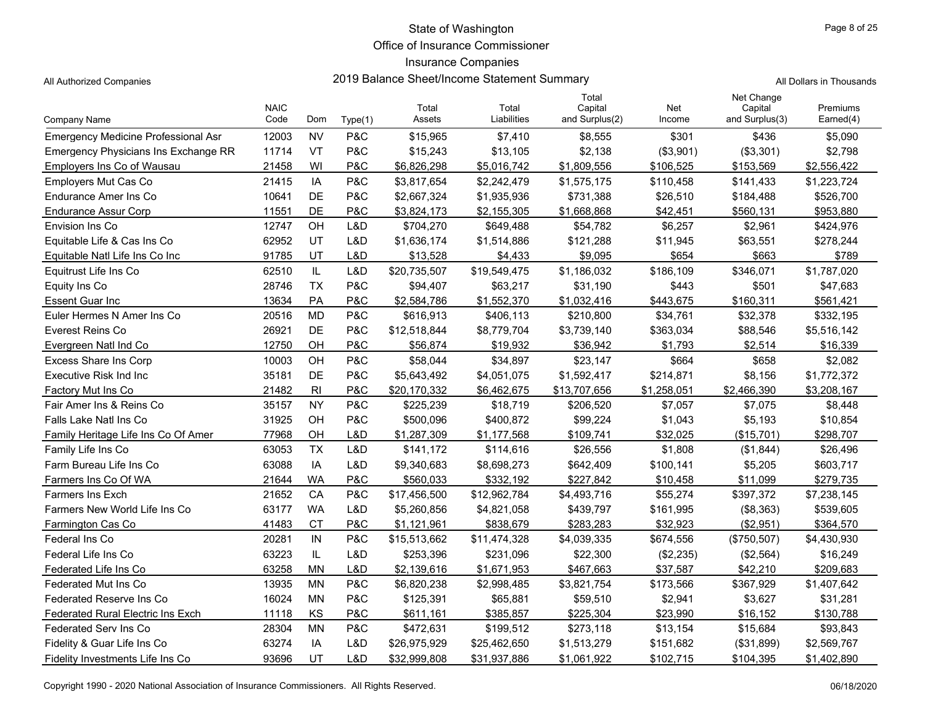Office of Insurance Commissioner

## Insurance Companies

All Authorized Companies **2019 Balance Sheet/Income Statement Summary** A

|  |  |  | All Dollars in Thousands |
|--|--|--|--------------------------|
|--|--|--|--------------------------|

Page 8 of 25

|                                             | <b>NAIC</b> |                |         | Total        | Total        | Total<br>Capital | Net         | Net Change<br>Capital | Premiums    |
|---------------------------------------------|-------------|----------------|---------|--------------|--------------|------------------|-------------|-----------------------|-------------|
| Company Name                                | Code        | Dom            | Type(1) | Assets       | Liabilities  | and Surplus(2)   | Income      | and Surplus(3)        | Earned(4)   |
| <b>Emergency Medicine Professional Asr</b>  | 12003       | <b>NV</b>      | P&C     | \$15,965     | \$7,410      | \$8,555          | \$301       | \$436                 | \$5,090     |
| <b>Emergency Physicians Ins Exchange RR</b> | 11714       | <b>VT</b>      | P&C     | \$15,243     | \$13,105     | \$2,138          | (\$3,901)   | (\$3,301)             | \$2,798     |
| Employers Ins Co of Wausau                  | 21458       | WI             | P&C     | \$6,826,298  | \$5,016,742  | \$1,809,556      | \$106,525   | \$153,569             | \$2,556,422 |
| Emplovers Mut Cas Co                        | 21415       | IA             | P&C     | \$3,817,654  | \$2,242,479  | \$1,575,175      | \$110,458   | \$141,433             | \$1,223,724 |
| Endurance Amer Ins Co                       | 10641       | DE             | P&C     | \$2,667,324  | \$1,935,936  | \$731,388        | \$26,510    | \$184,488             | \$526,700   |
| <b>Endurance Assur Corp</b>                 | 11551       | DE             | P&C     | \$3,824,173  | \$2,155,305  | \$1,668,868      | \$42,451    | \$560,131             | \$953,880   |
| Envision Ins Co                             | 12747       | OH             | L&D     | \$704,270    | \$649,488    | \$54,782         | \$6,257     | \$2,961               | \$424,976   |
| Equitable Life & Cas Ins Co                 | 62952       | UT             | L&D     | \$1,636,174  | \$1,514,886  | \$121,288        | \$11,945    | \$63,551              | \$278,244   |
| Equitable Natl Life Ins Co Inc              | 91785       | UT             | L&D     | \$13,528     | \$4,433      | \$9,095          | \$654       | \$663                 | \$789       |
| Equitrust Life Ins Co                       | 62510       | IL             | L&D     | \$20,735,507 | \$19,549,475 | \$1,186,032      | \$186,109   | \$346,071             | \$1,787,020 |
| Equity Ins Co                               | 28746       | <b>TX</b>      | P&C     | \$94,407     | \$63,217     | \$31,190         | \$443       | \$501                 | \$47,683    |
| <b>Essent Guar Inc</b>                      | 13634       | PA             | P&C     | \$2,584,786  | \$1,552,370  | \$1,032,416      | \$443,675   | \$160,311             | \$561,421   |
| Euler Hermes N Amer Ins Co                  | 20516       | <b>MD</b>      | P&C     | \$616,913    | \$406,113    | \$210,800        | \$34,761    | \$32,378              | \$332,195   |
| Everest Reins Co                            | 26921       | DE             | P&C     | \$12,518,844 | \$8,779,704  | \$3,739,140      | \$363,034   | \$88,546              | \$5,516,142 |
| Evergreen Natl Ind Co                       | 12750       | OH             | P&C     | \$56,874     | \$19,932     | \$36,942         | \$1,793     | \$2,514               | \$16,339    |
| Excess Share Ins Corp                       | 10003       | OH             | P&C     | \$58,044     | \$34,897     | \$23,147         | \$664       | \$658                 | \$2,082     |
| Executive Risk Ind Inc                      | 35181       | DE             | P&C     | \$5,643,492  | \$4,051,075  | \$1,592,417      | \$214,871   | \$8,156               | \$1,772,372 |
| Factory Mut Ins Co                          | 21482       | R <sub>l</sub> | P&C     | \$20,170,332 | \$6,462,675  | \$13,707,656     | \$1,258,051 | \$2,466,390           | \$3,208,167 |
| Fair Amer Ins & Reins Co                    | 35157       | <b>NY</b>      | P&C     | \$225,239    | \$18,719     | \$206,520        | \$7,057     | \$7,075               | \$8,448     |
| Falls Lake Natl Ins Co                      | 31925       | OH             | P&C     | \$500,096    | \$400,872    | \$99,224         | \$1,043     | \$5,193               | \$10,854    |
| Family Heritage Life Ins Co Of Amer         | 77968       | OH             | L&D     | \$1,287,309  | \$1,177,568  | \$109,741        | \$32.025    | $($ \$15.701)         | \$298.707   |
| Family Life Ins Co                          | 63053       | <b>TX</b>      | L&D     | \$141.172    | \$114,616    | \$26,556         | \$1,808     | (\$1,844)             | \$26,496    |
| Farm Bureau Life Ins Co                     | 63088       | IA             | L&D     | \$9,340,683  | \$8,698,273  | \$642,409        | \$100,141   | \$5,205               | \$603,717   |
| Farmers Ins Co Of WA                        | 21644       | <b>WA</b>      | P&C     | \$560,033    | \$332,192    | \$227,842        | \$10,458    | \$11,099              | \$279,735   |
| <b>Farmers Ins Exch</b>                     | 21652       | CA             | P&C     | \$17,456,500 | \$12,962,784 | \$4,493,716      | \$55,274    | \$397,372             | \$7,238,145 |
| <b>Farmers New World Life Ins Co</b>        | 63177       | <b>WA</b>      | L&D     | \$5,260,856  | \$4,821,058  | \$439,797        | \$161,995   | (\$8,363)             | \$539,605   |
| Farmington Cas Co                           | 41483       | <b>CT</b>      | P&C     | \$1,121,961  | \$838,679    | \$283.283        | \$32.923    | (\$2,951)             | \$364,570   |
| Federal Ins Co                              | 20281       | IN             | P&C     | \$15,513,662 | \$11,474,328 | \$4,039,335      | \$674,556   | (\$750,507)           | \$4,430,930 |
| Federal Life Ins Co                         | 63223       | IL             | L&D     | \$253,396    | \$231,096    | \$22,300         | (\$2,235)   | (\$2,564)             | \$16,249    |
| Federated Life Ins Co                       | 63258       | <b>MN</b>      | L&D     | \$2,139,616  | \$1,671,953  | \$467,663        | \$37,587    | \$42,210              | \$209,683   |
| Federated Mut Ins Co                        | 13935       | <b>MN</b>      | P&C     | \$6,820,238  | \$2,998,485  | \$3,821,754      | \$173,566   | \$367,929             | \$1,407,642 |
| <b>Federated Reserve Ins Co</b>             | 16024       | <b>MN</b>      | P&C     | \$125,391    | \$65,881     | \$59,510         | \$2,941     | \$3,627               | \$31,281    |
| <b>Federated Rural Electric Ins Exch</b>    | 11118       | KS             | P&C     | \$611,161    | \$385.857    | \$225,304        | \$23.990    | \$16,152              | \$130.788   |
| <b>Federated Serv Ins Co</b>                | 28304       | <b>MN</b>      | P&C     | \$472,631    | \$199,512    | \$273,118        | \$13,154    | \$15,684              | \$93,843    |
| Fidelity & Guar Life Ins Co                 | 63274       | IA             | L&D     | \$26,975,929 | \$25,462,650 | \$1,513,279      | \$151,682   | (\$31,899)            | \$2,569,767 |
| Fidelity Investments Life Ins Co            | 93696       | UT             | L&D     | \$32,999,808 | \$31,937,886 | \$1,061,922      | \$102,715   | \$104,395             | \$1,402,890 |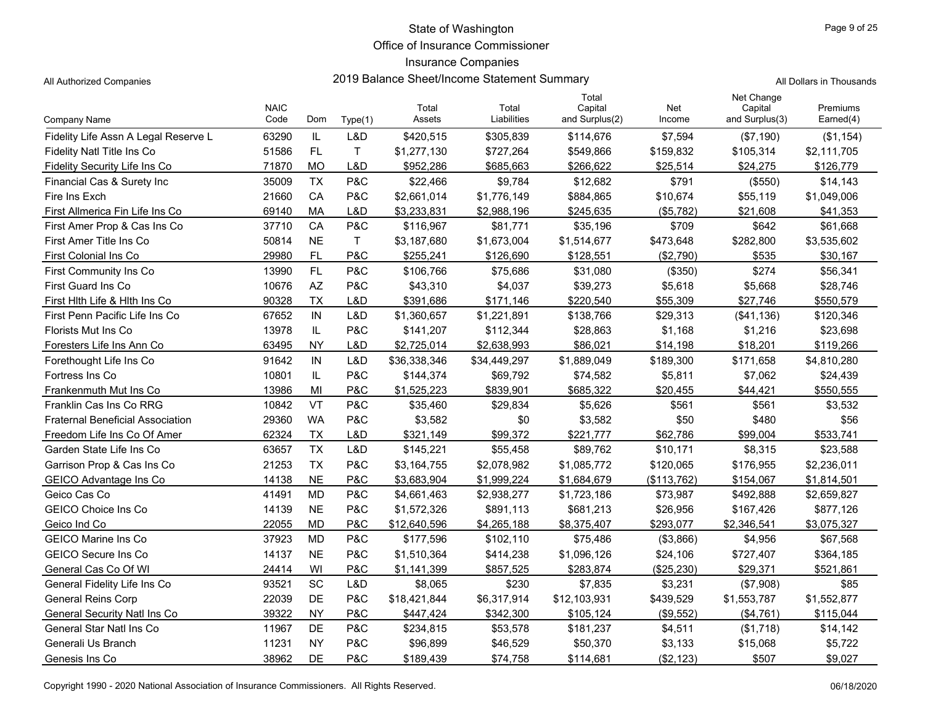Office of Insurance Commissioner

## Insurance Companies

All Authorized Companies **2019 Balance Sheet/Income Statement Summary** A

|  | All Dollars in Thousands |
|--|--------------------------|
|  |                          |

|                                         | <b>NAIC</b> |           |         | Total        | Total        | Total<br>Capital | Net         | Net Change<br>Capital | Premiums    |
|-----------------------------------------|-------------|-----------|---------|--------------|--------------|------------------|-------------|-----------------------|-------------|
| Company Name                            | Code        | Dom       | Type(1) | Assets       | Liabilities  | and Surplus(2)   | Income      | and Surplus(3)        | Earned(4)   |
| Fidelity Life Assn A Legal Reserve L    | 63290       | IL        | L&D     | \$420,515    | \$305,839    | \$114,676        | \$7,594     | (\$7,190)             | (\$1,154)   |
| Fidelity Natl Title Ins Co              | 51586       | FL        | T       | \$1,277,130  | \$727,264    | \$549,866        | \$159,832   | \$105,314             | \$2,111,705 |
| Fidelity Security Life Ins Co           | 71870       | <b>MO</b> | L&D     | \$952,286    | \$685,663    | \$266,622        | \$25,514    | \$24,275              | \$126,779   |
| Financial Cas & Surety Inc              | 35009       | <b>TX</b> | P&C     | \$22,466     | \$9,784      | \$12,682         | \$791       | (\$550)               | \$14,143    |
| Fire Ins Exch                           | 21660       | CA        | P&C     | \$2,661,014  | \$1,776,149  | \$884,865        | \$10,674    | \$55,119              | \$1,049,006 |
| First Allmerica Fin Life Ins Co         | 69140       | МA        | L&D     | \$3.233.831  | \$2,988,196  | \$245.635        | (\$5,782)   | \$21.608              | \$41,353    |
| First Amer Prop & Cas Ins Co            | 37710       | CA        | P&C     | \$116,967    | \$81,771     | \$35,196         | \$709       | \$642                 | \$61,668    |
| First Amer Title Ins Co                 | 50814       | <b>NE</b> | Τ       | \$3,187,680  | \$1,673,004  | \$1,514,677      | \$473,648   | \$282,800             | \$3,535,602 |
| First Colonial Ins Co                   | 29980       | <b>FL</b> | P&C     | \$255,241    | \$126,690    | \$128,551        | (\$2,790)   | \$535                 | \$30,167    |
| <b>First Community Ins Co</b>           | 13990       | FL        | P&C     | \$106,766    | \$75,686     | \$31,080         | (\$350)     | \$274                 | \$56,341    |
| <b>First Guard Ins Co</b>               | 10676       | <b>AZ</b> | P&C     | \$43,310     | \$4,037      | \$39,273         | \$5,618     | \$5,668               | \$28,746    |
| First Hith Life & Hith Ins Co           | 90328       | <b>TX</b> | L&D     | \$391,686    | \$171,146    | \$220,540        | \$55,309    | \$27,746              | \$550,579   |
| First Penn Pacific Life Ins Co          | 67652       | IN        | L&D     | \$1,360,657  | \$1,221,891  | \$138,766        | \$29,313    | (\$41,136)            | \$120,346   |
| <b>Florists Mut Ins Co</b>              | 13978       | IL        | P&C     | \$141,207    | \$112,344    | \$28,863         | \$1,168     | \$1,216               | \$23,698    |
| Foresters Life Ins Ann Co               | 63495       | <b>NY</b> | L&D     | \$2,725,014  | \$2,638,993  | \$86,021         | \$14,198    | \$18,201              | \$119,266   |
| Forethought Life Ins Co                 | 91642       | IN        | L&D     | \$36,338,346 | \$34,449,297 | \$1,889,049      | \$189,300   | \$171,658             | \$4,810,280 |
| Fortress Ins Co                         | 10801       | IL        | P&C     | \$144,374    | \$69.792     | \$74,582         | \$5,811     | \$7,062               | \$24,439    |
| Frankenmuth Mut Ins Co                  | 13986       | MI        | P&C     | \$1,525,223  | \$839,901    | \$685,322        | \$20,455    | \$44,421              | \$550,555   |
| Franklin Cas Ins Co RRG                 | 10842       | VT        | P&C     | \$35,460     | \$29,834     | \$5,626          | \$561       | \$561                 | \$3,532     |
| <b>Fraternal Beneficial Association</b> | 29360       | <b>WA</b> | P&C     | \$3,582      | \$0          | \$3,582          | \$50        | \$480                 | \$56        |
| Freedom Life Ins Co Of Amer             | 62324       | <b>TX</b> | L&D     | \$321,149    | \$99,372     | \$221,777        | \$62,786    | \$99,004              | \$533,741   |
| Garden State Life Ins Co                | 63657       | <b>TX</b> | L&D     | \$145,221    | \$55,458     | \$89,762         | \$10,171    | \$8,315               | \$23,588    |
| Garrison Prop & Cas Ins Co              | 21253       | <b>TX</b> | P&C     | \$3,164,755  | \$2,078,982  | \$1,085,772      | \$120,065   | \$176,955             | \$2,236,011 |
| <b>GEICO Advantage Ins Co</b>           | 14138       | <b>NE</b> | P&C     | \$3,683,904  | \$1,999,224  | \$1,684,679      | (\$113,762) | \$154,067             | \$1,814,501 |
| Geico Cas Co                            | 41491       | <b>MD</b> | P&C     | \$4,661,463  | \$2,938,277  | \$1,723,186      | \$73,987    | \$492,888             | \$2,659,827 |
| <b>GEICO Choice Ins Co</b>              | 14139       | <b>NE</b> | P&C     | \$1,572,326  | \$891,113    | \$681,213        | \$26,956    | \$167,426             | \$877,126   |
| Geico Ind Co                            | 22055       | <b>MD</b> | P&C     | \$12,640,596 | \$4,265,188  | \$8,375,407      | \$293,077   | \$2,346,541           | \$3,075,327 |
| <b>GEICO Marine Ins Co</b>              | 37923       | <b>MD</b> | P&C     | \$177,596    | \$102,110    | \$75,486         | ( \$3,866)  | \$4,956               | \$67,568    |
| <b>GEICO Secure Ins Co</b>              | 14137       | <b>NE</b> | P&C     | \$1,510,364  | \$414,238    | \$1,096,126      | \$24,106    | \$727,407             | \$364,185   |
| General Cas Co Of WI                    | 24414       | WI        | P&C     | \$1,141,399  | \$857,525    | \$283,874        | (\$25,230)  | \$29,371              | \$521,861   |
| General Fidelity Life Ins Co            | 93521       | SC        | L&D     | \$8,065      | \$230        | \$7,835          | \$3,231     | (\$7,908)             | \$85        |
| <b>General Reins Corp</b>               | 22039       | DE        | P&C     | \$18,421,844 | \$6,317,914  | \$12,103,931     | \$439,529   | \$1,553,787           | \$1,552,877 |
| General Security Natl Ins Co            | 39322       | <b>NY</b> | P&C     | \$447,424    | \$342,300    | \$105,124        | (\$9,552)   | (\$4,761)             | \$115,044   |
| General Star Natl Ins Co                | 11967       | DE        | P&C     | \$234,815    | \$53,578     | \$181,237        | \$4,511     | (\$1,718)             | \$14,142    |
| Generali Us Branch                      | 11231       | <b>NY</b> | P&C     | \$96,899     | \$46,529     | \$50,370         | \$3,133     | \$15,068              | \$5,722     |
| Genesis Ins Co                          | 38962       | DE        | P&C     | \$189,439    | \$74,758     | \$114,681        | (\$2,123)   | \$507                 | \$9,027     |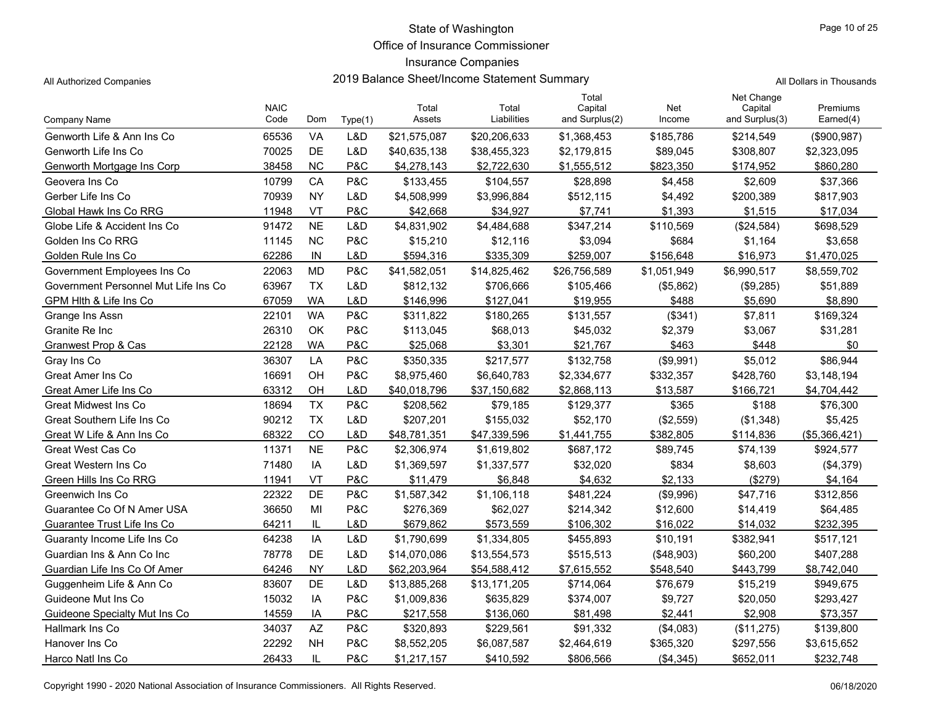Office of Insurance Commissioner

### Insurance Companies

All Authorized Companies **2019 Balance Sheet/Income Statement Summary** All Dollars in Thousands

| Page 10 of 25 |  |
|---------------|--|
|---------------|--|

|                                      | <b>NAIC</b> |           |         | Total        | Total        | Total<br>Capital | Net         | Net Change<br>Capital | Premiums      |
|--------------------------------------|-------------|-----------|---------|--------------|--------------|------------------|-------------|-----------------------|---------------|
| Company Name                         | Code        | Dom       | Type(1) | Assets       | Liabilities  | and Surplus(2)   | Income      | and Surplus(3)        | Earned(4)     |
| Genworth Life & Ann Ins Co           | 65536       | VA        | L&D     | \$21,575,087 | \$20,206,633 | \$1,368,453      | \$185,786   | \$214,549             | (\$900, 987)  |
| Genworth Life Ins Co                 | 70025       | <b>DE</b> | L&D     | \$40,635,138 | \$38,455,323 | \$2,179,815      | \$89,045    | \$308,807             | \$2,323,095   |
| Genworth Mortgage Ins Corp           | 38458       | <b>NC</b> | P&C     | \$4,278,143  | \$2,722,630  | \$1,555,512      | \$823,350   | \$174,952             | \$860,280     |
| Geovera Ins Co                       | 10799       | CA        | P&C     | \$133,455    | \$104,557    | \$28,898         | \$4,458     | \$2,609               | \$37,366      |
| Gerber Life Ins Co                   | 70939       | <b>NY</b> | L&D     | \$4,508,999  | \$3,996,884  | \$512.115        | \$4,492     | \$200,389             | \$817,903     |
| Global Hawk Ins Co RRG               | 11948       | VT        | P&C     | \$42,668     | \$34,927     | \$7,741          | \$1,393     | \$1,515               | \$17,034      |
| Globe Life & Accident Ins Co         | 91472       | <b>NE</b> | L&D     | \$4,831,902  | \$4,484,688  | \$347,214        | \$110,569   | (\$24,584)            | \$698,529     |
| Golden Ins Co RRG                    | 11145       | <b>NC</b> | P&C     | \$15,210     | \$12,116     | \$3,094          | \$684       | \$1,164               | \$3,658       |
| Golden Rule Ins Co                   | 62286       | IN        | L&D     | \$594,316    | \$335,309    | \$259,007        | \$156,648   | \$16,973              | \$1,470,025   |
| Government Employees Ins Co          | 22063       | <b>MD</b> | P&C     | \$41,582,051 | \$14,825,462 | \$26,756,589     | \$1,051,949 | \$6,990,517           | \$8,559,702   |
| Government Personnel Mut Life Ins Co | 63967       | <b>TX</b> | L&D     | \$812,132    | \$706,666    | \$105,466        | (\$5,862)   | (\$9,285)             | \$51,889      |
| GPM Hith & Life Ins Co               | 67059       | <b>WA</b> | L&D     | \$146,996    | \$127,041    | \$19,955         | \$488       | \$5,690               | \$8,890       |
| Grange Ins Assn                      | 22101       | <b>WA</b> | P&C     | \$311,822    | \$180,265    | \$131,557        | (\$341)     | \$7,811               | \$169,324     |
| Granite Re Inc                       | 26310       | OK        | P&C     | \$113,045    | \$68,013     | \$45,032         | \$2,379     | \$3,067               | \$31,281      |
| Granwest Prop & Cas                  | 22128       | <b>WA</b> | P&C     | \$25,068     | \$3,301      | \$21,767         | \$463       | \$448                 | \$0           |
| Gray Ins Co                          | 36307       | LA        | P&C     | \$350,335    | \$217,577    | \$132,758        | (\$9,991)   | \$5,012               | \$86,944      |
| Great Amer Ins Co                    | 16691       | OH        | P&C     | \$8.975.460  | \$6,640,783  | \$2,334,677      | \$332,357   | \$428,760             | \$3,148,194   |
| Great Amer Life Ins Co               | 63312       | OH        | L&D     | \$40,018,796 | \$37,150,682 | \$2,868,113      | \$13,587    | \$166,721             | \$4,704,442   |
| Great Midwest Ins Co                 | 18694       | <b>TX</b> | P&C     | \$208,562    | \$79,185     | \$129,377        | \$365       | \$188                 | \$76,300      |
| Great Southern Life Ins Co           | 90212       | <b>TX</b> | L&D     | \$207,201    | \$155,032    | \$52,170         | (\$2,559)   | (\$1,348)             | \$5,425       |
| Great W Life & Ann Ins Co            | 68322       | CO        | L&D     | \$48,781,351 | \$47,339,596 | \$1,441,755      | \$382,805   | \$114,836             | (\$5,366,421) |
| <b>Great West Cas Co</b>             | 11371       | <b>NE</b> | P&C     | \$2,306,974  | \$1,619,802  | \$687,172        | \$89,745    | \$74,139              | \$924,577     |
| Great Western Ins Co                 | 71480       | IA        | L&D     | \$1,369,597  | \$1,337,577  | \$32,020         | \$834       | \$8,603               | (\$4,379)     |
| Green Hills Ins Co RRG               | 11941       | VT        | P&C     | \$11.479     | \$6,848      | \$4,632          | \$2,133     | (\$279)               | \$4,164       |
| Greenwich Ins Co                     | 22322       | <b>DE</b> | P&C     | \$1,587,342  | \$1,106,118  | \$481,224        | (\$9,996)   | \$47,716              | \$312,856     |
| Guarantee Co Of N Amer USA           | 36650       | MI        | P&C     | \$276,369    | \$62,027     | \$214,342        | \$12,600    | \$14,419              | \$64,485      |
| Guarantee Trust Life Ins Co          | 64211       | IL        | L&D     | \$679,862    | \$573,559    | \$106,302        | \$16,022    | \$14,032              | \$232,395     |
| Guaranty Income Life Ins Co          | 64238       | IA        | L&D     | \$1,790,699  | \$1,334,805  | \$455,893        | \$10,191    | \$382,941             | \$517,121     |
| Guardian Ins & Ann Co Inc            | 78778       | DE        | L&D     | \$14,070,086 | \$13,554,573 | \$515,513        | (\$48,903)  | \$60,200              | \$407,288     |
| Guardian Life Ins Co Of Amer         | 64246       | <b>NY</b> | L&D     | \$62,203,964 | \$54,588,412 | \$7,615,552      | \$548,540   | \$443,799             | \$8,742,040   |
| Guggenheim Life & Ann Co             | 83607       | DE        | L&D     | \$13,885,268 | \$13,171,205 | \$714,064        | \$76,679    | \$15,219              | \$949,675     |
| Guideone Mut Ins Co                  | 15032       | IA        | P&C     | \$1,009,836  | \$635,829    | \$374,007        | \$9,727     | \$20,050              | \$293,427     |
| Guideone Specialty Mut Ins Co        | 14559       | IA        | P&C     | \$217,558    | \$136,060    | \$81,498         | \$2.441     | \$2,908               | \$73,357      |
| Hallmark Ins Co                      | 34037       | AZ        | P&C     | \$320,893    | \$229,561    | \$91,332         | (\$4,083)   | (\$11,275)            | \$139,800     |
| Hanover Ins Co                       | 22292       | <b>NH</b> | P&C     | \$8,552,205  | \$6,087,587  | \$2,464,619      | \$365,320   | \$297,556             | \$3,615,652   |
| Harco Natl Ins Co                    | 26433       | IL        | P&C     | \$1,217,157  | \$410,592    | \$806,566        | (\$4,345)   | \$652,011             | \$232,748     |

Copyright 1990 - 2020 National Association of Insurance Commissioners. All Rights Reserved.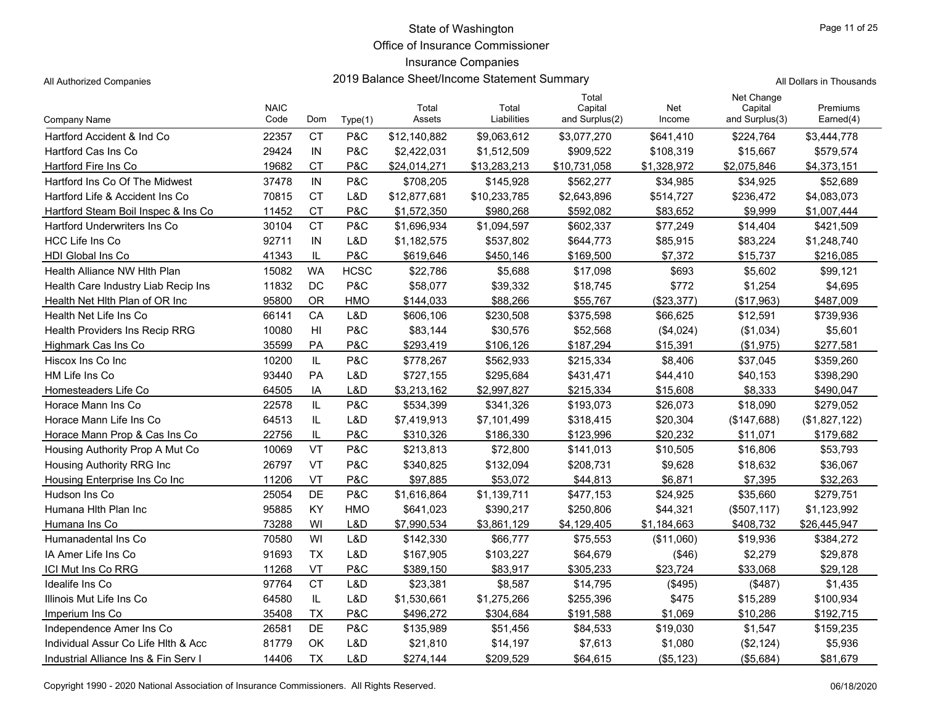Office of Insurance Commissioner

### Insurance Companies

All Authorized Companies **2019 Balance Sheet/Income Statement Summary** A

Page 11 of 25

|                                       | <b>NAIC</b> |           |                | Total        | Total        | Total<br>Capital | Net         | Net Change<br>Capital | Premiums      |
|---------------------------------------|-------------|-----------|----------------|--------------|--------------|------------------|-------------|-----------------------|---------------|
| Company Name                          | Code        | Dom       | Type(1)        | Assets       | Liabilities  | and Surplus(2)   | Income      | and Surplus(3)        | Earned(4)     |
| Hartford Accident & Ind Co            | 22357       | <b>CT</b> | P&C            | \$12,140,882 | \$9,063,612  | \$3,077,270      | \$641,410   | \$224,764             | \$3,444,778   |
| Hartford Cas Ins Co                   | 29424       | IN        | P&C            | \$2,422,031  | \$1,512,509  | \$909,522        | \$108,319   | \$15,667              | \$579,574     |
| Hartford Fire Ins Co                  | 19682       | <b>CT</b> | P&C            | \$24,014,271 | \$13,283,213 | \$10,731,058     | \$1,328,972 | \$2,075,846           | \$4,373,151   |
| Hartford Ins Co Of The Midwest        | 37478       | IN        | P&C            | \$708,205    | \$145,928    | \$562,277        | \$34,985    | \$34,925              | \$52,689      |
| Hartford Life & Accident Ins Co       | 70815       | CT        | L&D            | \$12,877,681 | \$10,233,785 | \$2,643,896      | \$514,727   | \$236,472             | \$4,083,073   |
| Hartford Steam Boil Inspec & Ins Co   | 11452       | <b>CT</b> | P&C            | \$1,572,350  | \$980,268    | \$592,082        | \$83,652    | \$9.999               | \$1,007,444   |
| <b>Hartford Underwriters Ins Co</b>   | 30104       | <b>CT</b> | <b>P&amp;C</b> | \$1,696,934  | \$1,094,597  | \$602,337        | \$77,249    | \$14,404              | \$421,509     |
| <b>HCC Life Ins Co</b>                | 92711       | IN        | L&D            | \$1,182,575  | \$537,802    | \$644,773        | \$85,915    | \$83,224              | \$1,248,740   |
| <b>HDI Global Ins Co</b>              | 41343       | IL        | P&C            | \$619,646    | \$450,146    | \$169,500        | \$7,372     | \$15,737              | \$216,085     |
| Health Alliance NW Hith Plan          | 15082       | <b>WA</b> | <b>HCSC</b>    | \$22,786     | \$5,688      | \$17,098         | \$693       | \$5,602               | \$99,121      |
| Health Care Industry Liab Recip Ins   | 11832       | DC        | P&C            | \$58,077     | \$39,332     | \$18,745         | \$772       | \$1,254               | \$4,695       |
| Health Net Hith Plan of OR Inc        | 95800       | <b>OR</b> | <b>HMO</b>     | \$144,033    | \$88,266     | \$55,767         | (\$23,377)  | (\$17,963)            | \$487.009     |
| Health Net Life Ins Co                | 66141       | CA        | L&D            | \$606,106    | \$230,508    | \$375,598        | \$66,625    | \$12,591              | \$739,936     |
| <b>Health Providers Ins Recip RRG</b> | 10080       | HI        | <b>P&amp;C</b> | \$83,144     | \$30,576     | \$52,568         | (\$4,024)   | (\$1,034)             | \$5,601       |
| Highmark Cas Ins Co                   | 35599       | PA        | <b>P&amp;C</b> | \$293,419    | \$106,126    | \$187,294        | \$15,391    | (\$1,975)             | \$277,581     |
| Hiscox Ins Co Inc                     | 10200       | IL.       | P&C            | \$778,267    | \$562,933    | \$215,334        | \$8,406     | \$37,045              | \$359,260     |
| HM Life Ins Co                        | 93440       | PA        | L&D            | \$727,155    | \$295,684    | \$431,471        | \$44,410    | \$40,153              | \$398,290     |
| Homesteaders Life Co                  | 64505       | IA        | L&D            | \$3,213,162  | \$2,997,827  | \$215,334        | \$15,608    | \$8,333               | \$490,047     |
| Horace Mann Ins Co                    | 22578       | IL.       | <b>P&amp;C</b> | \$534,399    | \$341,326    | \$193,073        | \$26,073    | \$18,090              | \$279,052     |
| Horace Mann Life Ins Co               | 64513       | IL        | L&D            | \$7,419,913  | \$7,101,499  | \$318,415        | \$20,304    | (\$147,688)           | (\$1,827,122) |
| Horace Mann Prop & Cas Ins Co         | 22756       | IL        | P&C            | \$310,326    | \$186,330    | \$123.996        | \$20,232    | \$11,071              | \$179,682     |
| Housing Authority Prop A Mut Co       | 10069       | <b>VT</b> | P&C            | \$213,813    | \$72,800     | \$141.013        | \$10,505    | \$16,806              | \$53,793      |
| Housing Authority RRG Inc             | 26797       | VT        | P&C            | \$340,825    | \$132,094    | \$208,731        | \$9,628     | \$18,632              | \$36,067      |
| Housing Enterprise Ins Co Inc         | 11206       | VT        | P&C            | \$97,885     | \$53,072     | \$44,813         | \$6,871     | \$7,395               | \$32,263      |
| Hudson Ins Co                         | 25054       | DE        | P&C            | \$1,616,864  | \$1,139,711  | \$477,153        | \$24,925    | \$35,660              | \$279,751     |
| Humana Hith Plan Inc                  | 95885       | KY        | <b>HMO</b>     | \$641,023    | \$390,217    | \$250,806        | \$44,321    | (\$507, 117)          | \$1,123,992   |
| Humana Ins Co                         | 73288       | WI        | L&D            | \$7,990,534  | \$3,861,129  | \$4,129,405      | \$1,184,663 | \$408,732             | \$26,445,947  |
| Humanadental Ins Co                   | 70580       | WI        | L&D            | \$142,330    | \$66,777     | \$75,553         | (\$11,060)  | \$19,936              | \$384,272     |
| IA Amer Life Ins Co                   | 91693       | <b>TX</b> | L&D            | \$167,905    | \$103,227    | \$64,679         | (\$46)      | \$2,279               | \$29,878      |
| <b>ICI Mut Ins Co RRG</b>             | 11268       | VT        | P&C            | \$389,150    | \$83,917     | \$305.233        | \$23,724    | \$33,068              | \$29,128      |
| Idealife Ins Co                       | 97764       | <b>CT</b> | L&D            | \$23,381     | \$8,587      | \$14,795         | (\$495)     | (\$487)               | \$1,435       |
| Illinois Mut Life Ins Co              | 64580       | IL        | L&D            | \$1,530,661  | \$1,275,266  | \$255,396        | \$475       | \$15,289              | \$100,934     |
| Imperium Ins Co                       | 35408       | <b>TX</b> | P&C            | \$496,272    | \$304,684    | \$191,588        | \$1,069     | \$10,286              | \$192,715     |
| Independence Amer Ins Co              | 26581       | DE        | P&C            | \$135,989    | \$51,456     | \$84,533         | \$19,030    | \$1,547               | \$159,235     |
| Individual Assur Co Life Hith & Acc   | 81779       | OK        | L&D            | \$21,810     | \$14,197     | \$7,613          | \$1,080     | (\$2,124)             | \$5,936       |
| Industrial Alliance Ins & Fin Serv I  | 14406       | <b>TX</b> | L&D            | \$274,144    | \$209,529    | \$64,615         | ( \$5, 123) | (\$5,684)             | \$81,679      |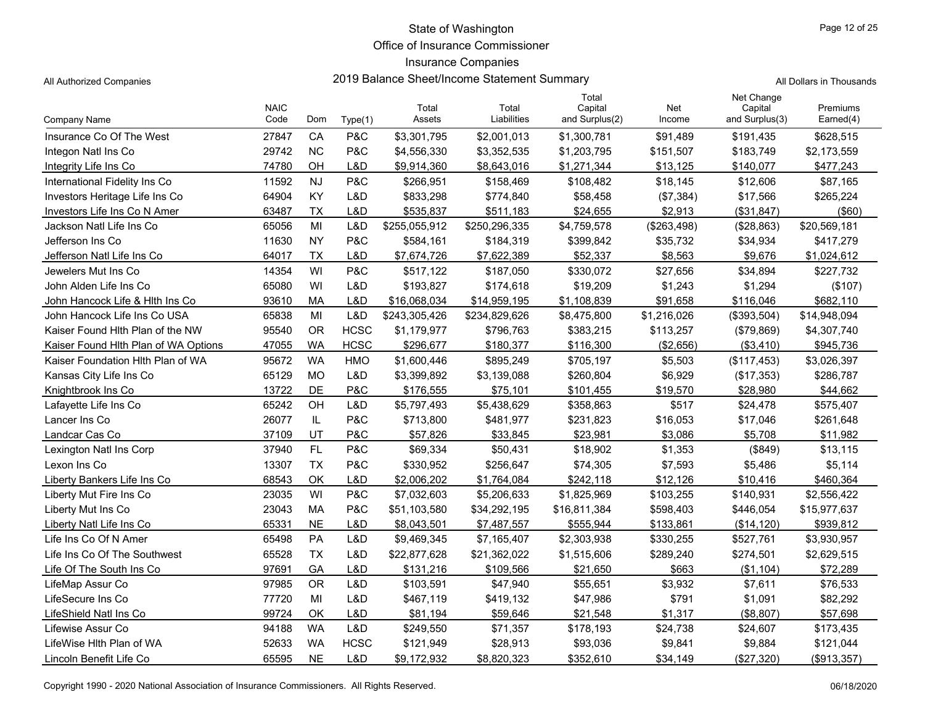Office of Insurance Commissioner

## Insurance Companies

All Authorized Companies **2019 Balance Sheet/Income Statement Summary** All Dollars in Thousands

| Page 12 of 25 |  |  |
|---------------|--|--|
|               |  |  |

| Company Name                         | <b>NAIC</b><br>Code | Dom           | Type(1)     | Total<br>Assets | Total<br>Liabilities | Total<br>Capital<br>and Surplus(2) | Net<br>Income | Net Change<br>Capital<br>and Surplus(3) | Premiums<br>Earned(4) |
|--------------------------------------|---------------------|---------------|-------------|-----------------|----------------------|------------------------------------|---------------|-----------------------------------------|-----------------------|
| Insurance Co Of The West             | 27847               | CA            | P&C         | \$3,301,795     | \$2,001,013          | \$1,300,781                        | \$91,489      | \$191,435                               | \$628,515             |
| Integon Natl Ins Co                  | 29742               | <b>NC</b>     | P&C         | \$4,556,330     | \$3,352,535          | \$1,203,795                        | \$151,507     | \$183,749                               | \$2,173,559           |
| Integrity Life Ins Co                | 74780               | OH            | L&D         | \$9,914,360     | \$8,643,016          | \$1,271,344                        | \$13,125      | \$140,077                               | \$477,243             |
| International Fidelity Ins Co        | 11592               | <b>NJ</b>     | P&C         | \$266,951       | \$158,469            | \$108,482                          | \$18,145      | \$12,606                                | \$87,165              |
| Investors Heritage Life Ins Co       | 64904               | KY            | L&D         | \$833,298       | \$774,840            | \$58,458                           | (\$7,384)     | \$17,566                                | \$265,224             |
| Investors Life Ins Co N Amer         | 63487               | <b>TX</b>     | L&D         | \$535,837       | \$511,183            | \$24,655                           | \$2,913       | (\$31,847)                              | $($ \$60)             |
| Jackson Natl Life Ins Co             | 65056               | MI            | L&D         | \$255,055,912   | \$250,296,335        | \$4,759,578                        | (\$263,498)   | (\$28,863)                              | \$20,569,181          |
| Jefferson Ins Co                     | 11630               | <b>NY</b>     | P&C         | \$584,161       | \$184,319            | \$399,842                          | \$35,732      | \$34,934                                | \$417,279             |
| Jefferson Natl Life Ins Co           | 64017               | <b>TX</b>     | L&D         | \$7,674,726     | \$7,622,389          | \$52,337                           | \$8,563       | \$9,676                                 | \$1,024,612           |
| Jewelers Mut Ins Co                  | 14354               | WI            | P&C         | \$517,122       | \$187,050            | \$330,072                          | \$27,656      | \$34,894                                | \$227,732             |
| John Alden Life Ins Co               | 65080               | WI            | L&D         | \$193,827       | \$174,618            | \$19,209                           | \$1,243       | \$1,294                                 | (\$107)               |
| John Hancock Life & Hith Ins Co      | 93610               | MA            | L&D         | \$16,068,034    | \$14,959,195         | \$1,108,839                        | \$91,658      | \$116,046                               | \$682,110             |
| John Hancock Life Ins Co USA         | 65838               | MI            | L&D         | \$243,305,426   | \$234,829,626        | \$8,475,800                        | \$1,216,026   | (\$393,504)                             | \$14,948,094          |
| Kaiser Found Hith Plan of the NW     | 95540               | <b>OR</b>     | <b>HCSC</b> | \$1,179,977     | \$796,763            | \$383,215                          | \$113,257     | (\$79,869)                              | \$4,307,740           |
| Kaiser Found Hith Plan of WA Options | 47055               | <b>WA</b>     | <b>HCSC</b> | \$296,677       | \$180,377            | \$116,300                          | (\$2,656)     | (\$3,410)                               | \$945,736             |
| Kaiser Foundation Hith Plan of WA    | 95672               | <b>WA</b>     | <b>HMO</b>  | \$1,600,446     | \$895,249            | \$705,197                          | \$5,503       | (\$117,453)                             | \$3,026,397           |
| Kansas City Life Ins Co              | 65129               | <b>MO</b>     | L&D         | \$3,399,892     | \$3,139,088          | \$260,804                          | \$6,929       | (\$17,353)                              | \$286,787             |
| Knightbrook Ins Co                   | 13722               | DE            | P&C         | \$176,555       | \$75,101             | \$101,455                          | \$19,570      | \$28,980                                | \$44,662              |
| Lafayette Life Ins Co                | 65242               | OH            | L&D         | \$5,797,493     | \$5,438,629          | \$358,863                          | \$517         | \$24,478                                | \$575,407             |
| Lancer Ins Co                        | 26077               | $\mathsf{IL}$ | P&C         | \$713,800       | \$481,977            | \$231,823                          | \$16,053      | \$17,046                                | \$261,648             |
| Landcar Cas Co                       | 37109               | UT            | P&C         | \$57,826        | \$33,845             | \$23,981                           | \$3,086       | \$5,708                                 | \$11,982              |
| Lexington Natl Ins Corp              | 37940               | FL.           | P&C         | \$69,334        | \$50,431             | \$18,902                           | \$1,353       | (\$849)                                 | \$13,115              |
| Lexon Ins Co                         | 13307               | <b>TX</b>     | P&C         | \$330,952       | \$256,647            | \$74,305                           | \$7,593       | \$5,486                                 | \$5,114               |
| Liberty Bankers Life Ins Co          | 68543               | OK            | L&D         | \$2,006,202     | \$1,764,084          | \$242.118                          | \$12,126      | \$10,416                                | \$460,364             |
| Liberty Mut Fire Ins Co              | 23035               | WI            | P&C         | \$7,032,603     | \$5,206,633          | \$1,825,969                        | \$103,255     | \$140,931                               | \$2,556,422           |
| Liberty Mut Ins Co                   | 23043               | <b>MA</b>     | P&C         | \$51,103,580    | \$34,292,195         | \$16,811,384                       | \$598,403     | \$446,054                               | \$15,977,637          |
| Liberty Natl Life Ins Co             | 65331               | <b>NE</b>     | L&D         | \$8,043,501     | \$7,487,557          | \$555,944                          | \$133,861     | (\$14, 120)                             | \$939,812             |
| Life Ins Co Of N Amer                | 65498               | PA            | L&D         | \$9,469,345     | \$7,165,407          | \$2,303,938                        | \$330,255     | \$527,761                               | \$3,930,957           |
| Life Ins Co Of The Southwest         | 65528               | <b>TX</b>     | L&D         | \$22,877,628    | \$21,362,022         | \$1,515,606                        | \$289,240     | \$274,501                               | \$2,629,515           |
| Life Of The South Ins Co             | 97691               | GA            | L&D         | \$131,216       | \$109,566            | \$21,650                           | \$663         | (\$1,104)                               | \$72,289              |
| LifeMap Assur Co                     | 97985               | <b>OR</b>     | L&D         | \$103,591       | \$47,940             | \$55,651                           | \$3,932       | \$7,611                                 | \$76,533              |
| LifeSecure Ins Co                    | 77720               | MI            | L&D         | \$467,119       | \$419,132            | \$47,986                           | \$791         | \$1,091                                 | \$82,292              |
| LifeShield Natl Ins Co               | 99724               | OK            | L&D         | \$81,194        | \$59,646             | \$21,548                           | \$1,317       | (\$8,807)                               | \$57,698              |
| Lifewise Assur Co                    | 94188               | <b>WA</b>     | L&D         | \$249,550       | \$71,357             | \$178,193                          | \$24,738      | \$24,607                                | \$173,435             |
| LifeWise Hith Plan of WA             | 52633               | <b>WA</b>     | <b>HCSC</b> | \$121,949       | \$28,913             | \$93,036                           | \$9,841       | \$9,884                                 | \$121,044             |
| Lincoln Benefit Life Co              | 65595               | <b>NE</b>     | L&D         | \$9,172,932     | \$8,820,323          | \$352,610                          | \$34,149      | (\$27,320)                              | (\$913,357)           |

Copyright 1990 - 2020 National Association of Insurance Commissioners. All Rights Reserved.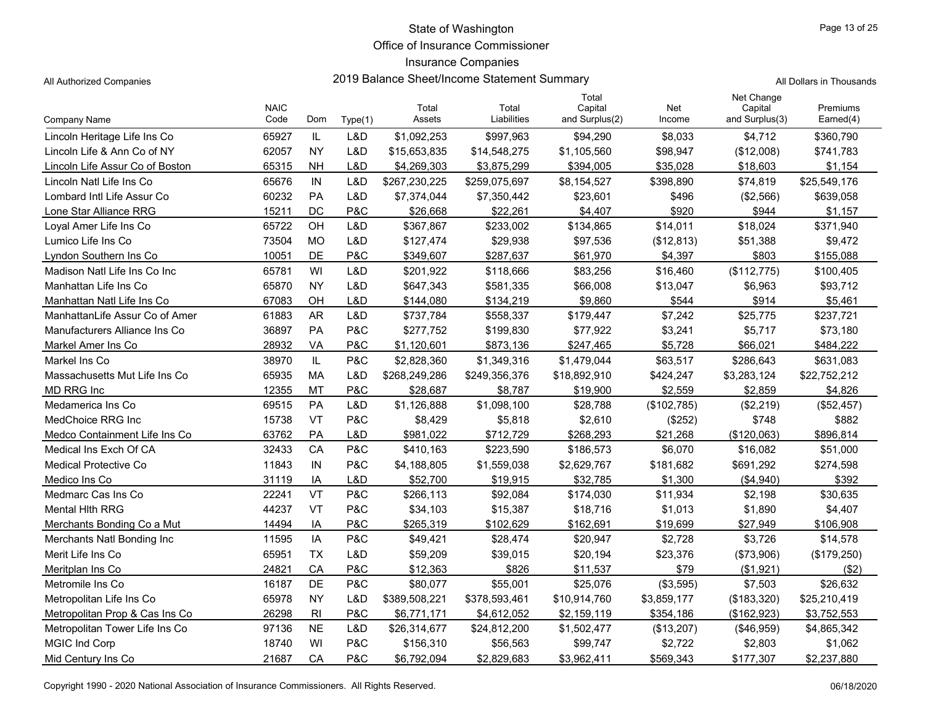Office of Insurance Commissioner

## Insurance Companies

| Page 13 of 25 |  |  |
|---------------|--|--|

All Authorized Companies **2019 Balance Sheet/Income Statement Summary** All Dollars in Thousands

|                                 | <b>NAIC</b> |           |         | Total         | Total         | Total<br>Capital | Net         | Net Change<br>Capital | Premiums     |
|---------------------------------|-------------|-----------|---------|---------------|---------------|------------------|-------------|-----------------------|--------------|
| <b>Company Name</b>             | Code        | Dom       | Type(1) | Assets        | Liabilities   | and Surplus(2)   | Income      | and Surplus(3)        | Earned(4)    |
| Lincoln Heritage Life Ins Co    | 65927       | IL        | L&D     | \$1,092,253   | \$997,963     | \$94,290         | \$8,033     | \$4,712               | \$360,790    |
| Lincoln Life & Ann Co of NY     | 62057       | <b>NY</b> | L&D     | \$15,653,835  | \$14,548,275  | \$1,105,560      | \$98,947    | (\$12,008)            | \$741,783    |
| Lincoln Life Assur Co of Boston | 65315       | NΗ        | L&D     | \$4,269,303   | \$3,875,299   | \$394,005        | \$35,028    | \$18,603              | \$1,154      |
| Lincoln Natl Life Ins Co        | 65676       | IN        | L&D     | \$267,230,225 | \$259,075,697 | \$8,154,527      | \$398,890   | \$74,819              | \$25,549,176 |
| Lombard Intl Life Assur Co      | 60232       | <b>PA</b> | L&D     | \$7,374,044   | \$7,350,442   | \$23,601         | \$496       | (\$2,566)             | \$639,058    |
| Lone Star Alliance RRG          | 15211       | DC        | P&C     | \$26.668      | \$22.261      | \$4.407          | \$920       | \$944                 | \$1.157      |
| Loval Amer Life Ins Co          | 65722       | OH        | L&D     | \$367,867     | \$233,002     | \$134,865        | \$14,011    | \$18,024              | \$371,940    |
| Lumico Life Ins Co              | 73504       | MO        | L&D     | \$127,474     | \$29,938      | \$97,536         | (\$12,813)  | \$51,388              | \$9,472      |
| Lyndon Southern Ins Co          | 10051       | DE        | P&C     | \$349,607     | \$287,637     | \$61,970         | \$4,397     | \$803                 | \$155,088    |
| Madison Natl Life Ins Co Inc    | 65781       | WI        | L&D     | \$201,922     | \$118,666     | \$83,256         | \$16,460    | (\$112,775)           | \$100,405    |
| Manhattan Life Ins Co           | 65870       | <b>NY</b> | L&D     | \$647,343     | \$581,335     | \$66,008         | \$13,047    | \$6,963               | \$93,712     |
| Manhattan Natl Life Ins Co      | 67083       | OH        | L&D     | \$144,080     | \$134,219     | \$9,860          | \$544       | \$914                 | \$5,461      |
| ManhattanLife Assur Co of Amer  | 61883       | <b>AR</b> | L&D     | \$737,784     | \$558,337     | \$179,447        | \$7,242     | \$25,775              | \$237,721    |
| Manufacturers Alliance Ins Co   | 36897       | PA        | P&C     | \$277,752     | \$199,830     | \$77,922         | \$3,241     | \$5,717               | \$73,180     |
| Markel Amer Ins Co              | 28932       | VA        | P&C     | \$1,120,601   | \$873,136     | \$247,465        | \$5,728     | \$66,021              | \$484,222    |
| Markel Ins Co                   | 38970       | IL        | P&C     | \$2,828,360   | \$1,349,316   | \$1,479,044      | \$63,517    | \$286,643             | \$631,083    |
| Massachusetts Mut Life Ins Co   | 65935       | <b>MA</b> | L&D     | \$268,249,286 | \$249,356,376 | \$18,892,910     | \$424,247   | \$3,283,124           | \$22,752,212 |
| <b>MD RRG Inc</b>               | 12355       | <b>MT</b> | P&C     | \$28,687      | \$8,787       | \$19,900         | \$2,559     | \$2,859               | \$4,826      |
| Medamerica Ins Co               | 69515       | PA        | L&D     | \$1,126,888   | \$1,098,100   | \$28,788         | (\$102,785) | (\$2,219)             | (\$52,457)   |
| MedChoice RRG Inc               | 15738       | VT        | P&C     | \$8,429       | \$5,818       | \$2,610          | (\$252)     | \$748                 | \$882        |
| Medco Containment Life Ins Co   | 63762       | PA        | L&D     | \$981,022     | \$712,729     | \$268,293        | \$21,268    | (\$120,063)           | \$896,814    |
| Medical Ins Exch Of CA          | 32433       | CA        | P&C     | \$410,163     | \$223,590     | \$186,573        | \$6,070     | \$16,082              | \$51,000     |
| <b>Medical Protective Co</b>    | 11843       | IN        | P&C     | \$4,188,805   | \$1,559,038   | \$2,629,767      | \$181,682   | \$691,292             | \$274,598    |
| Medico Ins Co                   | 31119       | IA        | L&D     | \$52,700      | \$19,915      | \$32,785         | \$1,300     | (\$4,940)             | \$392        |
| Medmarc Cas Ins Co              | 22241       | VT        | P&C     | \$266,113     | \$92,084      | \$174,030        | \$11,934    | \$2,198               | \$30,635     |
| Mental Hith RRG                 | 44237       | VT        | P&C     | \$34,103      | \$15,387      | \$18,716         | \$1,013     | \$1,890               | \$4,407      |
| Merchants Bonding Co a Mut      | 14494       | IA        | P&C     | \$265,319     | \$102,629     | \$162,691        | \$19,699    | \$27,949              | \$106,908    |
| Merchants Natl Bonding Inc      | 11595       | IA        | P&C     | \$49,421      | \$28,474      | \$20,947         | \$2,728     | \$3,726               | \$14,578     |
| Merit Life Ins Co               | 65951       | <b>TX</b> | L&D     | \$59,209      | \$39,015      | \$20,194         | \$23,376    | (\$73,906)            | (\$179,250)  |
| Meritplan Ins Co                | 24821       | CA        | P&C     | \$12,363      | \$826         | \$11,537         | \$79        | (\$1,921)             | ( \$2)       |
| Metromile Ins Co                | 16187       | DE        | P&C     | \$80,077      | \$55,001      | \$25,076         | (\$3,595)   | \$7,503               | \$26,632     |
| Metropolitan Life Ins Co        | 65978       | <b>NY</b> | L&D     | \$389,508,221 | \$378,593,461 | \$10,914,760     | \$3,859,177 | (\$183,320)           | \$25,210,419 |
| Metropolitan Prop & Cas Ins Co  | 26298       | RI        | P&C     | \$6,771,171   | \$4,612,052   | \$2,159,119      | \$354,186   | (\$162,923)           | \$3,752,553  |
| Metropolitan Tower Life Ins Co  | 97136       | <b>NE</b> | L&D     | \$26,314,677  | \$24,812,200  | \$1,502,477      | (\$13,207)  | (\$46,959)            | \$4,865,342  |
| <b>MGIC Ind Corp</b>            | 18740       | WI        | P&C     | \$156,310     | \$56,563      | \$99,747         | \$2,722     | \$2,803               | \$1,062      |
| Mid Century Ins Co              | 21687       | CA        | P&C     | \$6,792,094   | \$2,829,683   | \$3,962,411      | \$569,343   | \$177,307             | \$2,237,880  |

Copyright 1990 - 2020 National Association of Insurance Commissioners. All Rights Reserved.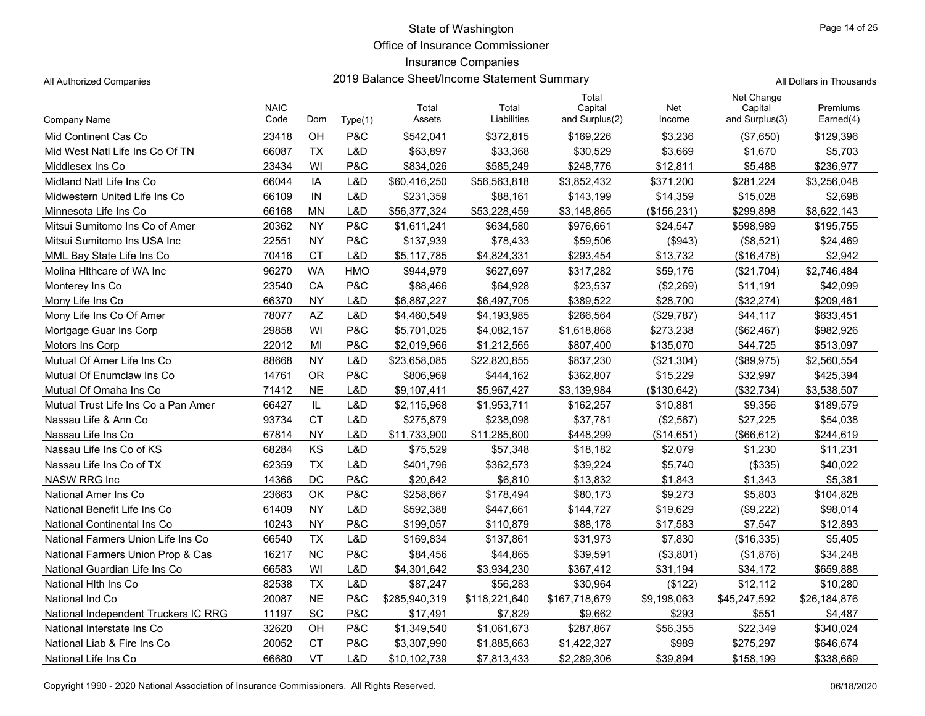Office of Insurance Commissioner

# Insurance Companies

|                                      | <b>NAIC</b> |               |                | Total         | Total         | Total<br>Capital | Net          | Net Change<br>Capital | Premiums     |
|--------------------------------------|-------------|---------------|----------------|---------------|---------------|------------------|--------------|-----------------------|--------------|
| Company Name                         | Code        | Dom           | Type(1)        | Assets        | Liabilities   | and Surplus(2)   | Income       | and Surplus(3)        | Earned(4)    |
| Mid Continent Cas Co                 | 23418       | OH            | <b>P&amp;C</b> | \$542,041     | \$372,815     | \$169,226        | \$3,236      | (\$7,650)             | \$129,396    |
| Mid West Natl Life Ins Co Of TN      | 66087       | <b>TX</b>     | L&D            | \$63,897      | \$33,368      | \$30,529         | \$3,669      | \$1,670               | \$5,703      |
| Middlesex Ins Co                     | 23434       | WI            | P&C            | \$834,026     | \$585,249     | \$248,776        | \$12,811     | \$5,488               | \$236,977    |
| Midland Natl Life Ins Co             | 66044       | IA            | L&D            | \$60,416,250  | \$56,563,818  | \$3,852,432      | \$371,200    | \$281,224             | \$3,256,048  |
| Midwestern United Life Ins Co        | 66109       | IN            | L&D            | \$231,359     | \$88,161      | \$143,199        | \$14,359     | \$15,028              | \$2,698      |
| Minnesota Life Ins Co                | 66168       | <b>MN</b>     | L&D            | \$56,377,324  | \$53,228,459  | \$3,148,865      | (\$156, 231) | \$299,898             | \$8,622,143  |
| Mitsui Sumitomo Ins Co of Amer       | 20362       | <b>NY</b>     | P&C            | \$1,611,241   | \$634,580     | \$976,661        | \$24,547     | \$598,989             | \$195,755    |
| Mitsui Sumitomo Ins USA Inc          | 22551       | <b>NY</b>     | P&C            | \$137,939     | \$78,433      | \$59,506         | (\$943)      | (\$8,521)             | \$24,469     |
| MML Bay State Life Ins Co            | 70416       | <b>CT</b>     | L&D            | \$5,117,785   | \$4,824,331   | \$293.454        | \$13,732     | (\$16,478)            | \$2,942      |
| Molina Hithcare of WA Inc            | 96270       | <b>WA</b>     | <b>HMO</b>     | \$944,979     | \$627,697     | \$317,282        | \$59,176     | (\$21,704)            | \$2,746,484  |
| Monterey Ins Co                      | 23540       | CA            | P&C            | \$88,466      | \$64,928      | \$23,537         | (\$2,269)    | \$11,191              | \$42,099     |
| Mony Life Ins Co                     | 66370       | <b>NY</b>     | L&D            | \$6,887,227   | \$6,497,705   | \$389,522        | \$28,700     | (\$32,274)            | \$209,461    |
| Mony Life Ins Co Of Amer             | 78077       | AZ            | L&D            | \$4,460,549   | \$4,193,985   | \$266.564        | (\$29,787)   | \$44,117              | \$633,451    |
| Mortgage Guar Ins Corp               | 29858       | WI            | P&C            | \$5,701,025   | \$4,082,157   | \$1,618,868      | \$273,238    | (\$62,467)            | \$982,926    |
| Motors Ins Corp                      | 22012       | MI            | P&C            | \$2,019,966   | \$1,212,565   | \$807,400        | \$135,070    | \$44,725              | \$513,097    |
| Mutual Of Amer Life Ins Co           | 88668       | <b>NY</b>     | L&D            | \$23,658,085  | \$22,820,855  | \$837,230        | (\$21,304)   | (\$89,975)            | \$2,560,554  |
| Mutual Of Enumclaw Ins Co            | 14761       | <b>OR</b>     | <b>P&amp;C</b> | \$806,969     | \$444,162     | \$362,807        | \$15,229     | \$32,997              | \$425,394    |
| Mutual Of Omaha Ins Co               | 71412       | <b>NE</b>     | L&D            | \$9,107,411   | \$5,967,427   | \$3,139,984      | (\$130,642)  | (\$32,734)            | \$3,538,507  |
| Mutual Trust Life Ins Co a Pan Amer  | 66427       | $\mathsf{IL}$ | L&D            | \$2,115,968   | \$1,953,711   | \$162,257        | \$10,881     | \$9,356               | \$189,579    |
| Nassau Life & Ann Co                 | 93734       | <b>CT</b>     | L&D            | \$275,879     | \$238,098     | \$37,781         | (\$2,567)    | \$27,225              | \$54,038     |
| Nassau Life Ins Co                   | 67814       | <b>NY</b>     | L&D            | \$11,733,900  | \$11,285,600  | \$448.299        | (\$14,651)   | (\$66, 612)           | \$244,619    |
| Nassau Life Ins Co of KS             | 68284       | KS            | L&D            | \$75,529      | \$57,348      | \$18,182         | \$2,079      | \$1,230               | \$11,231     |
| Nassau Life Ins Co of TX             | 62359       | <b>TX</b>     | L&D            | \$401,796     | \$362,573     | \$39,224         | \$5,740      | (\$335)               | \$40,022     |
| <b>NASW RRG Inc</b>                  | 14366       | DC            | P&C            | \$20,642      | \$6,810       | \$13,832         | \$1,843      | \$1,343               | \$5,381      |
| National Amer Ins Co                 | 23663       | OK            | <b>P&amp;C</b> | \$258,667     | \$178,494     | \$80,173         | \$9,273      | \$5,803               | \$104,828    |
| National Benefit Life Ins Co         | 61409       | <b>NY</b>     | L&D            | \$592,388     | \$447,661     | \$144,727        | \$19,629     | (\$9,222)             | \$98,014     |
| National Continental Ins Co          | 10243       | <b>NY</b>     | P&C            | \$199,057     | \$110,879     | \$88.178         | \$17.583     | \$7,547               | \$12,893     |
| National Farmers Union Life Ins Co   | 66540       | <b>TX</b>     | L&D            | \$169,834     | \$137,861     | \$31,973         | \$7,830      | (\$16,335)            | \$5,405      |
| National Farmers Union Prop & Cas    | 16217       | <b>NC</b>     | P&C            | \$84,456      | \$44,865      | \$39,591         | (\$3,801)    | (\$1,876)             | \$34,248     |
| National Guardian Life Ins Co        | 66583       | WI            | L&D            | \$4,301,642   | \$3,934,230   | \$367,412        | \$31.194     | \$34,172              | \$659,888    |
| National Hith Ins Co                 | 82538       | <b>TX</b>     | L&D            | \$87,247      | \$56,283      | \$30,964         | (\$122)      | \$12,112              | \$10,280     |
| National Ind Co                      | 20087       | <b>NE</b>     | P&C            | \$285,940,319 | \$118,221,640 | \$167,718,679    | \$9,198,063  | \$45,247,592          | \$26,184,876 |
| National Independent Truckers IC RRG | 11197       | SC            | P&C            | \$17,491      | \$7,829       | \$9,662          | \$293        | \$551                 | \$4,487      |
| National Interstate Ins Co           | 32620       | OH            | P&C            | \$1,349,540   | \$1,061,673   | \$287,867        | \$56,355     | \$22,349              | \$340,024    |
| National Liab & Fire Ins Co          | 20052       | <b>CT</b>     | P&C            | \$3,307,990   | \$1,885,663   | \$1,422,327      | \$989        | \$275,297             | \$646,674    |
| National Life Ins Co                 | 66680       | VT            | L&D            | \$10.102.739  | \$7,813,433   | \$2.289.306      | \$39.894     | \$158.199             | \$338.669    |

Copyright 1990 - 2020 National Association of Insurance Commissioners. All Rights Reserved. 06/18/2020 Commissioners. All Rights Reserved.

All Authorized Companies **2019 Balance Sheet/Income Statement Summary** All Dollars in Thousands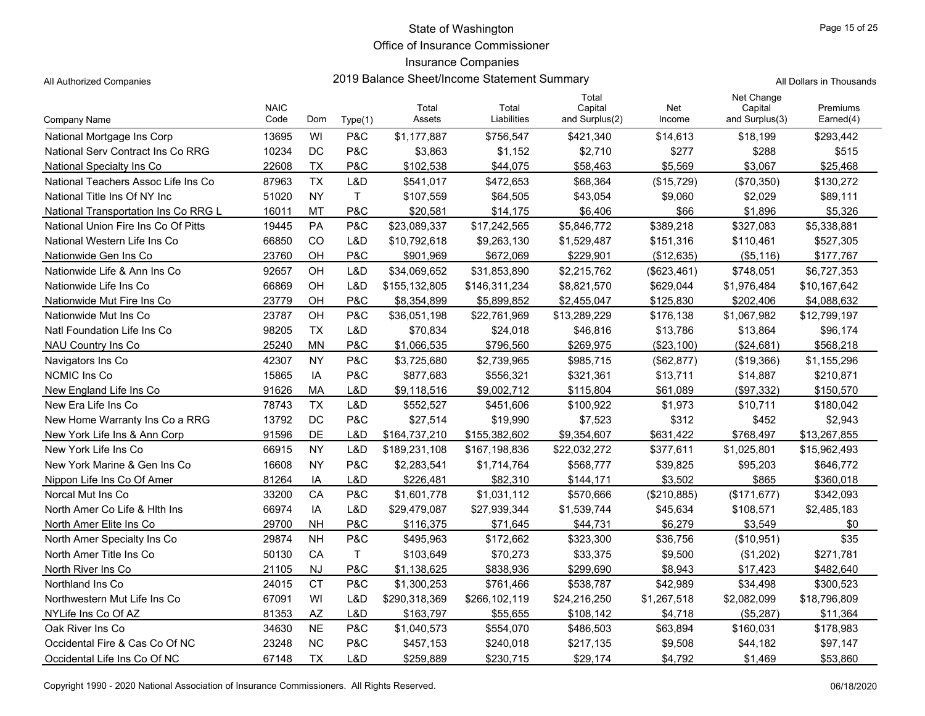Office of Insurance Commissioner

## Insurance Companies

All Authorized Companies **2019 Balance Sheet/Income Statement Summary** All Dollars in Thousands

|                                      | <b>NAIC</b> |           |              | Total         | Total         | Total<br>Capital | Net         | Net Change<br>Capital | Premiums     |
|--------------------------------------|-------------|-----------|--------------|---------------|---------------|------------------|-------------|-----------------------|--------------|
| Company Name                         | Code        | Dom       | Type(1)      | Assets        | Liabilities   | and Surplus(2)   | Income      | and Surplus(3)        | Earned(4)    |
| National Mortgage Ins Corp           | 13695       | WI        | P&C          | \$1,177,887   | \$756,547     | \$421,340        | \$14,613    | \$18,199              | \$293,442    |
| National Serv Contract Ins Co RRG    | 10234       | DC        | P&C          | \$3,863       | \$1,152       | \$2,710          | \$277       | \$288                 | \$515        |
| National Specialty Ins Co            | 22608       | <b>TX</b> | P&C          | \$102,538     | \$44,075      | \$58,463         | \$5,569     | \$3,067               | \$25,468     |
| National Teachers Assoc Life Ins Co  | 87963       | <b>TX</b> | L&D          | \$541,017     | \$472,653     | \$68,364         | (\$15,729)  | (\$70,350)            | \$130,272    |
| National Title Ins Of NY Inc         | 51020       | <b>NY</b> | T.           | \$107,559     | \$64,505      | \$43,054         | \$9,060     | \$2,029               | \$89,111     |
| National Transportation Ins Co RRG L | 16011       | MT        | P&C          | \$20,581      | \$14,175      | \$6,406          | \$66        | \$1,896               | \$5,326      |
| National Union Fire Ins Co Of Pitts  | 19445       | PA        | P&C          | \$23,089,337  | \$17,242,565  | \$5,846,772      | \$389,218   | \$327,083             | \$5,338,881  |
| National Western Life Ins Co         | 66850       | <b>CO</b> | L&D          | \$10,792,618  | \$9,263,130   | \$1,529,487      | \$151,316   | \$110,461             | \$527,305    |
| Nationwide Gen Ins Co                | 23760       | OH        | P&C          | \$901,969     | \$672,069     | \$229,901        | (\$12,635)  | (\$5,116)             | \$177,767    |
| Nationwide Life & Ann Ins Co         | 92657       | OH        | L&D          | \$34,069,652  | \$31,853,890  | \$2,215,762      | (\$623,461) | \$748,051             | \$6,727,353  |
| Nationwide Life Ins Co               | 66869       | OH        | L&D          | \$155,132,805 | \$146,311,234 | \$8,821,570      | \$629,044   | \$1,976,484           | \$10,167,642 |
| Nationwide Mut Fire Ins Co           | 23779       | OH        | P&C          | \$8,354,899   | \$5,899,852   | \$2,455,047      | \$125,830   | \$202,406             | \$4,088,632  |
| Nationwide Mut Ins Co                | 23787       | OH        | P&C          | \$36,051,198  | \$22,761,969  | \$13,289,229     | \$176,138   | \$1,067,982           | \$12,799,197 |
| Natl Foundation Life Ins Co          | 98205       | <b>TX</b> | L&D          | \$70,834      | \$24,018      | \$46,816         | \$13,786    | \$13,864              | \$96,174     |
| <b>NAU Country Ins Co</b>            | 25240       | <b>MN</b> | P&C          | \$1,066,535   | \$796,560     | \$269.975        | (\$23,100)  | (\$24,681)            | \$568,218    |
| Navigators Ins Co                    | 42307       | <b>NY</b> | P&C          | \$3,725,680   | \$2,739,965   | \$985,715        | (\$62, 877) | (\$19,366)            | \$1,155,296  |
| <b>NCMIC Ins Co</b>                  | 15865       | IA        | P&C          | \$877,683     | \$556,321     | \$321,361        | \$13.711    | \$14,887              | \$210,871    |
| New England Life Ins Co              | 91626       | <b>MA</b> | L&D          | \$9,118,516   | \$9,002,712   | \$115,804        | \$61,089    | (\$97,332)            | \$150,570    |
| New Era Life Ins Co                  | 78743       | <b>TX</b> | L&D          | \$552,527     | \$451,606     | \$100,922        | \$1,973     | \$10,711              | \$180,042    |
| New Home Warranty Ins Co a RRG       | 13792       | DC        | P&C          | \$27,514      | \$19,990      | \$7,523          | \$312       | \$452                 | \$2,943      |
| New York Life Ins & Ann Corp         | 91596       | DE        | L&D          | \$164,737,210 | \$155,382,602 | \$9.354.607      | \$631.422   | \$768.497             | \$13,267,855 |
| New York Life Ins Co                 | 66915       | <b>NY</b> | L&D          | \$189,231,108 | \$167,198,836 | \$22,032,272     | \$377,611   | \$1,025,801           | \$15,962,493 |
| New York Marine & Gen Ins Co         | 16608       | <b>NY</b> | P&C          | \$2,283,541   | \$1,714,764   | \$568,777        | \$39,825    | \$95,203              | \$646,772    |
| Nippon Life Ins Co Of Amer           | 81264       | IA        | L&D          | \$226,481     | \$82,310      | \$144,171        | \$3,502     | \$865                 | \$360,018    |
| Norcal Mut Ins Co                    | 33200       | CA        | P&C          | \$1,601,778   | \$1,031,112   | \$570,666        | (\$210,885) | (\$171, 677)          | \$342,093    |
| North Amer Co Life & Hith Ins        | 66974       | IA        | L&D          | \$29,479,087  | \$27,939,344  | \$1,539,744      | \$45,634    | \$108,571             | \$2,485,183  |
| North Amer Elite Ins Co              | 29700       | <b>NH</b> | P&C          | \$116,375     | \$71,645      | \$44,731         | \$6,279     | \$3,549               | \$0          |
| North Amer Specialty Ins Co.         | 29874       | <b>NH</b> | P&C          | \$495,963     | \$172,662     | \$323,300        | \$36,756    | (\$10,951)            | \$35         |
| North Amer Title Ins Co              | 50130       | CA        | $\mathsf{T}$ | \$103,649     | \$70,273      | \$33,375         | \$9,500     | (\$1,202)             | \$271,781    |
| North River Ins Co                   | 21105       | <b>NJ</b> | P&C          | \$1,138,625   | \$838,936     | \$299,690        | \$8,943     | \$17,423              | \$482,640    |
| Northland Ins Co                     | 24015       | <b>CT</b> | P&C          | \$1,300,253   | \$761,466     | \$538,787        | \$42,989    | \$34,498              | \$300,523    |
| Northwestern Mut Life Ins Co         | 67091       | WI        | L&D          | \$290,318,369 | \$266,102,119 | \$24,216,250     | \$1,267,518 | \$2,082,099           | \$18,796,809 |
| NYLife Ins Co Of AZ                  | 81353       | <b>AZ</b> | L&D          | \$163,797     | \$55,655      | \$108,142        | \$4,718     | (\$5,287)             | \$11,364     |
| Oak River Ins Co                     | 34630       | <b>NE</b> | P&C          | \$1,040,573   | \$554,070     | \$486,503        | \$63,894    | \$160,031             | \$178,983    |
| Occidental Fire & Cas Co Of NC       | 23248       | <b>NC</b> | P&C          | \$457,153     | \$240,018     | \$217,135        | \$9,508     | \$44,182              | \$97,147     |
| Occidental Life Ins Co Of NC         | 67148       | <b>TX</b> | L&D          | \$259.889     | \$230,715     | \$29,174         | \$4,792     | \$1,469               | \$53,860     |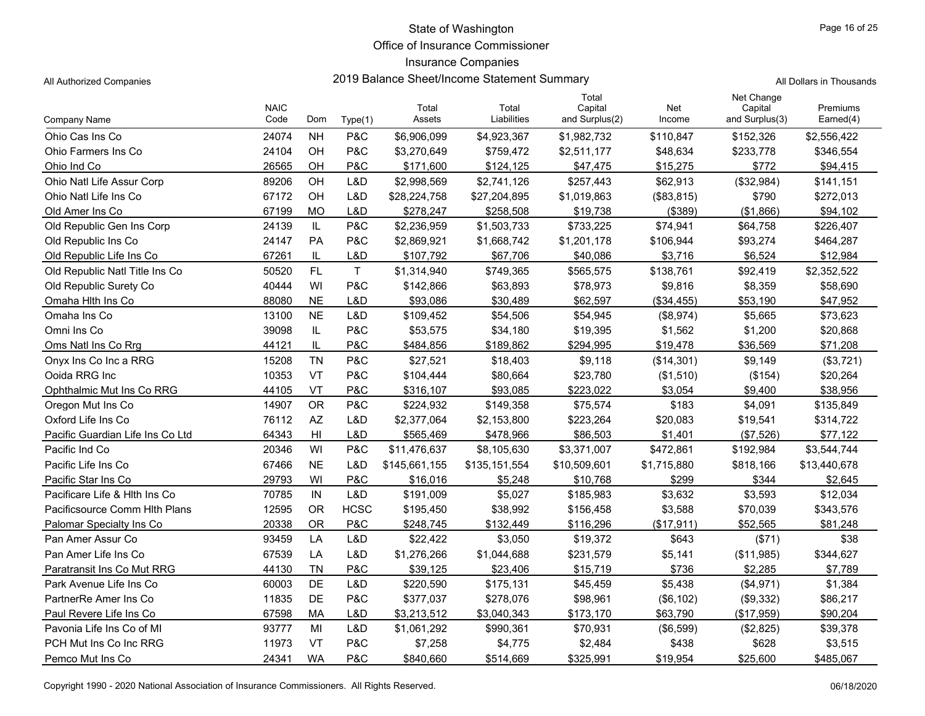Office of Insurance Commissioner

## Insurance Companies

All Authorized Companies **2019 Balance Sheet/Income Statement Summary** All Authorized Companies

|  | Il Dollars in Thousands |
|--|-------------------------|
|  |                         |

|                                  | <b>NAIC</b> |                |             | Total         | Total         | Total<br>Capital | Net         | Net Change<br>Capital | Premiums     |
|----------------------------------|-------------|----------------|-------------|---------------|---------------|------------------|-------------|-----------------------|--------------|
| Company Name                     | Code        | Dom            | Type(1)     | Assets        | Liabilities   | and Surplus(2)   | Income      | and Surplus(3)        | Earned(4)    |
| Ohio Cas Ins Co                  | 24074       | <b>NH</b>      | P&C         | \$6,906,099   | \$4,923,367   | \$1,982,732      | \$110,847   | \$152,326             | \$2,556,422  |
| Ohio Farmers Ins Co              | 24104       | OH             | P&C         | \$3,270,649   | \$759,472     | \$2,511,177      | \$48,634    | \$233,778             | \$346,554    |
| Ohio Ind Co                      | 26565       | OH             | P&C         | \$171,600     | \$124,125     | \$47,475         | \$15,275    | \$772                 | \$94,415     |
| Ohio Natl Life Assur Corp        | 89206       | OH             | L&D         | \$2,998,569   | \$2,741,126   | \$257,443        | \$62,913    | (\$32,984)            | \$141,151    |
| Ohio Natl Life Ins Co            | 67172       | OH             | L&D         | \$28,224,758  | \$27,204,895  | \$1,019,863      | (\$83,815)  | \$790                 | \$272,013    |
| Old Amer Ins Co                  | 67199       | MO             | L&D         | \$278.247     | \$258.508     | \$19.738         | (\$389)     | (\$1,866)             | \$94.102     |
| Old Republic Gen Ins Corp        | 24139       | IL             | P&C         | \$2,236,959   | \$1,503,733   | \$733,225        | \$74,941    | \$64,758              | \$226,407    |
| Old Republic Ins Co              | 24147       | <b>PA</b>      | P&C         | \$2,869,921   | \$1,668,742   | \$1,201,178      | \$106,944   | \$93,274              | \$464,287    |
| Old Republic Life Ins Co         | 67261       | IL             | L&D         | \$107,792     | \$67,706      | \$40,086         | \$3,716     | \$6,524               | \$12,984     |
| Old Republic Natl Title Ins Co   | 50520       | FL             | T           | \$1,314,940   | \$749,365     | \$565,575        | \$138,761   | \$92,419              | \$2,352,522  |
| Old Republic Surety Co.          | 40444       | WI             | P&C         | \$142,866     | \$63,893      | \$78,973         | \$9,816     | \$8,359               | \$58,690     |
| Omaha Hith Ins Co                | 88080       | <b>NE</b>      | L&D         | \$93,086      | \$30,489      | \$62,597         | (\$34,455)  | \$53,190              | \$47,952     |
| Omaha Ins Co                     | 13100       | <b>NE</b>      | L&D         | \$109,452     | \$54,506      | \$54,945         | (\$8,974)   | \$5,665               | \$73,623     |
| Omni Ins Co                      | 39098       | IL             | P&C         | \$53,575      | \$34,180      | \$19,395         | \$1,562     | \$1,200               | \$20,868     |
| Oms Natl Ins Co Rrg              | 44121       | IL             | P&C         | \$484,856     | \$189,862     | \$294.995        | \$19,478    | \$36,569              | \$71,208     |
| Onyx Ins Co Inc a RRG            | 15208       | <b>TN</b>      | P&C         | \$27,521      | \$18,403      | \$9,118          | (\$14,301)  | \$9,149               | (\$3,721)    |
| Ooida RRG Inc                    | 10353       | <b>VT</b>      | P&C         | \$104,444     | \$80,664      | \$23,780         | (\$1,510)   | (\$154)               | \$20,264     |
| Ophthalmic Mut Ins Co RRG        | 44105       | VT             | P&C         | \$316,107     | \$93,085      | \$223,022        | \$3.054     | \$9,400               | \$38,956     |
| Oregon Mut Ins Co                | 14907       | <b>OR</b>      | P&C         | \$224,932     | \$149,358     | \$75,574         | \$183       | \$4,091               | \$135,849    |
| Oxford Life Ins Co               | 76112       | <b>AZ</b>      | L&D         | \$2,377,064   | \$2,153,800   | \$223,264        | \$20,083    | \$19,541              | \$314,722    |
| Pacific Guardian Life Ins Co Ltd | 64343       | H <sub>l</sub> | L&D         | \$565,469     | \$478,966     | \$86,503         | \$1,401     | (\$7,526)             | \$77,122     |
| Pacific Ind Co                   | 20346       | WI             | P&C         | \$11,476,637  | \$8,105,630   | \$3,371,007      | \$472,861   | \$192,984             | \$3,544,744  |
| Pacific Life Ins Co              | 67466       | <b>NE</b>      | L&D         | \$145,661,155 | \$135,151,554 | \$10,509,601     | \$1,715,880 | \$818,166             | \$13,440,678 |
| Pacific Star Ins Co              | 29793       | WI             | P&C         | \$16,016      | \$5,248       | \$10,768         | \$299       | \$344                 | \$2,645      |
| Pacificare Life & Hith Ins Co    | 70785       | IN             | L&D         | \$191,009     | \$5,027       | \$185,983        | \$3,632     | \$3,593               | \$12,034     |
| Pacificsource Comm Hith Plans    | 12595       | <b>OR</b>      | <b>HCSC</b> | \$195,450     | \$38,992      | \$156,458        | \$3,588     | \$70,039              | \$343,576    |
| Palomar Specialty Ins Co         | 20338       | ΟR             | P&C         | \$248,745     | \$132,449     | \$116,296        | (\$17,911)  | \$52,565              | \$81,248     |
| Pan Amer Assur Co                | 93459       | LA             | L&D         | \$22,422      | \$3,050       | \$19,372         | \$643       | (\$71)                | \$38         |
| Pan Amer Life Ins Co             | 67539       | LA             | L&D         | \$1,276,266   | \$1,044,688   | \$231,579        | \$5,141     | (\$11,985)            | \$344,627    |
| Paratransit Ins Co Mut RRG       | 44130       | <b>TN</b>      | P&C         | \$39,125      | \$23,406      | \$15,719         | \$736       | \$2,285               | \$7,789      |
| Park Avenue Life Ins Co          | 60003       | DE             | L&D         | \$220,590     | \$175,131     | \$45,459         | \$5,438     | (\$4,971)             | \$1,384      |
| PartnerRe Amer Ins Co            | 11835       | DE             | P&C         | \$377,037     | \$278,076     | \$98,961         | (\$6, 102)  | (\$9,332)             | \$86,217     |
| Paul Revere Life Ins Co          | 67598       | MA             | L&D         | \$3,213,512   | \$3,040,343   | \$173,170        | \$63,790    | (\$17,959)            | \$90,204     |
| Pavonia Life Ins Co of MI        | 93777       | MI             | L&D         | \$1,061,292   | \$990,361     | \$70,931         | (\$6,599)   | (\$2,825)             | \$39,378     |
| PCH Mut Ins Co Inc RRG           | 11973       | VT             | P&C         | \$7,258       | \$4,775       | \$2,484          | \$438       | \$628                 | \$3,515      |
| Pemco Mut Ins Co                 | 24341       | <b>WA</b>      | P&C         | \$840,660     | \$514,669     | \$325,991        | \$19,954    | \$25,600              | \$485,067    |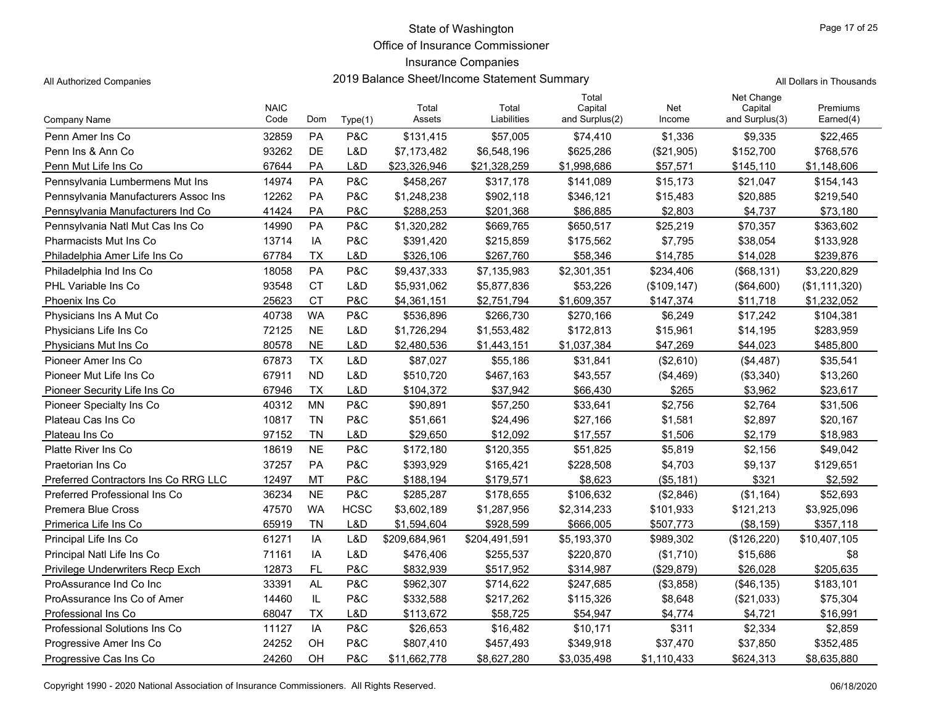Office of Insurance Commissioner

### Insurance Companies

All Authorized Companies **2019 Balance Sheet/Income Statement Summary** A

|  |  | All Dollars in Thousands |
|--|--|--------------------------|
|--|--|--------------------------|

|                                      | <b>NAIC</b> |           |             | Total         | Total         | Total<br>Capital | Net          | Net Change<br>Capital | Premiums      |
|--------------------------------------|-------------|-----------|-------------|---------------|---------------|------------------|--------------|-----------------------|---------------|
| Company Name                         | Code        | Dom       | Type(1)     | Assets        | Liabilities   | and Surplus(2)   | Income       | and Surplus(3)        | Earned(4)     |
| Penn Amer Ins Co                     | 32859       | <b>PA</b> | P&C         | \$131,415     | \$57,005      | \$74,410         | \$1,336      | \$9,335               | \$22,465      |
| Penn Ins & Ann Co                    | 93262       | <b>DE</b> | L&D         | \$7,173,482   | \$6,548,196   | \$625,286        | (\$21,905)   | \$152,700             | \$768,576     |
| Penn Mut Life Ins Co                 | 67644       | PA        | L&D         | \$23,326,946  | \$21,328,259  | \$1,998,686      | \$57,571     | \$145,110             | \$1,148,606   |
| Pennsylvania Lumbermens Mut Ins      | 14974       | <b>PA</b> | P&C         | \$458,267     | \$317,178     | \$141,089        | \$15,173     | \$21,047              | \$154,143     |
| Pennsylvania Manufacturers Assoc Ins | 12262       | <b>PA</b> | P&C         | \$1,248,238   | \$902,118     | \$346,121        | \$15,483     | \$20,885              | \$219,540     |
| Pennsylvania Manufacturers Ind Co    | 41424       | PA        | P&C         | \$288,253     | \$201,368     | \$86,885         | \$2,803      | \$4,737               | \$73,180      |
| Pennsylvania Natl Mut Cas Ins Co     | 14990       | PA        | P&C         | \$1,320,282   | \$669,765     | \$650,517        | \$25,219     | \$70,357              | \$363,602     |
| Pharmacists Mut Ins Co               | 13714       | IA        | P&C         | \$391,420     | \$215,859     | \$175,562        | \$7,795      | \$38,054              | \$133,928     |
| Philadelphia Amer Life Ins Co        | 67784       | <b>TX</b> | L&D         | \$326,106     | \$267,760     | \$58,346         | \$14,785     | \$14,028              | \$239,876     |
| Philadelphia Ind Ins Co              | 18058       | PA        | P&C         | \$9,437,333   | \$7,135,983   | \$2,301,351      | \$234,406    | (\$68,131)            | \$3,220,829   |
| <b>PHL Variable Ins Co</b>           | 93548       | <b>CT</b> | L&D         | \$5,931,062   | \$5,877,836   | \$53,226         | (\$109, 147) | (\$64,600)            | (\$1,111,320) |
| Phoenix Ins Co                       | 25623       | <b>CT</b> | P&C         | \$4,361,151   | \$2,751,794   | \$1,609,357      | \$147,374    | \$11,718              | \$1,232,052   |
| Physicians Ins A Mut Co              | 40738       | <b>WA</b> | P&C         | \$536,896     | \$266,730     | \$270,166        | \$6,249      | \$17,242              | \$104,381     |
| Physicians Life Ins Co               | 72125       | <b>NE</b> | L&D         | \$1,726,294   | \$1,553,482   | \$172,813        | \$15,961     | \$14,195              | \$283,959     |
| Physicians Mut Ins Co                | 80578       | <b>NE</b> | L&D         | \$2,480,536   | \$1,443,151   | \$1,037,384      | \$47,269     | \$44,023              | \$485,800     |
| Pioneer Amer Ins Co                  | 67873       | <b>TX</b> | L&D         | \$87,027      | \$55,186      | \$31,841         | (\$2,610)    | (\$4,487)             | \$35,541      |
| Pioneer Mut Life Ins Co              | 67911       | <b>ND</b> | L&D         | \$510,720     | \$467,163     | \$43,557         | (\$4,469)    | (\$3,340)             | \$13,260      |
| Pioneer Security Life Ins Co         | 67946       | <b>TX</b> | L&D         | \$104.372     | \$37,942      | \$66,430         | \$265        | \$3,962               | \$23,617      |
| Pioneer Specialty Ins Co             | 40312       | <b>MN</b> | P&C         | \$90.891      | \$57,250      | \$33.641         | \$2.756      | \$2,764               | \$31,506      |
| Plateau Cas Ins Co                   | 10817       | <b>TN</b> | P&C         | \$51,661      | \$24,496      | \$27,166         | \$1,581      | \$2,897               | \$20,167      |
| Plateau Ins Co                       | 97152       | <b>TN</b> | L&D         | \$29,650      | \$12,092      | \$17,557         | \$1,506      | \$2,179               | \$18,983      |
| Platte River Ins Co.                 | 18619       | <b>NE</b> | P&C         | \$172,180     | \$120,355     | \$51,825         | \$5,819      | \$2,156               | \$49,042      |
| Praetorian Ins Co                    | 37257       | PA        | P&C         | \$393,929     | \$165,421     | \$228,508        | \$4,703      | \$9,137               | \$129,651     |
| Preferred Contractors Ins Co RRG LLC | 12497       | <b>MT</b> | P&C         | \$188,194     | \$179,571     | \$8,623          | (\$5,181)    | \$321                 | \$2,592       |
| Preferred Professional Ins Co        | 36234       | <b>NE</b> | P&C         | \$285,287     | \$178,655     | \$106,632        | (\$2,846)    | (\$1,164)             | \$52,693      |
| Premera Blue Cross                   | 47570       | <b>WA</b> | <b>HCSC</b> | \$3,602,189   | \$1,287,956   | \$2,314,233      | \$101,933    | \$121,213             | \$3,925,096   |
| Primerica Life Ins Co                | 65919       | <b>TN</b> | L&D         | \$1,594,604   | \$928,599     | \$666,005        | \$507,773    | ( \$8, 159)           | \$357,118     |
| Principal Life Ins Co                | 61271       | IA        | L&D         | \$209,684,961 | \$204,491,591 | \$5,193,370      | \$989,302    | (\$126,220)           | \$10,407,105  |
| Principal Natl Life Ins Co           | 71161       | IA        | L&D         | \$476,406     | \$255,537     | \$220,870        | (\$1,710)    | \$15,686              | \$8           |
| Privilege Underwriters Recp Exch     | 12873       | FL        | P&C         | \$832,939     | \$517,952     | \$314,987        | (\$29,879)   | \$26,028              | \$205,635     |
| ProAssurance Ind Co Inc              | 33391       | <b>AL</b> | P&C         | \$962,307     | \$714,622     | \$247,685        | (\$3,858)    | (\$46, 135)           | \$183,101     |
| ProAssurance Ins Co of Amer          | 14460       | IL        | P&C         | \$332,588     | \$217,262     | \$115,326        | \$8,648      | (\$21,033)            | \$75,304      |
| Professional Ins Co                  | 68047       | <b>TX</b> | L&D         | \$113,672     | \$58,725      | \$54,947         | \$4.774      | \$4,721               | \$16,991      |
| Professional Solutions Ins Co        | 11127       | IA        | P&C         | \$26,653      | \$16,482      | \$10,171         | \$311        | \$2,334               | \$2,859       |
| Progressive Amer Ins Co              | 24252       | OH        | P&C         | \$807,410     | \$457,493     | \$349,918        | \$37,470     | \$37,850              | \$352,485     |
| Progressive Cas Ins Co               | 24260       | <b>OH</b> | P&C         | \$11,662,778  | \$8,627,280   | \$3,035,498      | \$1,110,433  | \$624,313             | \$8,635,880   |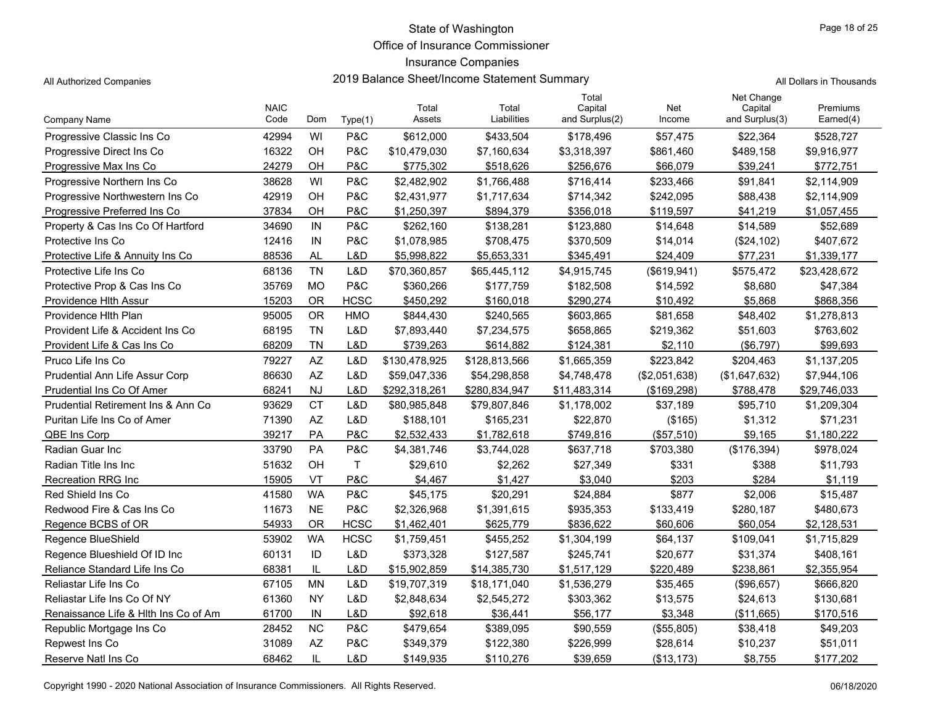Office of Insurance Commissioner

## Insurance Companies

|                                      |             |              |                |               |               | Total          |               | Net Change     |              |
|--------------------------------------|-------------|--------------|----------------|---------------|---------------|----------------|---------------|----------------|--------------|
|                                      | <b>NAIC</b> |              |                | Total         | Total         | Capital        | Net           | Capital        | Premiums     |
| <b>Company Name</b>                  | Code        | Dom          | Type(1)        | Assets        | Liabilities   | and Surplus(2) | Income        | and Surplus(3) | Earned(4)    |
| Progressive Classic Ins Co           | 42994       | WI           | P&C            | \$612,000     | \$433,504     | \$178,496      | \$57,475      | \$22,364       | \$528,727    |
| Progressive Direct Ins Co            | 16322       | OH           | P&C            | \$10,479,030  | \$7,160,634   | \$3,318,397    | \$861,460     | \$489,158      | \$9,916,977  |
| Progressive Max Ins Co               | 24279       | OH           | P&C            | \$775,302     | \$518,626     | \$256,676      | \$66,079      | \$39,241       | \$772,751    |
| Progressive Northern Ins Co          | 38628       | WI           | P&C            | \$2,482,902   | \$1,766,488   | \$716,414      | \$233,466     | \$91,841       | \$2,114,909  |
| Progressive Northwestern Ins Co      | 42919       | OH           | P&C            | \$2,431,977   | \$1,717,634   | \$714,342      | \$242,095     | \$88,438       | \$2,114,909  |
| Progressive Preferred Ins Co         | 37834       | OH           | P&C            | \$1,250,397   | \$894,379     | \$356,018      | \$119,597     | \$41,219       | \$1,057,455  |
| Property & Cas Ins Co Of Hartford    | 34690       | IN           | P&C            | \$262,160     | \$138,281     | \$123,880      | \$14,648      | \$14,589       | \$52,689     |
| Protective Ins Co                    | 12416       | IN           | <b>P&amp;C</b> | \$1,078,985   | \$708,475     | \$370,509      | \$14,014      | (\$24,102)     | \$407,672    |
| Protective Life & Annuity Ins Co     | 88536       | <b>AL</b>    | L&D            | \$5,998,822   | \$5,653,331   | \$345,491      | \$24,409      | \$77,231       | \$1,339,177  |
| Protective Life Ins Co               | 68136       | <b>TN</b>    | L&D            | \$70,360,857  | \$65,445,112  | \$4,915,745    | (\$619,941)   | \$575,472      | \$23,428,672 |
| Protective Prop & Cas Ins Co         | 35769       | <b>MO</b>    | P&C            | \$360,266     | \$177,759     | \$182,508      | \$14,592      | \$8,680        | \$47,384     |
| Providence Hlth Assur                | 15203       | <b>OR</b>    | <b>HCSC</b>    | \$450,292     | \$160,018     | \$290,274      | \$10.492      | \$5,868        | \$868,356    |
| Providence Hith Plan                 | 95005       | <b>OR</b>    | <b>HMO</b>     | \$844,430     | \$240,565     | \$603,865      | \$81,658      | \$48,402       | \$1,278,813  |
| Provident Life & Accident Ins Co     | 68195       | <b>TN</b>    | L&D            | \$7,893,440   | \$7,234,575   | \$658,865      | \$219,362     | \$51,603       | \$763,602    |
| Provident Life & Cas Ins Co          | 68209       | TN           | L&D            | \$739,263     | \$614,882     | \$124,381      | \$2,110       | $(\$6,797)$    | \$99,693     |
| Pruco Life Ins Co                    | 79227       | <b>AZ</b>    | L&D            | \$130,478,925 | \$128,813,566 | \$1,665,359    | \$223,842     | \$204,463      | \$1,137,205  |
| Prudential Ann Life Assur Corp       | 86630       | AZ           | L&D            | \$59,047,336  | \$54,298,858  | \$4,748,478    | (\$2,051,638) | (\$1,647,632)  | \$7,944,106  |
| Prudential Ins Co Of Amer            | 68241       | NJ           | L&D            | \$292,318,261 | \$280,834,947 | \$11,483,314   | (\$169,298)   | \$788,478      | \$29,746,033 |
| Prudential Retirement Ins & Ann Co.  | 93629       | <b>CT</b>    | L&D            | \$80,985,848  | \$79,807,846  | \$1,178,002    | \$37,189      | \$95,710       | \$1,209,304  |
| Puritan Life Ins Co of Amer          | 71390       | AZ           | L&D            | \$188,101     | \$165,231     | \$22,870       | (\$165)       | \$1,312        | \$71,231     |
| QBE Ins Corp                         | 39217       | PA           | <b>P&amp;C</b> | \$2,532,433   | \$1,782,618   | \$749,816      | (\$57,510)    | \$9,165        | \$1,180,222  |
| Radian Guar Inc                      | 33790       | PA           | P&C            | \$4,381,746   | \$3,744,028   | \$637,718      | \$703,380     | (\$176,394)    | \$978,024    |
| Radian Title Ins Inc.                | 51632       | OH           | $\sf T$        | \$29,610      | \$2,262       | \$27,349       | \$331         | \$388          | \$11,793     |
| <b>Recreation RRG Inc.</b>           | 15905       | VT           | P&C            | \$4,467       | \$1,427       | \$3,040        | \$203         | \$284          | \$1,119      |
| Red Shield Ins Co                    | 41580       | <b>WA</b>    | P&C            | \$45,175      | \$20,291      | \$24,884       | \$877         | \$2,006        | \$15,487     |
| Redwood Fire & Cas Ins Co            | 11673       | <b>NE</b>    | <b>P&amp;C</b> | \$2,326,968   | \$1,391,615   | \$935,353      | \$133,419     | \$280,187      | \$480,673    |
| Regence BCBS of OR                   | 54933       | <b>OR</b>    | <b>HCSC</b>    | \$1,462,401   | \$625,779     | \$836,622      | \$60,606      | \$60,054       | \$2,128,531  |
| Regence BlueShield                   | 53902       | <b>WA</b>    | <b>HCSC</b>    | \$1,759,451   | \$455,252     | \$1,304,199    | \$64,137      | \$109,041      | \$1,715,829  |
| Regence Blueshield Of ID Inc         | 60131       | ID           | L&D            | \$373,328     | \$127,587     | \$245,741      | \$20,677      | \$31,374       | \$408,161    |
| Reliance Standard Life Ins Co        | 68381       | IL           | L&D            | \$15,902,859  | \$14,385,730  | \$1,517,129    | \$220,489     | \$238,861      | \$2,355,954  |
| Reliastar Life Ins Co                | 67105       | <b>MN</b>    | L&D            | \$19,707,319  | \$18,171,040  | \$1,536,279    | \$35,465      | (\$96,657)     | \$666,820    |
| Reliastar Life Ins Co Of NY          | 61360       | <b>NY</b>    | L&D            | \$2,848,634   | \$2,545,272   | \$303,362      | \$13,575      | \$24,613       | \$130,681    |
| Renaissance Life & Hlth Ins Co of Am | 61700       | IN           | L&D            | \$92,618      | \$36,441      | \$56,177       | \$3,348       | (\$11,665)     | \$170,516    |
| Republic Mortgage Ins Co             | 28452       | <b>NC</b>    | P&C            | \$479,654     | \$389,095     | \$90,559       | (\$55,805)    | \$38,418       | \$49,203     |
| Repwest Ins Co                       | 31089       | <b>AZ</b>    | <b>P&amp;C</b> | \$349,379     | \$122,380     | \$226,999      | \$28,614      | \$10,237       | \$51,011     |
| Reserve Natl Ins Co                  | 68462       | $\mathbf{H}$ | L&D            | \$149,935     | \$110,276     | \$39,659       | (\$13, 173)   | \$8,755        | \$177,202    |

All Authorized Companies **2019 Balance Sheet/Income Statement Summary** All Dollars in Thousands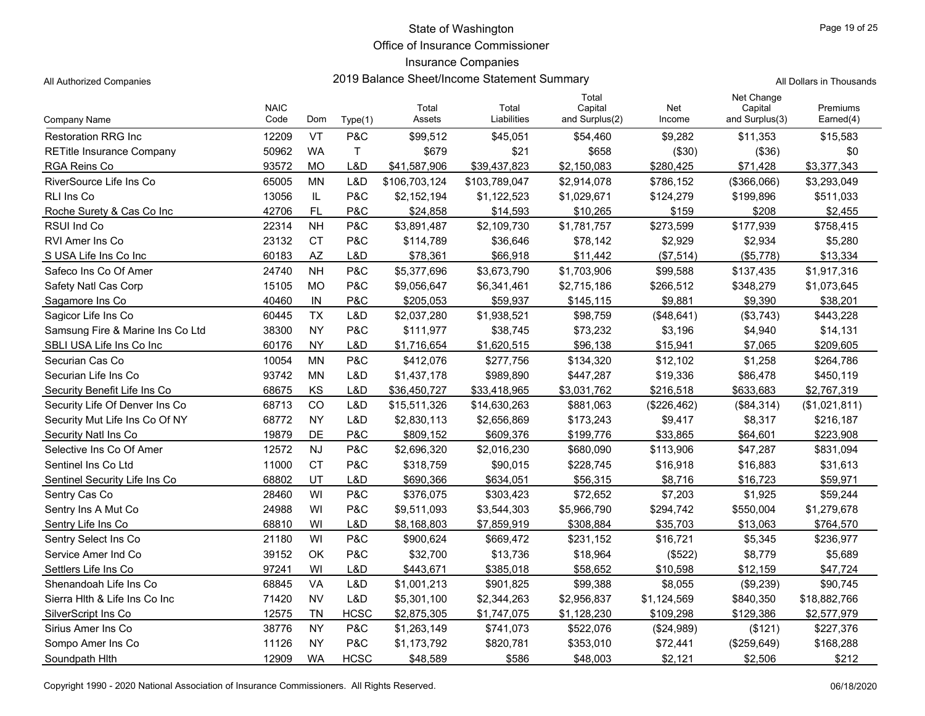Office of Insurance Commissioner

## Insurance Companies

All Authorized Companies **2019 Balance Sheet/Income Statement Summary** All Dollars in Thousands

Page 19 of 25

|                                  | <b>NAIC</b> |           |             | Total         | Total         | Total<br>Capital | Net         | Net Change<br>Capital | Premiums      |
|----------------------------------|-------------|-----------|-------------|---------------|---------------|------------------|-------------|-----------------------|---------------|
| Company Name                     | Code        | Dom       | Type(1)     | Assets        | Liabilities   | and Surplus(2)   | Income      | and Surplus(3)        | Earned(4)     |
| <b>Restoration RRG Inc.</b>      | 12209       | VT        | P&C         | \$99,512      | \$45,051      | \$54,460         | \$9,282     | \$11,353              | \$15,583      |
| <b>RETitle Insurance Company</b> | 50962       | <b>WA</b> | T.          | \$679         | \$21          | \$658            | (\$30)      | (\$36)                | \$0           |
| RGA Reins Co                     | 93572       | <b>MO</b> | L&D         | \$41,587,906  | \$39,437,823  | \$2,150,083      | \$280,425   | \$71,428              | \$3,377,343   |
| RiverSource Life Ins Co          | 65005       | <b>MN</b> | L&D         | \$106,703,124 | \$103,789,047 | \$2,914,078      | \$786,152   | (\$366,066)           | \$3,293,049   |
| <b>RLI Ins Co</b>                | 13056       | IL.       | P&C         | \$2,152,194   | \$1,122,523   | \$1,029,671      | \$124,279   | \$199,896             | \$511,033     |
| Roche Surety & Cas Co Inc        | 42706       | <b>FL</b> | P&C         | \$24,858      | \$14,593      | \$10,265         | \$159       | \$208                 | \$2,455       |
| <b>RSUI Ind Co</b>               | 22314       | <b>NH</b> | P&C         | \$3,891,487   | \$2,109,730   | \$1,781,757      | \$273,599   | \$177,939             | \$758,415     |
| <b>RVI Amer Ins Co</b>           | 23132       | <b>CT</b> | P&C         | \$114,789     | \$36,646      | \$78,142         | \$2,929     | \$2,934               | \$5,280       |
| S USA Life Ins Co Inc            | 60183       | <b>AZ</b> | L&D         | \$78,361      | \$66,918      | \$11,442         | (\$7,514)   | (\$5,778)             | \$13,334      |
| Safeco Ins Co Of Amer            | 24740       | <b>NH</b> | P&C         | \$5,377,696   | \$3,673,790   | \$1,703,906      | \$99,588    | \$137,435             | \$1,917,316   |
| Safety Natl Cas Corp             | 15105       | <b>MO</b> | P&C         | \$9,056,647   | \$6,341,461   | \$2,715,186      | \$266,512   | \$348,279             | \$1,073,645   |
| Sagamore Ins Co                  | 40460       | IN        | P&C         | \$205,053     | \$59,937      | \$145,115        | \$9,881     | \$9,390               | \$38,201      |
| Sagicor Life Ins Co              | 60445       | <b>TX</b> | L&D         | \$2,037,280   | \$1,938,521   | \$98,759         | (\$48,641)  | (\$3,743)             | \$443,228     |
| Samsung Fire & Marine Ins Co Ltd | 38300       | <b>NY</b> | P&C         | \$111,977     | \$38,745      | \$73,232         | \$3,196     | \$4,940               | \$14,131      |
| SBLI USA Life Ins Co Inc         | 60176       | <b>NY</b> | L&D         | \$1,716,654   | \$1,620,515   | \$96,138         | \$15,941    | \$7,065               | \$209,605     |
| Securian Cas Co                  | 10054       | <b>MN</b> | P&C         | \$412,076     | \$277,756     | \$134,320        | \$12,102    | \$1,258               | \$264,786     |
| Securian Life Ins Co             | 93742       | <b>MN</b> | L&D         | \$1,437,178   | \$989,890     | \$447,287        | \$19,336    | \$86,478              | \$450,119     |
| Security Benefit Life Ins Co     | 68675       | KS        | L&D         | \$36,450,727  | \$33,418,965  | \$3,031,762      | \$216,518   | \$633,683             | \$2,767,319   |
| Security Life Of Denver Ins Co   | 68713       | CO        | L&D         | \$15,511,326  | \$14,630,263  | \$881,063        | (\$226,462) | (\$84,314)            | (\$1,021,811) |
| Security Mut Life Ins Co Of NY   | 68772       | <b>NY</b> | L&D         | \$2,830,113   | \$2,656,869   | \$173,243        | \$9,417     | \$8,317               | \$216,187     |
| Security Natl Ins Co             | 19879       | DE        | P&C         | \$809.152     | \$609,376     | \$199,776        | \$33.865    | \$64,601              | \$223.908     |
| Selective Ins Co Of Amer         | 12572       | <b>NJ</b> | P&C         | \$2,696,320   | \$2,016,230   | \$680,090        | \$113,906   | \$47,287              | \$831,094     |
| Sentinel Ins Co Ltd              | 11000       | <b>CT</b> | P&C         | \$318,759     | \$90,015      | \$228,745        | \$16,918    | \$16,883              | \$31,613      |
| Sentinel Security Life Ins Co    | 68802       | UT        | L&D         | \$690,366     | \$634,051     | \$56,315         | \$8,716     | \$16,723              | \$59,971      |
| Sentry Cas Co                    | 28460       | WI        | P&C         | \$376,075     | \$303,423     | \$72,652         | \$7,203     | \$1,925               | \$59,244      |
| Sentry Ins A Mut Co              | 24988       | WI        | P&C         | \$9,511,093   | \$3,544,303   | \$5,966,790      | \$294,742   | \$550,004             | \$1,279,678   |
| Sentry Life Ins Co               | 68810       | WI        | L&D         | \$8,168,803   | \$7,859,919   | \$308,884        | \$35,703    | \$13,063              | \$764,570     |
| Sentry Select Ins Co             | 21180       | WI        | P&C         | \$900,624     | \$669,472     | \$231,152        | \$16,721    | \$5,345               | \$236,977     |
| Service Amer Ind Co              | 39152       | OK        | P&C         | \$32,700      | \$13,736      | \$18,964         | (\$522)     | \$8,779               | \$5,689       |
| Settlers Life Ins Co             | 97241       | WI        | L&D         | \$443,671     | \$385,018     | \$58,652         | \$10,598    | \$12,159              | \$47,724      |
| Shenandoah Life Ins Co           | 68845       | VA        | L&D         | \$1,001,213   | \$901,825     | \$99,388         | \$8,055     | (\$9,239)             | \$90,745      |
| Sierra Hith & Life Ins Co Inc    | 71420       | <b>NV</b> | L&D         | \$5,301,100   | \$2,344,263   | \$2,956,837      | \$1,124,569 | \$840,350             | \$18,882,766  |
| SilverScript Ins Co              | 12575       | <b>TN</b> | <b>HCSC</b> | \$2,875,305   | \$1,747,075   | \$1,128,230      | \$109,298   | \$129,386             | \$2,577,979   |
| Sirius Amer Ins Co               | 38776       | <b>NY</b> | P&C         | \$1,263,149   | \$741,073     | \$522,076        | (\$24,989)  | (\$121)               | \$227,376     |
| Sompo Amer Ins Co                | 11126       | <b>NY</b> | P&C         | \$1,173,792   | \$820,781     | \$353,010        | \$72,441    | (\$259,649)           | \$168,288     |
| Soundpath Hith                   | 12909       | <b>WA</b> | <b>HCSC</b> | \$48,589      | \$586         | \$48,003         | \$2,121     | \$2,506               | \$212         |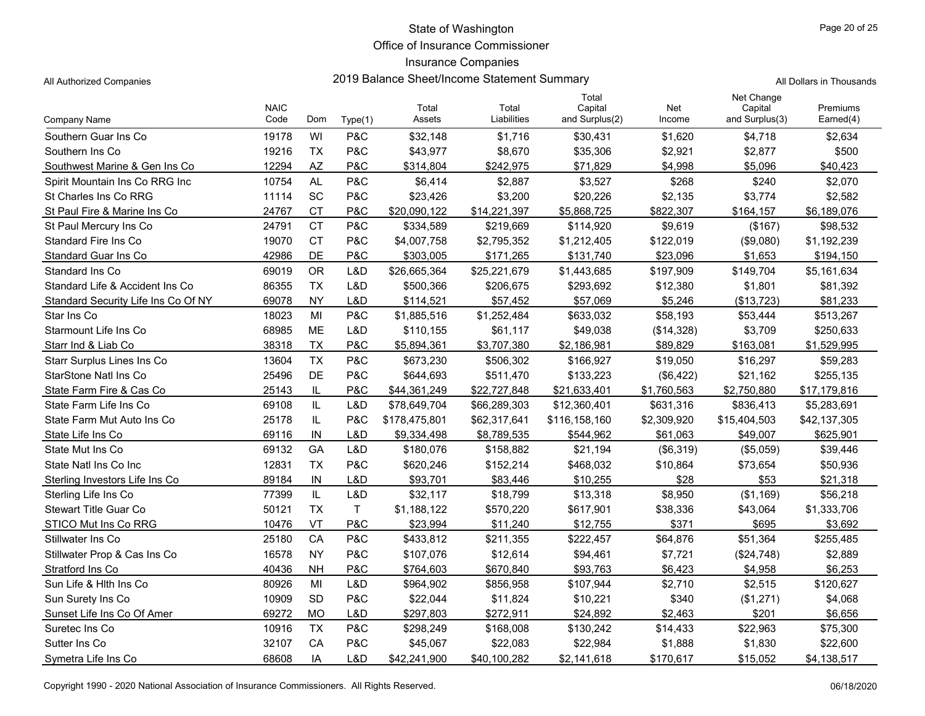Office of Insurance Commissioner

### Insurance Companies

All Authorized Companies **2019 Balance Sheet/Income Statement Summary** A

|  |  | All Dollars in Thousands |
|--|--|--------------------------|
|--|--|--------------------------|

|                                     | <b>NAIC</b> |           |         | Total         | Total        | Total<br>Capital | Net         | Net Change<br>Capital | Premiums     |
|-------------------------------------|-------------|-----------|---------|---------------|--------------|------------------|-------------|-----------------------|--------------|
| Company Name                        | Code        | Dom       | Type(1) | Assets        | Liabilities  | and Surplus(2)   | Income      | and Surplus(3)        | Earned(4)    |
| Southern Guar Ins Co                | 19178       | WI        | P&C     | \$32,148      | \$1,716      | \$30,431         | \$1,620     | \$4,718               | \$2,634      |
| Southern Ins Co                     | 19216       | <b>TX</b> | P&C     | \$43,977      | \$8,670      | \$35,306         | \$2,921     | \$2,877               | \$500        |
| Southwest Marine & Gen Ins Co.      | 12294       | <b>AZ</b> | P&C     | \$314,804     | \$242,975    | \$71,829         | \$4,998     | \$5,096               | \$40,423     |
| Spirit Mountain Ins Co RRG Inc      | 10754       | <b>AL</b> | P&C     | \$6,414       | \$2,887      | \$3,527          | \$268       | \$240                 | \$2,070      |
| St Charles Ins Co RRG               | 11114       | SC        | P&C     | \$23,426      | \$3,200      | \$20,226         | \$2,135     | \$3,774               | \$2,582      |
| St Paul Fire & Marine Ins Co        | 24767       | <b>CT</b> | P&C     | \$20,090,122  | \$14,221,397 | \$5,868,725      | \$822,307   | \$164.157             | \$6,189,076  |
| St Paul Mercury Ins Co              | 24791       | <b>CT</b> | P&C     | \$334,589     | \$219,669    | \$114,920        | \$9,619     | (\$167)               | \$98,532     |
| Standard Fire Ins Co                | 19070       | <b>CT</b> | P&C     | \$4,007,758   | \$2,795,352  | \$1,212,405      | \$122,019   | (\$9,080)             | \$1,192,239  |
| Standard Guar Ins Co                | 42986       | DE        | P&C     | \$303,005     | \$171,265    | \$131,740        | \$23,096    | \$1,653               | \$194,150    |
| Standard Ins Co                     | 69019       | <b>OR</b> | L&D     | \$26,665,364  | \$25,221,679 | \$1,443,685      | \$197,909   | \$149,704             | \$5,161,634  |
| Standard Life & Accident Ins Co     | 86355       | <b>TX</b> | L&D     | \$500,366     | \$206,675    | \$293,692        | \$12,380    | \$1,801               | \$81,392     |
| Standard Security Life Ins Co Of NY | 69078       | <b>NY</b> | L&D     | \$114,521     | \$57,452     | \$57,069         | \$5,246     | (\$13,723)            | \$81,233     |
| Star Ins Co                         | 18023       | MI        | P&C     | \$1,885,516   | \$1,252,484  | \$633,032        | \$58,193    | \$53,444              | \$513,267    |
| Starmount Life Ins Co               | 68985       | <b>ME</b> | L&D     | \$110,155     | \$61,117     | \$49,038         | (\$14,328)  | \$3,709               | \$250,633    |
| Starr Ind & Liab Co                 | 38318       | <b>TX</b> | P&C     | \$5,894,361   | \$3,707,380  | \$2,186,981      | \$89,829    | \$163,081             | \$1,529,995  |
| <b>Starr Surplus Lines Ins Co</b>   | 13604       | <b>TX</b> | P&C     | \$673,230     | \$506,302    | \$166,927        | \$19,050    | \$16,297              | \$59,283     |
| StarStone Natl Ins Co               | 25496       | DE        | P&C     | \$644.693     | \$511,470    | \$133,223        | (\$6,422)   | \$21,162              | \$255,135    |
| State Farm Fire & Cas Co            | 25143       | IL        | P&C     | \$44,361,249  | \$22,727,848 | \$21,633,401     | \$1,760,563 | \$2,750,880           | \$17,179,816 |
| State Farm Life Ins Co              | 69108       | IL        | L&D     | \$78,649,704  | \$66,289,303 | \$12,360,401     | \$631,316   | \$836,413             | \$5,283,691  |
| State Farm Mut Auto Ins Co          | 25178       | IL        | P&C     | \$178,475,801 | \$62,317,641 | \$116,158,160    | \$2,309,920 | \$15,404,503          | \$42,137,305 |
| State Life Ins Co                   | 69116       | IN        | L&D     | \$9,334,498   | \$8,789,535  | \$544,962        | \$61,063    | \$49,007              | \$625,901    |
| State Mut Ins Co                    | 69132       | GA        | L&D     | \$180,076     | \$158,882    | \$21,194         | (\$6,319)   | (\$5,059)             | \$39,446     |
| State Natl Ins Co Inc               | 12831       | <b>TX</b> | P&C     | \$620,246     | \$152,214    | \$468,032        | \$10,864    | \$73,654              | \$50,936     |
| Sterling Investors Life Ins Co      | 89184       | IN        | L&D     | \$93,701      | \$83,446     | \$10,255         | \$28        | \$53                  | \$21,318     |
| Sterling Life Ins Co                | 77399       | IL        | L&D     | \$32,117      | \$18,799     | \$13,318         | \$8,950     | (\$1,169)             | \$56,218     |
| <b>Stewart Title Guar Co</b>        | 50121       | <b>TX</b> | T       | \$1,188,122   | \$570,220    | \$617,901        | \$38,336    | \$43,064              | \$1,333,706  |
| STICO Mut Ins Co RRG                | 10476       | VT        | P&C     | \$23.994      | \$11,240     | \$12.755         | \$371       | \$695                 | \$3,692      |
| Stillwater Ins Co                   | 25180       | CA        | P&C     | \$433,812     | \$211,355    | \$222,457        | \$64,876    | \$51,364              | \$255,485    |
| Stillwater Prop & Cas Ins Co        | 16578       | <b>NY</b> | P&C     | \$107,076     | \$12,614     | \$94,461         | \$7,721     | (\$24,748)            | \$2,889      |
| Stratford Ins Co                    | 40436       | <b>NH</b> | P&C     | \$764,603     | \$670,840    | \$93,763         | \$6,423     | \$4,958               | \$6,253      |
| Sun Life & Hith Ins Co              | 80926       | MI        | L&D     | \$964,902     | \$856,958    | \$107,944        | \$2,710     | \$2,515               | \$120,627    |
| Sun Surety Ins Co                   | 10909       | <b>SD</b> | P&C     | \$22,044      | \$11,824     | \$10,221         | \$340       | (\$1,271)             | \$4,068      |
| Sunset Life Ins Co Of Amer          | 69272       | <b>MO</b> | L&D     | \$297,803     | \$272,911    | \$24,892         | \$2,463     | \$201                 | \$6,656      |
| Suretec Ins Co                      | 10916       | <b>TX</b> | P&C     | \$298,249     | \$168,008    | \$130,242        | \$14,433    | \$22,963              | \$75,300     |
| Sutter Ins Co                       | 32107       | CA        | P&C     | \$45,067      | \$22,083     | \$22,984         | \$1,888     | \$1,830               | \$22,600     |
| Symetra Life Ins Co                 | 68608       | IA        | L&D     | \$42,241,900  | \$40,100,282 | \$2,141,618      | \$170,617   | \$15,052              | \$4,138,517  |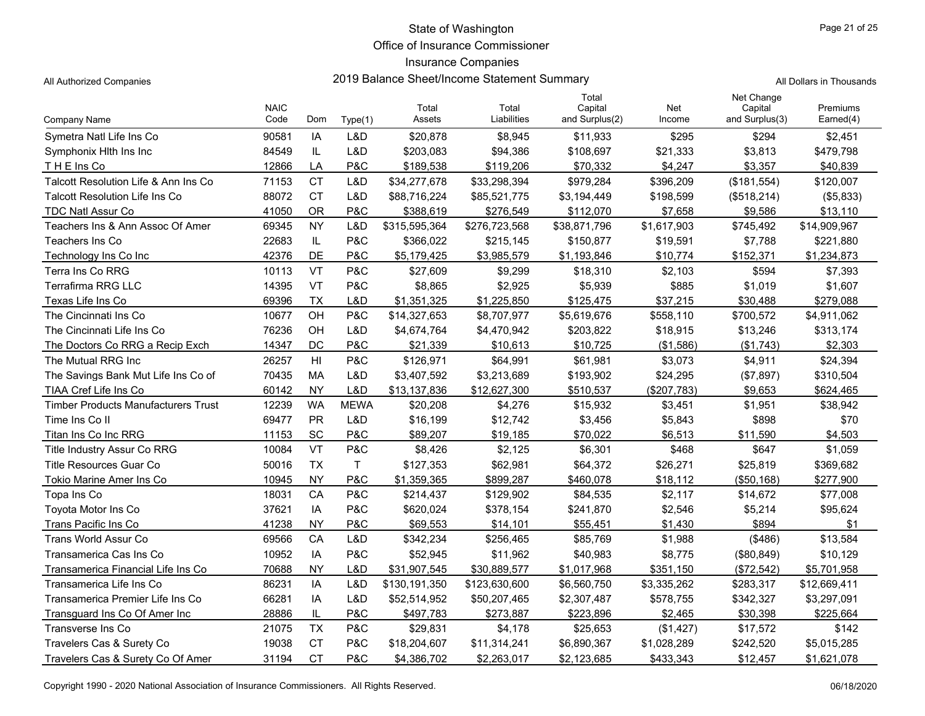Office of Insurance Commissioner

### Insurance Companies

All Authorized Companies **2019 Balance Sheet/Income Statement Summary** A

|  |  | All Dollars in Thousands |
|--|--|--------------------------|
|--|--|--------------------------|

|                                            | <b>NAIC</b> |                |              | Total         | Total         | Total<br>Capital | Net         | Net Change<br>Capital | Premiums     |
|--------------------------------------------|-------------|----------------|--------------|---------------|---------------|------------------|-------------|-----------------------|--------------|
| Company Name                               | Code        | Dom            | Type(1)      | Assets        | Liabilities   | and Surplus(2)   | Income      | and Surplus(3)        | Earned(4)    |
| Symetra Natl Life Ins Co                   | 90581       | IA             | L&D          | \$20,878      | \$8,945       | \$11,933         | \$295       | \$294                 | \$2,451      |
| Symphonix Hith Ins Inc                     | 84549       | IL             | L&D          | \$203,083     | \$94,386      | \$108,697        | \$21,333    | \$3,813               | \$479,798    |
| THE Ins Co                                 | 12866       | LA             | P&C          | \$189,538     | \$119,206     | \$70,332         | \$4,247     | \$3,357               | \$40,839     |
| Talcott Resolution Life & Ann Ins Co       | 71153       | <b>CT</b>      | L&D          | \$34,277,678  | \$33,298,394  | \$979,284        | \$396,209   | (\$181,554)           | \$120,007    |
| Talcott Resolution Life Ins Co             | 88072       | <b>CT</b>      | L&D          | \$88,716,224  | \$85,521,775  | \$3,194,449      | \$198,599   | (\$518,214)           | (\$5,833)    |
| <b>TDC Natl Assur Co</b>                   | 41050       | <b>OR</b>      | P&C          | \$388.619     | \$276,549     | \$112,070        | \$7.658     | \$9,586               | \$13,110     |
| Teachers Ins & Ann Assoc Of Amer           | 69345       | <b>NY</b>      | L&D          | \$315,595,364 | \$276,723,568 | \$38,871,796     | \$1,617,903 | \$745,492             | \$14,909,967 |
| Teachers Ins Co                            | 22683       | IL             | P&C          | \$366,022     | \$215,145     | \$150,877        | \$19,591    | \$7,788               | \$221,880    |
| Technology Ins Co Inc                      | 42376       | DE             | P&C          | \$5,179,425   | \$3,985,579   | \$1,193,846      | \$10,774    | \$152,371             | \$1,234,873  |
| Terra Ins Co RRG                           | 10113       | <b>VT</b>      | P&C          | \$27,609      | \$9,299       | \$18,310         | \$2,103     | \$594                 | \$7,393      |
| <b>Terrafirma RRG LLC</b>                  | 14395       | VT             | P&C          | \$8,865       | \$2,925       | \$5,939          | \$885       | \$1,019               | \$1,607      |
| Texas Life Ins Co                          | 69396       | <b>TX</b>      | L&D          | \$1,351,325   | \$1,225,850   | \$125.475        | \$37,215    | \$30.488              | \$279,088    |
| The Cincinnati Ins Co.                     | 10677       | OH             | P&C          | \$14,327,653  | \$8,707,977   | \$5,619,676      | \$558,110   | \$700,572             | \$4,911,062  |
| The Cincinnati Life Ins Co                 | 76236       | OH             | L&D          | \$4,674,764   | \$4,470,942   | \$203,822        | \$18,915    | \$13,246              | \$313,174    |
| The Doctors Co RRG a Recip Exch            | 14347       | <b>DC</b>      | P&C          | \$21,339      | \$10,613      | \$10.725         | (\$1,586)   | (\$1,743)             | \$2,303      |
| The Mutual RRG Inc                         | 26257       | H <sub>l</sub> | P&C          | \$126,971     | \$64,991      | \$61,981         | \$3,073     | \$4,911               | \$24,394     |
| The Savings Bank Mut Life Ins Co of        | 70435       | MA             | L&D          | \$3,407,592   | \$3,213,689   | \$193,902        | \$24,295    | (\$7,897)             | \$310,504    |
| TIAA Cref Life Ins Co                      | 60142       | <b>NY</b>      | L&D          | \$13,137,836  | \$12,627,300  | \$510,537        | (\$207,783) | \$9,653               | \$624,465    |
| <b>Timber Products Manufacturers Trust</b> | 12239       | <b>WA</b>      | <b>MEWA</b>  | \$20,208      | \$4,276       | \$15,932         | \$3,451     | \$1,951               | \$38,942     |
| Time Ins Co II                             | 69477       | <b>PR</b>      | L&D          | \$16,199      | \$12,742      | \$3,456          | \$5,843     | \$898                 | \$70         |
| Titan Ins Co Inc RRG                       | 11153       | SC             | P&C          | \$89,207      | \$19,185      | \$70,022         | \$6.513     | \$11,590              | \$4,503      |
| Title Industry Assur Co RRG                | 10084       | <b>VT</b>      | P&C          | \$8,426       | \$2,125       | \$6,301          | \$468       | \$647                 | \$1,059      |
| <b>Title Resources Guar Co</b>             | 50016       | <b>TX</b>      | $\mathsf{T}$ | \$127,353     | \$62,981      | \$64,372         | \$26,271    | \$25,819              | \$369,682    |
| Tokio Marine Amer Ins Co                   | 10945       | <b>NY</b>      | P&C          | \$1,359,365   | \$899.287     | \$460.078        | \$18,112    | (\$50,168)            | \$277.900    |
| Topa Ins Co                                | 18031       | CA             | P&C          | \$214,437     | \$129,902     | \$84,535         | \$2,117     | \$14,672              | \$77,008     |
| Tovota Motor Ins Co                        | 37621       | IA             | P&C          | \$620,024     | \$378,154     | \$241,870        | \$2,546     | \$5,214               | \$95,624     |
| Trans Pacific Ins Co                       | 41238       | <b>NY</b>      | P&C          | \$69,553      | \$14,101      | \$55,451         | \$1,430     | \$894                 | \$1          |
| Trans World Assur Co                       | 69566       | CA             | L&D          | \$342,234     | \$256,465     | \$85,769         | \$1,988     | ( \$486)              | \$13,584     |
| Transamerica Cas Ins Co                    | 10952       | IA             | P&C          | \$52,945      | \$11,962      | \$40,983         | \$8,775     | (\$80, 849)           | \$10,129     |
| Transamerica Financial Life Ins Co         | 70688       | <b>NY</b>      | L&D          | \$31,907,545  | \$30,889,577  | \$1,017,968      | \$351,150   | (\$72,542)            | \$5,701,958  |
| Transamerica Life Ins Co                   | 86231       | IA             | L&D          | \$130,191,350 | \$123,630,600 | \$6,560,750      | \$3,335,262 | \$283,317             | \$12,669,411 |
| Transamerica Premier Life Ins Co           | 66281       | IA             | L&D          | \$52,514,952  | \$50,207,465  | \$2,307,487      | \$578,755   | \$342,327             | \$3,297,091  |
| Transguard Ins Co Of Amer Inc              | 28886       | IL             | P&C          | \$497,783     | \$273,887     | \$223,896        | \$2,465     | \$30,398              | \$225,664    |
| Transverse Ins Co                          | 21075       | <b>TX</b>      | P&C          | \$29,831      | \$4,178       | \$25,653         | (\$1,427)   | \$17,572              | \$142        |
| Travelers Cas & Surety Co                  | 19038       | <b>CT</b>      | P&C          | \$18,204,607  | \$11,314,241  | \$6,890,367      | \$1,028,289 | \$242,520             | \$5,015,285  |
| Travelers Cas & Surety Co Of Amer          | 31194       | <b>CT</b>      | P&C          | \$4,386,702   | \$2,263,017   | \$2,123,685      | \$433,343   | \$12,457              | \$1,621,078  |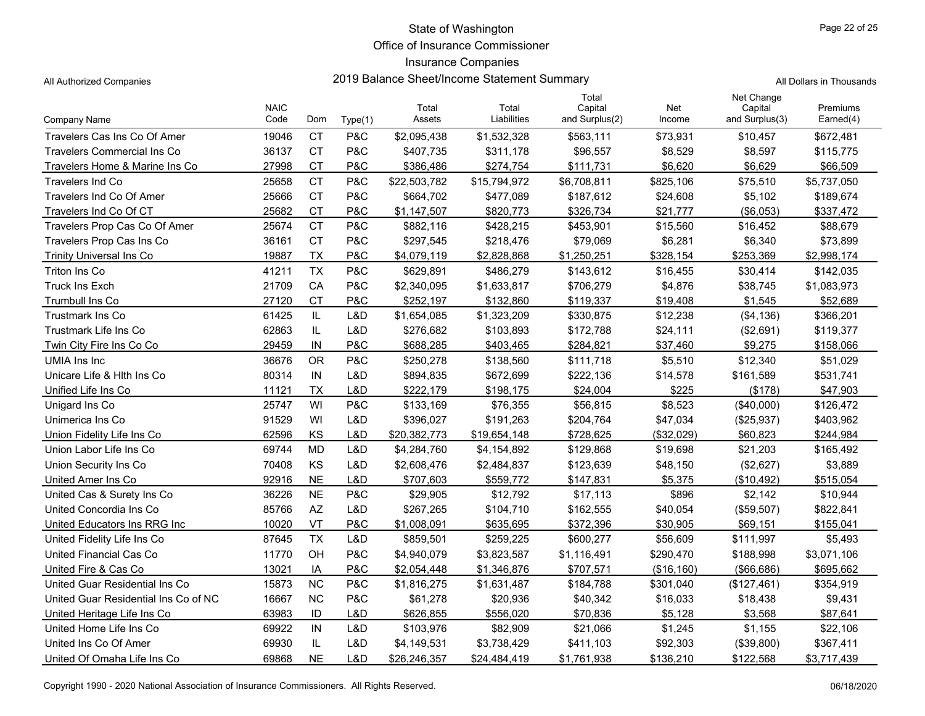Office of Insurance Commissioner

### Insurance Companies

| All Authorized Companies       |                     |           |         |                 | 2019 Balance Sheet/Income Statement Summary |                                    |               |                                         | All Dollars in Thousands     |  |  |
|--------------------------------|---------------------|-----------|---------|-----------------|---------------------------------------------|------------------------------------|---------------|-----------------------------------------|------------------------------|--|--|
| Company Name                   | <b>NAIC</b><br>Code | Dom       | Type(1) | Total<br>Assets | Total<br>Liabilities                        | Total<br>Capital<br>and Surplus(2) | Net<br>Income | Net Change<br>Capital<br>and Surplus(3) | <b>Premiums</b><br>Earned(4) |  |  |
| Travelers Cas Ins Co Of Amer   | 19046               | <b>CT</b> | P&C     | \$2,095,438     | \$1,532,328                                 | \$563,111                          | \$73,931      | \$10,457                                | \$672,481                    |  |  |
| Travelers Commercial Ins Co    | 36137               | <b>CT</b> | P&C     | \$407,735       | \$311,178                                   | \$96,557                           | \$8,529       | \$8,597                                 | \$115,775                    |  |  |
| Travelers Home & Marine Ins Co | 27998               | СT        | P&C     | \$386,486       | \$274,754                                   | \$111,731                          | \$6,620       | \$6,629                                 | \$66,509                     |  |  |
| Travelers Ind Co               | 25658               | <b>CT</b> | P&C     | \$22,503,782    | \$15,794,972                                | \$6,708,811                        | \$825,106     | \$75,510                                | \$5,737,050                  |  |  |
| Travelers Ind Co Of Amer       | 25666               | <b>CT</b> | P&C     | \$664,702       | \$477,089                                   | \$187,612                          | \$24,608      | \$5,102                                 | \$189,674                    |  |  |
| Travelers Ind Co Of CT         | 25682               | <b>CT</b> | P&C     | \$1,147,507     | \$820,773                                   | \$326,734                          | \$21,777      | (\$6,053)                               | \$337,472                    |  |  |
| Travelers Prop Cas Co Of Amer  | 25674               | <b>CT</b> | P&C     | \$882,116       | \$428,215                                   | \$453,901                          | \$15,560      | \$16,452                                | \$88,679                     |  |  |
| Travelers Prop Cas Ins Co      | 36161               | <b>CT</b> | P&C     | \$297,545       | \$218,476                                   | \$79,069                           | \$6,281       | \$6,340                                 | \$73,899                     |  |  |
| Trinity Universal Ins Co       | 19887               | TX        | P&C     | \$4,079,119     | \$2,828,868                                 | \$1,250,251                        | \$328,154     | \$253,369                               | \$2,998,174                  |  |  |
| Triton Ins Co                  | 41211               | <b>TX</b> | P&C     | \$629,891       | \$486,279                                   | \$143,612                          | \$16,455      | \$30,414                                | \$142,035                    |  |  |
| Truck Ins Exch                 | 21709               | CA        | P&C     | \$2,340,095     | \$1,633,817                                 | \$706,279                          | \$4,876       | \$38,745                                | \$1,083,973                  |  |  |
| Trumbull Ins Co                | 27120               | <b>CT</b> | P&C     | \$252,197       | \$132,860                                   | \$119,337                          | \$19,408      | \$1,545                                 | \$52,689                     |  |  |
| Trustmark Ins Co               | 61425               | IL.       | L&D     | \$1,654,085     | \$1,323,209                                 | \$330,875                          | \$12,238      | (\$4,136)                               | \$366,201                    |  |  |
| Trustmark Life Ins Co          | 62863               | IL        | L&D     | \$276,682       | \$103,893                                   | \$172,788                          | \$24,111      | (\$2,691)                               | \$119,377                    |  |  |
| Twin City Fire Ins Co Co       | 29459               | IN        | P&C     | \$688,285       | \$403,465                                   | \$284,821                          | \$37,460      | \$9,275                                 | \$158,066                    |  |  |

| Travelers Prop Cas Co Of Amer        | 25674 | <b>CT</b> | P&C | \$882,116    | \$428,215    | \$453,901   | \$15,560    | \$16,452      | \$88,679    |
|--------------------------------------|-------|-----------|-----|--------------|--------------|-------------|-------------|---------------|-------------|
| Travelers Prop Cas Ins Co            | 36161 | <b>CT</b> | P&C | \$297,545    | \$218,476    | \$79,069    | \$6,281     | \$6,340       | \$73,899    |
| <b>Trinity Universal Ins Co</b>      | 19887 | <b>TX</b> | P&C | \$4,079,119  | \$2.828.868  | \$1,250,251 | \$328,154   | \$253,369     | \$2,998,174 |
| Triton Ins Co                        | 41211 | <b>TX</b> | P&C | \$629,891    | \$486,279    | \$143,612   | \$16,455    | \$30,414      | \$142,035   |
| <b>Truck Ins Exch</b>                | 21709 | CA        | P&C | \$2,340,095  | \$1,633,817  | \$706,279   | \$4,876     | \$38,745      | \$1,083,973 |
| Trumbull Ins Co                      | 27120 | <b>CT</b> | P&C | \$252,197    | \$132,860    | \$119,337   | \$19,408    | \$1,545       | \$52,689    |
| <b>Trustmark Ins Co</b>              | 61425 | IL        | L&D | \$1,654,085  | \$1,323,209  | \$330,875   | \$12,238    | (\$4,136)     | \$366,201   |
| Trustmark Life Ins Co                | 62863 | IL        | L&D | \$276,682    | \$103,893    | \$172,788   | \$24,111    | (\$2,691)     | \$119,377   |
| Twin City Fire Ins Co Co             | 29459 | IN        | P&C | \$688,285    | \$403,465    | \$284,821   | \$37,460    | \$9,275       | \$158,066   |
| UMIA Ins Inc                         | 36676 | <b>OR</b> | P&C | \$250,278    | \$138,560    | \$111,718   | \$5,510     | \$12,340      | \$51,029    |
| Unicare Life & Hith Ins Co           | 80314 | IN        | L&D | \$894,835    | \$672,699    | \$222,136   | \$14,578    | \$161,589     | \$531,741   |
| Unified Life Ins Co                  | 11121 | <b>TX</b> | L&D | \$222,179    | \$198,175    | \$24,004    | \$225       | (\$178)       | \$47,903    |
| Unigard Ins Co                       | 25747 | WI        | P&C | \$133,169    | \$76,355     | \$56,815    | \$8,523     | (\$40,000)    | \$126,472   |
| Unimerica Ins Co                     | 91529 | WI        | L&D | \$396,027    | \$191,263    | \$204,764   | \$47,034    | (\$25,937)    | \$403,962   |
| Union Fidelity Life Ins Co           | 62596 | KS        | L&D | \$20,382,773 | \$19,654,148 | \$728,625   | (\$32,029)  | \$60,823      | \$244,984   |
| Union Labor Life Ins Co              | 69744 | <b>MD</b> | L&D | \$4,284,760  | \$4,154,892  | \$129,868   | \$19,698    | \$21.203      | \$165,492   |
| Union Security Ins Co                | 70408 | KS        | L&D | \$2,608,476  | \$2,484,837  | \$123,639   | \$48,150    | (\$2,627)     | \$3,889     |
| United Amer Ins Co                   | 92916 | <b>NE</b> | L&D | \$707,603    | \$559,772    | \$147,831   | \$5,375     | (\$10,492)    | \$515,054   |
| United Cas & Surety Ins Co           | 36226 | <b>NE</b> | P&C | \$29,905     | \$12,792     | \$17,113    | \$896       | \$2,142       | \$10,944    |
| United Concordia Ins Co              | 85766 | <b>AZ</b> | L&D | \$267,265    | \$104,710    | \$162,555   | \$40,054    | (\$59,507)    | \$822,841   |
| United Educators Ins RRG Inc         | 10020 | VT        | P&C | \$1,008,091  | \$635,695    | \$372,396   | \$30,905    | \$69,151      | \$155,041   |
| United Fidelity Life Ins Co          | 87645 | <b>TX</b> | L&D | \$859,501    | \$259,225    | \$600,277   | \$56,609    | \$111,997     | \$5,493     |
| United Financial Cas Co              | 11770 | OH        | P&C | \$4,940,079  | \$3,823,587  | \$1,116,491 | \$290,470   | \$188,998     | \$3,071,106 |
| United Fire & Cas Co                 | 13021 | IA        | P&C | \$2,054,448  | \$1,346,876  | \$707,571   | (\$16, 160) | ( \$66, 686)  | \$695,662   |
| United Guar Residential Ins Co       | 15873 | <b>NC</b> | P&C | \$1,816,275  | \$1,631,487  | \$184,788   | \$301,040   | (\$127,461)   | \$354,919   |
| United Guar Residential Ins Co of NC | 16667 | <b>NC</b> | P&C | \$61,278     | \$20,936     | \$40,342    | \$16,033    | \$18,438      | \$9,431     |
| United Heritage Life Ins Co          | 63983 | ID        | L&D | \$626,855    | \$556,020    | \$70,836    | \$5,128     | \$3,568       | \$87,641    |
| United Home Life Ins Co              | 69922 | IN        | L&D | \$103,976    | \$82,909     | \$21,066    | \$1,245     | \$1,155       | \$22,106    |
| United Ins Co Of Amer                | 69930 | IL        | L&D | \$4,149,531  | \$3,738,429  | \$411,103   | \$92,303    | $($ \$39,800) | \$367,411   |
| United Of Omaha Life Ins Co          | 69868 | <b>NE</b> | L&D | \$26,246,357 | \$24,484,419 | \$1,761,938 | \$136,210   | \$122,568     | \$3,717,439 |

Copyright 1990 - 2020 National Association of Insurance Commissioners. All Rights Reserved. 06/18/2020 Commissioners. All Rights Reserved.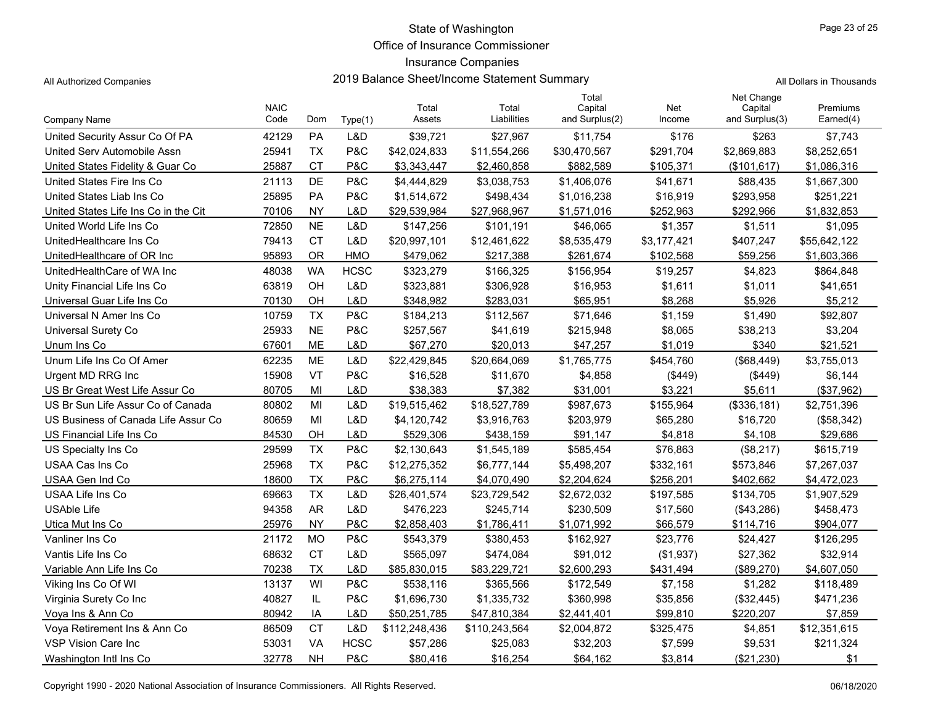Office of Insurance Commissioner

## Insurance Companies

All Authorized Companies **2019 Balance Sheet/Income Statement Summary** All Dollars in Thousands

|  | Il Dollars in Thousands |
|--|-------------------------|

|                                      | <b>NAIC</b> |           |             | Total         | Total         | Total<br>Capital | Net         | Net Change<br>Capital | Premiums     |
|--------------------------------------|-------------|-----------|-------------|---------------|---------------|------------------|-------------|-----------------------|--------------|
| Company Name                         | Code        | Dom       | Type(1)     | Assets        | Liabilities   | and Surplus(2)   | Income      | and Surplus(3)        | Earned(4)    |
| United Security Assur Co Of PA       | 42129       | <b>PA</b> | L&D         | \$39,721      | \$27,967      | \$11,754         | \$176       | \$263                 | \$7,743      |
| United Serv Automobile Assn          | 25941       | <b>TX</b> | P&C         | \$42,024,833  | \$11,554,266  | \$30,470,567     | \$291,704   | \$2,869,883           | \$8,252,651  |
| United States Fidelity & Guar Co.    | 25887       | СT        | P&C         | \$3,343,447   | \$2,460,858   | \$882,589        | \$105,371   | (\$101, 617)          | \$1,086,316  |
| United States Fire Ins Co            | 21113       | DE        | P&C         | \$4,444,829   | \$3,038,753   | \$1,406,076      | \$41,671    | \$88,435              | \$1,667,300  |
| United States Liab Ins Co            | 25895       | <b>PA</b> | P&C         | \$1,514,672   | \$498,434     | \$1,016,238      | \$16,919    | \$293,958             | \$251,221    |
| United States Life Ins Co in the Cit | 70106       | <b>NY</b> | L&D         | \$29,539,984  | \$27,968,967  | \$1,571,016      | \$252,963   | \$292,966             | \$1,832,853  |
| United World Life Ins Co             | 72850       | <b>NE</b> | L&D         | \$147,256     | \$101,191     | \$46,065         | \$1,357     | \$1,511               | \$1,095      |
| UnitedHealthcare Ins Co              | 79413       | <b>CT</b> | L&D         | \$20,997,101  | \$12,461,622  | \$8,535,479      | \$3,177,421 | \$407,247             | \$55,642,122 |
| UnitedHealthcare of OR Inc           | 95893       | <b>OR</b> | <b>HMO</b>  | \$479,062     | \$217,388     | \$261,674        | \$102,568   | \$59,256              | \$1,603,366  |
| UnitedHealthCare of WA Inc           | 48038       | <b>WA</b> | <b>HCSC</b> | \$323,279     | \$166,325     | \$156,954        | \$19,257    | \$4,823               | \$864,848    |
| Unity Financial Life Ins Co          | 63819       | OH        | L&D         | \$323,881     | \$306,928     | \$16,953         | \$1,611     | \$1,011               | \$41,651     |
| Universal Guar Life Ins Co           | 70130       | OH        | L&D         | \$348.982     | \$283.031     | \$65.951         | \$8,268     | \$5,926               | \$5,212      |
| Universal N Amer Ins Co              | 10759       | <b>TX</b> | P&C         | \$184,213     | \$112,567     | \$71,646         | \$1,159     | \$1,490               | \$92,807     |
| <b>Universal Surety Co</b>           | 25933       | <b>NE</b> | P&C         | \$257,567     | \$41,619      | \$215,948        | \$8,065     | \$38,213              | \$3,204      |
| Unum Ins Co                          | 67601       | <b>ME</b> | L&D         | \$67,270      | \$20,013      | \$47,257         | \$1,019     | \$340                 | \$21,521     |
| Unum Life Ins Co Of Amer             | 62235       | <b>ME</b> | L&D         | \$22,429,845  | \$20,664,069  | \$1,765,775      | \$454,760   | (\$68,449)            | \$3,755,013  |
| Urgent MD RRG Inc                    | 15908       | VT        | P&C         | \$16,528      | \$11,670      | \$4,858          | (\$449)     | (\$449)               | \$6,144      |
| US Br Great West Life Assur Co       | 80705       | MI        | L&D         | \$38,383      | \$7,382       | \$31,001         | \$3,221     | \$5,611               | (\$37,962)   |
| US Br Sun Life Assur Co of Canada    | 80802       | MI        | L&D         | \$19,515,462  | \$18,527,789  | \$987,673        | \$155,964   | (\$336,181)           | \$2,751,396  |
| US Business of Canada Life Assur Co  | 80659       | MI        | L&D         | \$4,120,742   | \$3,916,763   | \$203,979        | \$65,280    | \$16,720              | (\$58,342)   |
| US Financial Life Ins Co             | 84530       | OH        | L&D         | \$529,306     | \$438,159     | \$91,147         | \$4,818     | \$4,108               | \$29,686     |
| US Specialty Ins Co.                 | 29599       | <b>TX</b> | P&C         | \$2,130,643   | \$1,545,189   | \$585,454        | \$76,863    | (\$8,217)             | \$615,719    |
| USAA Cas Ins Co                      | 25968       | <b>TX</b> | P&C         | \$12,275,352  | \$6,777,144   | \$5,498,207      | \$332,161   | \$573,846             | \$7,267,037  |
| USAA Gen Ind Co                      | 18600       | <b>TX</b> | P&C         | \$6,275,114   | \$4,070,490   | \$2,204,624      | \$256,201   | \$402,662             | \$4,472,023  |
| USAA Life Ins Co                     | 69663       | <b>TX</b> | L&D         | \$26,401,574  | \$23,729,542  | \$2,672,032      | \$197,585   | \$134,705             | \$1,907,529  |
| <b>USAble Life</b>                   | 94358       | <b>AR</b> | L&D         | \$476,223     | \$245,714     | \$230,509        | \$17,560    | (\$43,286)            | \$458,473    |
| Utica Mut Ins Co                     | 25976       | <b>NY</b> | P&C         | \$2,858,403   | \$1,786,411   | \$1,071,992      | \$66,579    | \$114,716             | \$904.077    |
| Vanliner Ins Co                      | 21172       | <b>MO</b> | P&C         | \$543,379     | \$380,453     | \$162,927        | \$23,776    | \$24,427              | \$126,295    |
| Vantis Life Ins Co                   | 68632       | <b>CT</b> | L&D         | \$565,097     | \$474,084     | \$91,012         | (\$1,937)   | \$27,362              | \$32,914     |
| Variable Ann Life Ins Co             | 70238       | <b>TX</b> | L&D         | \$85,830,015  | \$83,229,721  | \$2,600,293      | \$431,494   | (\$89,270)            | \$4,607,050  |
| Viking Ins Co Of WI                  | 13137       | WI        | P&C         | \$538,116     | \$365,566     | \$172,549        | \$7,158     | \$1,282               | \$118,489    |
| Virginia Surety Co Inc               | 40827       | IL        | P&C         | \$1,696,730   | \$1,335,732   | \$360,998        | \$35,856    | (\$32,445)            | \$471,236    |
| Voya Ins & Ann Co                    | 80942       | IA        | L&D         | \$50,251,785  | \$47,810,384  | \$2,441,401      | \$99,810    | \$220,207             | \$7,859      |
| Voya Retirement Ins & Ann Co         | 86509       | <b>CT</b> | L&D         | \$112,248,436 | \$110,243,564 | \$2,004,872      | \$325,475   | \$4,851               | \$12,351,615 |
| <b>VSP Vision Care Inc</b>           | 53031       | VA        | <b>HCSC</b> | \$57,286      | \$25,083      | \$32,203         | \$7,599     | \$9,531               | \$211,324    |
| Washington Intl Ins Co               | 32778       | <b>NH</b> | P&C         | \$80,416      | \$16,254      | \$64,162         | \$3,814     | (\$21,230)            | \$1          |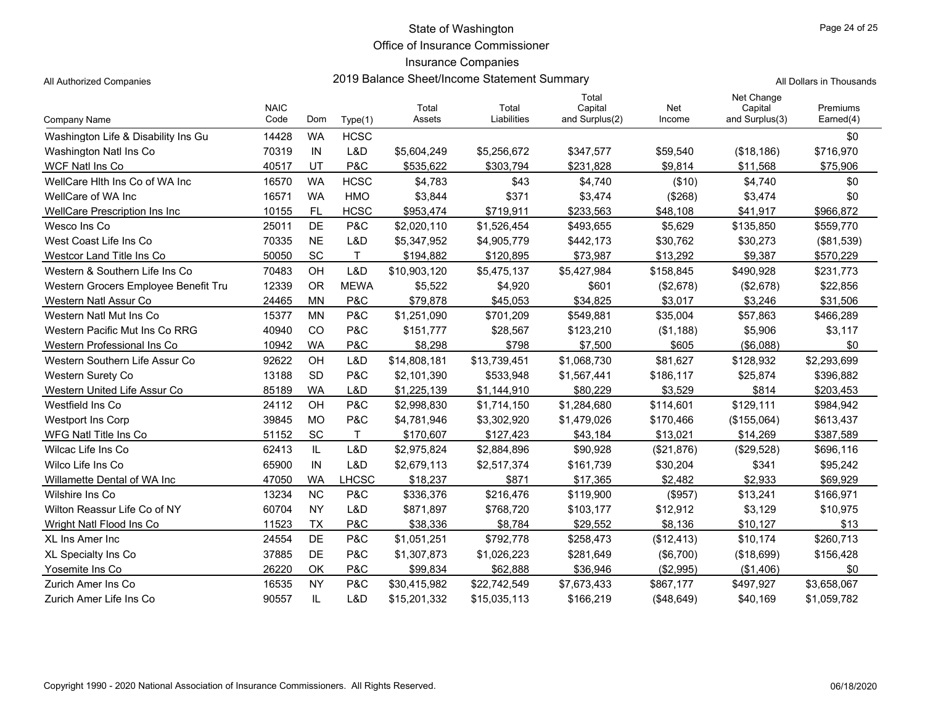Office of Insurance Commissioner

## Insurance Companies

All Authorized Companies 2019 Balance Sheet/Income Statement Summary

| All Dollars in Thousands |  |  |  |  |  |  |
|--------------------------|--|--|--|--|--|--|
|--------------------------|--|--|--|--|--|--|

| Company Name                         | <b>NAIC</b><br>Code | Dom       | Type(1)      | Total<br>Assets | Total<br>Liabilities | Total<br>Capital<br>and Surplus(2) | Net<br>Income | Net Change<br>Capital<br>and Surplus(3) | Premiums<br>Earned(4) |
|--------------------------------------|---------------------|-----------|--------------|-----------------|----------------------|------------------------------------|---------------|-----------------------------------------|-----------------------|
| Washington Life & Disability Ins Gu  | 14428               | <b>WA</b> | <b>HCSC</b>  |                 |                      |                                    |               |                                         | \$0                   |
| Washington Natl Ins Co               | 70319               | IN        | L&D          | \$5,604,249     | \$5,256,672          | \$347,577                          | \$59,540      | (\$18,186)                              | \$716,970             |
| WCF Natl Ins Co                      | 40517               | UT        | P&C          | \$535,622       | \$303,794            | \$231,828                          | \$9,814       | \$11,568                                | \$75,906              |
| WellCare Hith Ins Co of WA Inc       | 16570               | <b>WA</b> | <b>HCSC</b>  | \$4,783         | \$43                 | \$4,740                            | (\$10)        | \$4,740                                 | \$0                   |
| WellCare of WA Inc                   | 16571               | <b>WA</b> | <b>HMO</b>   | \$3,844         | \$371                | \$3,474                            | (\$268)       | \$3,474                                 | \$0                   |
| WellCare Prescription Ins Inc        | 10155               | <b>FL</b> | <b>HCSC</b>  | \$953,474       | \$719,911            | \$233,563                          | \$48,108      | \$41,917                                | \$966,872             |
| Wesco Ins Co                         | 25011               | DE        | P&C          | \$2,020,110     | \$1,526,454          | \$493,655                          | \$5,629       | \$135,850                               | \$559,770             |
| West Coast Life Ins Co               | 70335               | <b>NE</b> | L&D          | \$5,347,952     | \$4,905,779          | \$442,173                          | \$30,762      | \$30,273                                | (\$81,539)            |
| Westcor Land Title Ins Co            | 50050               | SC        | $\mathsf{T}$ | \$194,882       | \$120,895            | \$73,987                           | \$13,292      | \$9,387                                 | \$570,229             |
| Western & Southern Life Ins Co       | 70483               | OH        | L&D          | \$10,903,120    | \$5,475,137          | \$5,427,984                        | \$158,845     | \$490,928                               | \$231,773             |
| Western Grocers Employee Benefit Tru | 12339               | <b>OR</b> | <b>MEWA</b>  | \$5,522         | \$4,920              | \$601                              | (\$2,678)     | (\$2,678)                               | \$22,856              |
| Western Natl Assur Co                | 24465               | <b>MN</b> | P&C          | \$79,878        | \$45,053             | \$34,825                           | \$3,017       | \$3,246                                 | \$31,506              |
| Western Natl Mut Ins Co.             | 15377               | <b>MN</b> | P&C          | \$1,251,090     | \$701,209            | \$549,881                          | \$35,004      | \$57,863                                | \$466,289             |
| Western Pacific Mut Ins Co RRG       | 40940               | CO        | P&C          | \$151,777       | \$28,567             | \$123,210                          | (\$1,188)     | \$5,906                                 | \$3,117               |
| Western Professional Ins Co          | 10942               | <b>WA</b> | P&C          | \$8,298         | \$798                | \$7,500                            | \$605         | (\$6,088)                               | \$0                   |
| Western Southern Life Assur Co       | 92622               | OH        | L&D          | \$14,808,181    | \$13,739,451         | \$1,068,730                        | \$81,627      | \$128,932                               | \$2,293,699           |
| <b>Western Surety Co</b>             | 13188               | <b>SD</b> | P&C          | \$2,101,390     | \$533,948            | \$1,567,441                        | \$186,117     | \$25,874                                | \$396,882             |
| Western United Life Assur Co         | 85189               | <b>WA</b> | L&D          | \$1,225,139     | \$1,144,910          | \$80,229                           | \$3,529       | \$814                                   | \$203,453             |
| Westfield Ins Co.                    | 24112               | OH        | P&C          | \$2,998,830     | \$1,714,150          | \$1,284,680                        | \$114,601     | \$129,111                               | \$984,942             |
| <b>Westport Ins Corp</b>             | 39845               | <b>MO</b> | P&C          | \$4,781,946     | \$3,302,920          | \$1,479,026                        | \$170,466     | (\$155,064)                             | \$613,437             |
| WFG Natl Title Ins Co                | 51152               | <b>SC</b> | T            | \$170,607       | \$127,423            | \$43,184                           | \$13,021      | \$14,269                                | \$387,589             |
| Wilcac Life Ins Co                   | 62413               | IL        | L&D          | \$2,975,824     | \$2,884,896          | \$90,928                           | (\$21,876)    | (\$29,528)                              | \$696,116             |
| Wilco Life Ins Co                    | 65900               | IN        | L&D          | \$2,679,113     | \$2,517,374          | \$161,739                          | \$30,204      | \$341                                   | \$95,242              |
| Willamette Dental of WA Inc          | 47050               | <b>WA</b> | LHCSC        | \$18,237        | \$871                | \$17,365                           | \$2,482       | \$2,933                                 | \$69,929              |
| Wilshire Ins Co.                     | 13234               | NC        | P&C          | \$336,376       | \$216,476            | \$119,900                          | (\$957)       | \$13,241                                | \$166,971             |
| Wilton Reassur Life Co of NY         | 60704               | <b>NY</b> | L&D          | \$871,897       | \$768,720            | \$103,177                          | \$12,912      | \$3,129                                 | \$10,975              |
| Wright Natl Flood Ins Co             | 11523               | <b>TX</b> | P&C          | \$38,336        | \$8.784              | \$29,552                           | \$8,136       | \$10,127                                | \$13                  |
| XL Ins Amer Inc                      | 24554               | DE        | P&C          | \$1,051,251     | \$792,778            | \$258,473                          | (\$12,413)    | \$10,174                                | \$260,713             |
| XL Specialty Ins Co                  | 37885               | <b>DE</b> | P&C          | \$1,307,873     | \$1,026,223          | \$281,649                          | (\$6,700)     | (\$18,699)                              | \$156,428             |
| Yosemite Ins Co                      | 26220               | OK        | P&C          | \$99,834        | \$62,888             | \$36,946                           | (\$2,995)     | (\$1,406)                               | \$0                   |
| Zurich Amer Ins Co.                  | 16535               | <b>NY</b> | P&C          | \$30,415,982    | \$22,742,549         | \$7,673,433                        | \$867,177     | \$497,927                               | \$3,658,067           |
| Zurich Amer Life Ins Co              | 90557               | IL        | L&D          | \$15,201,332    | \$15,035,113         | \$166,219                          | ( \$48,649)   | \$40,169                                | \$1,059,782           |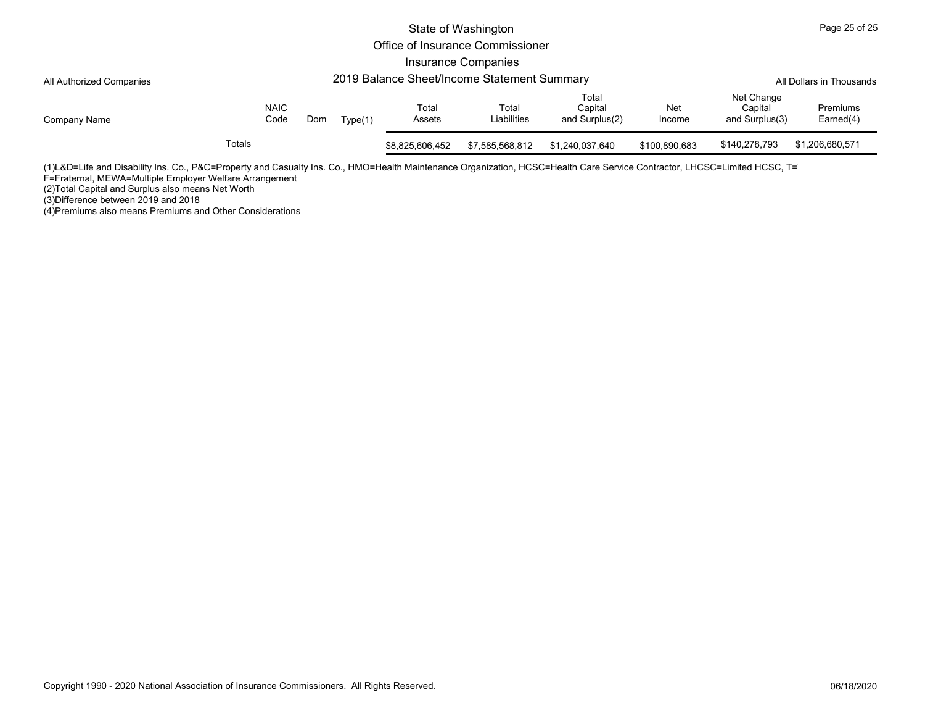|                          |                                             |                     |     |         |                 | State of Washington              |                                    |               |                                         | Page 25 of 25                |  |  |
|--------------------------|---------------------------------------------|---------------------|-----|---------|-----------------|----------------------------------|------------------------------------|---------------|-----------------------------------------|------------------------------|--|--|
|                          |                                             |                     |     |         |                 | Office of Insurance Commissioner |                                    |               |                                         |                              |  |  |
|                          |                                             |                     |     |         |                 | Insurance Companies              |                                    |               |                                         |                              |  |  |
| All Authorized Companies | 2019 Balance Sheet/Income Statement Summary |                     |     |         |                 |                                  |                                    |               |                                         | All Dollars in Thousands     |  |  |
| Company Name             |                                             | <b>NAIC</b><br>Code | Dom | Type(1) | Total<br>Assets | Total<br>Liabilities             | Total<br>Capital<br>and Surplus(2) | Net<br>Income | Net Change<br>Capital<br>and Surplus(3) | <b>Premiums</b><br>Earned(4) |  |  |
|                          | Totals                                      |                     |     |         | \$8,825,606,452 | \$7,585,568,812                  | \$1,240,037,640                    | \$100,890,683 | \$140,278,793                           | \$1,206,680,571              |  |  |

(1)L&D=Life and Disability Ins. Co., P&C=Property and Casualty Ins. Co., HMO=Health Maintenance Organization, HCSC=Health Care Service Contractor, LHCSC=Limited HCSC, T=T

F=Fraternal, MEWA=Multiple Employer Welfare Arrangement

(2)Total Capital and Surplus also means Net Worth (3)Difference between 2019 and 2018

(4)Premiums also means Premiums and Other Considerations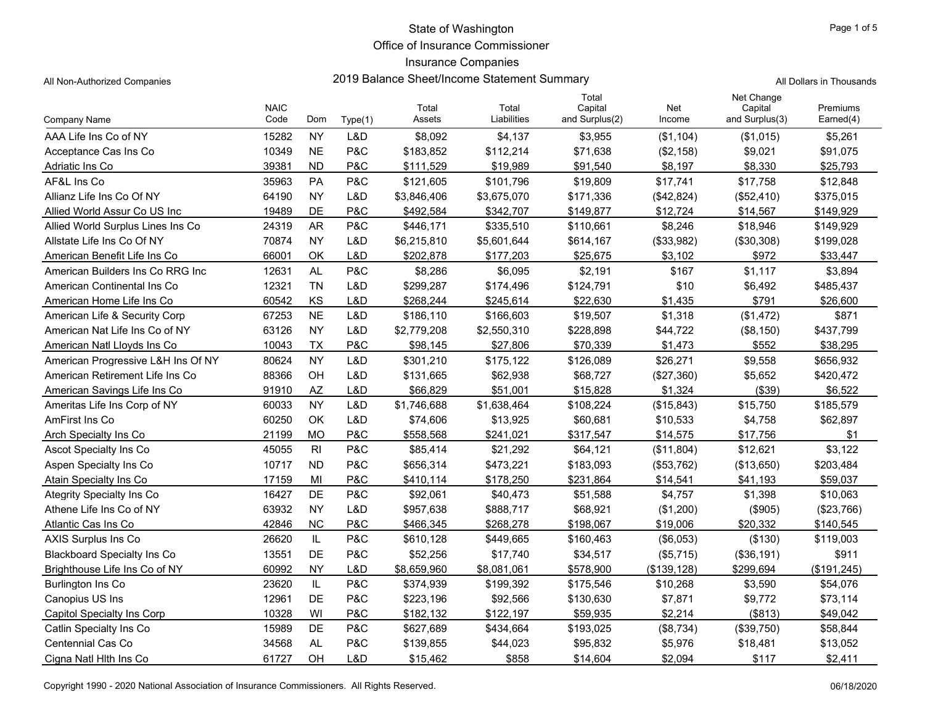Office of Insurance Commissioner

## Insurance Companies

| All Non-Authorized Companies | 2019 Balance Sheet/Income Statement Summary | All Dollars in Thousands |
|------------------------------|---------------------------------------------|--------------------------|
|------------------------------|---------------------------------------------|--------------------------|

|                                    | <b>NAIC</b> |                |         | Total       | Total       | Total<br>Capital | Net          | Net Change<br>Capital | Premiums       |
|------------------------------------|-------------|----------------|---------|-------------|-------------|------------------|--------------|-----------------------|----------------|
| Company Name                       | Code        | Dom            | Type(1) | Assets      | Liabilities | and Surplus(2)   | Income       | and Surplus(3)        | Earned(4)      |
| AAA Life Ins Co of NY              | 15282       | <b>NY</b>      | L&D     | \$8,092     | \$4,137     | \$3,955          | (\$1,104)    | (\$1,015)             | \$5,261        |
| Acceptance Cas Ins Co              | 10349       | <b>NE</b>      | P&C     | \$183,852   | \$112,214   | \$71,638         | (\$2,158)    | \$9,021               | \$91,075       |
| Adriatic Ins Co                    | 39381       | <b>ND</b>      | P&C     | \$111,529   | \$19,989    | \$91,540         | \$8,197      | \$8,330               | \$25,793       |
| AF&L Ins Co                        | 35963       | PA             | P&C     | \$121,605   | \$101,796   | \$19,809         | \$17,741     | \$17,758              | \$12,848       |
| Allianz Life Ins Co Of NY          | 64190       | <b>NY</b>      | L&D     | \$3,846,406 | \$3,675,070 | \$171,336        | (\$42,824)   | (\$52,410)            | \$375,015      |
| Allied World Assur Co US Inc       | 19489       | DE             | P&C     | \$492,584   | \$342,707   | \$149,877        | \$12,724     | \$14,567              | \$149,929      |
| Allied World Surplus Lines Ins Co  | 24319       | <b>AR</b>      | P&C     | \$446,171   | \$335,510   | \$110,661        | \$8,246      | \$18,946              | \$149,929      |
| Allstate Life Ins Co Of NY         | 70874       | <b>NY</b>      | L&D     | \$6,215,810 | \$5,601,644 | \$614,167        | (\$33,982)   | (\$30,308)            | \$199,028      |
| American Benefit Life Ins Co       | 66001       | OK             | L&D     | \$202,878   | \$177,203   | \$25,675         | \$3,102      | \$972                 | \$33,447       |
| American Builders Ins Co RRG Inc   | 12631       | <b>AL</b>      | P&C     | \$8,286     | \$6,095     | \$2,191          | \$167        | \$1,117               | \$3,894        |
| American Continental Ins Co        | 12321       | <b>TN</b>      | L&D     | \$299,287   | \$174,496   | \$124,791        | \$10         | \$6,492               | \$485,437      |
| American Home Life Ins Co          | 60542       | KS             | L&D     | \$268,244   | \$245,614   | \$22,630         | \$1,435      | \$791                 | \$26,600       |
| American Life & Security Corp      | 67253       | <b>NE</b>      | L&D     | \$186,110   | \$166,603   | \$19,507         | \$1,318      | (\$1,472)             | \$871          |
| American Nat Life Ins Co of NY     | 63126       | <b>NY</b>      | L&D     | \$2,779,208 | \$2,550,310 | \$228,898        | \$44,722     | (\$8,150)             | \$437,799      |
| American Natl Lloyds Ins Co        | 10043       | <b>TX</b>      | P&C     | \$98,145    | \$27,806    | \$70,339         | \$1,473      | \$552                 | \$38,295       |
| American Progressive L&H Ins Of NY | 80624       | <b>NY</b>      | L&D     | \$301,210   | \$175,122   | \$126,089        | \$26,271     | \$9,558               | \$656,932      |
| American Retirement Life Ins Co    | 88366       | OH             | L&D     | \$131,665   | \$62,938    | \$68,727         | (\$27,360)   | \$5,652               | \$420,472      |
| American Savings Life Ins Co       | 91910       | <b>AZ</b>      | L&D     | \$66,829    | \$51,001    | \$15,828         | \$1,324      | (\$39)                | \$6,522        |
| Ameritas Life Ins Corp of NY       | 60033       | <b>NY</b>      | L&D     | \$1,746,688 | \$1,638,464 | \$108,224        | (\$15,843)   | \$15,750              | \$185,579      |
| AmFirst Ins Co                     | 60250       | OK             | L&D     | \$74,606    | \$13,925    | \$60,681         | \$10,533     | \$4,758               | \$62,897       |
| Arch Specialty Ins Co.             | 21199       | <b>MO</b>      | P&C     | \$558,568   | \$241,021   | \$317,547        | \$14,575     | \$17,756              | \$1            |
| Ascot Specialty Ins Co             | 45055       | R <sub>l</sub> | P&C     | \$85,414    | \$21,292    | \$64,121         | (\$11,804)   | \$12,621              | \$3,122        |
| Aspen Specialty Ins Co             | 10717       | <b>ND</b>      | P&C     | \$656,314   | \$473,221   | \$183,093        | (\$53,762)   | (\$13,650)            | \$203,484      |
| Atain Specialty Ins Co             | 17159       | MI             | P&C     | \$410,114   | \$178,250   | \$231,864        | \$14,541     | \$41,193              | \$59,037       |
| Ategrity Specialty Ins Co.         | 16427       | DE             | P&C     | \$92,061    | \$40,473    | \$51,588         | \$4,757      | \$1,398               | \$10,063       |
| Athene Life Ins Co of NY           | 63932       | <b>NY</b>      | L&D     | \$957,638   | \$888,717   | \$68,921         | (\$1,200)    | (\$905)               | (\$23,766)     |
| Atlantic Cas Ins Co                | 42846       | <b>NC</b>      | P&C     | \$466,345   | \$268,278   | \$198.067        | \$19,006     | \$20,332              | \$140,545      |
| <b>AXIS Surplus Ins Co</b>         | 26620       | IL             | P&C     | \$610,128   | \$449,665   | \$160,463        | (\$6,053)    | (\$130)               | \$119,003      |
| <b>Blackboard Specialty Ins Co</b> | 13551       | DE             | P&C     | \$52,256    | \$17,740    | \$34,517         | (\$5,715)    | (\$36,191)            | \$911          |
| Brighthouse Life Ins Co of NY      | 60992       | <b>NY</b>      | L&D     | \$8,659,960 | \$8,081,061 | \$578,900        | (\$139, 128) | \$299,694             | $($ \$191.245) |
| <b>Burlington Ins Co</b>           | 23620       | IL             | P&C     | \$374,939   | \$199,392   | \$175,546        | \$10,268     | \$3,590               | \$54,076       |
| Canopius US Ins                    | 12961       | DE             | P&C     | \$223,196   | \$92,566    | \$130,630        | \$7,871      | \$9,772               | \$73,114       |
| Capitol Specialty Ins Corp         | 10328       | WI             | P&C     | \$182,132   | \$122,197   | \$59,935         | \$2,214      | ( \$813)              | \$49,042       |
| Catlin Specialty Ins Co            | 15989       | DE             | P&C     | \$627,689   | \$434,664   | \$193,025        | (\$8,734)    | (\$39,750)            | \$58,844       |
| Centennial Cas Co                  | 34568       | <b>AL</b>      | P&C     | \$139,855   | \$44,023    | \$95,832         | \$5,976      | \$18,481              | \$13,052       |
| Cigna Natl Hith Ins Co             | 61727       | OH             | L&D     | \$15,462    | \$858       | \$14,604         | \$2,094      | \$117                 | \$2,411        |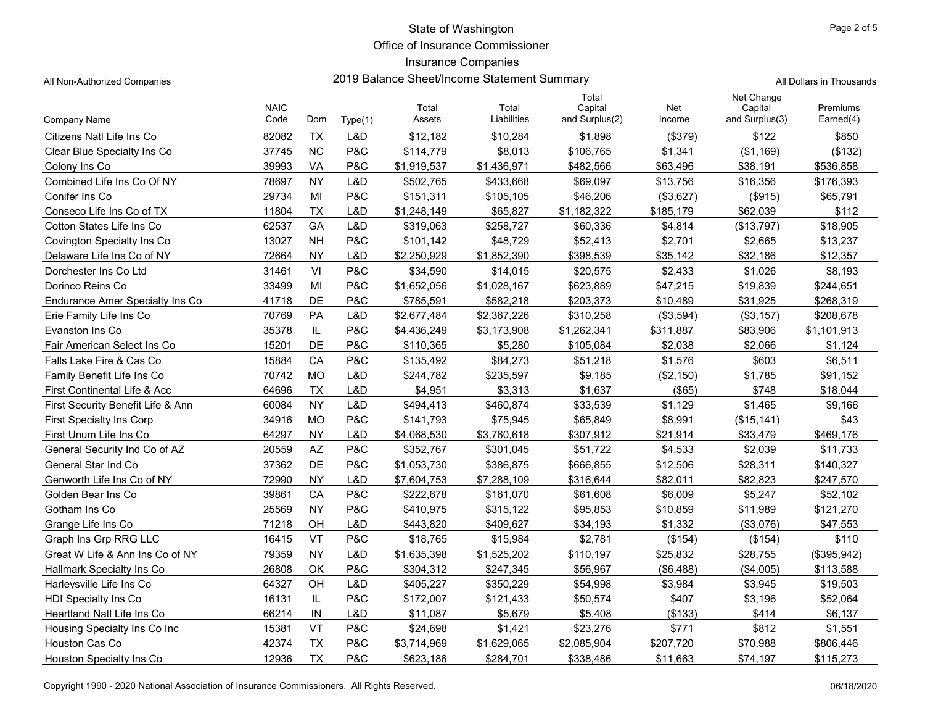Office of Insurance Commissioner

## Insurance Companies

All Non-Authorized Companies **2019 Balance Sheet/Income Statement Summary All** Non-Authorized Companies

|  | l Dollars in Thousands |
|--|------------------------|
|  |                        |

|                                   | <b>NAIC</b> |           |                | Total       | Total       | Total<br>Capital | Net        | Net Change<br>Capital | Premiums    |
|-----------------------------------|-------------|-----------|----------------|-------------|-------------|------------------|------------|-----------------------|-------------|
| Company Name                      | Code        | Dom       | Type(1)        | Assets      | Liabilities | and Surplus(2)   | Income     | and Surplus(3)        | Earned(4)   |
| Citizens Natl Life Ins Co         | 82082       | <b>TX</b> | L&D            | \$12,182    | \$10,284    | \$1,898          | (\$379)    | \$122                 | \$850       |
| Clear Blue Specialty Ins Co       | 37745       | <b>NC</b> | P&C            | \$114,779   | \$8,013     | \$106,765        | \$1,341    | (\$1,169)             | (\$132)     |
| Colony Ins Co                     | 39993       | VA        | P&C            | \$1,919,537 | \$1,436,971 | \$482,566        | \$63,496   | \$38,191              | \$536,858   |
| Combined Life Ins Co Of NY        | 78697       | <b>NY</b> | L&D            | \$502,765   | \$433,668   | \$69,097         | \$13,756   | \$16,356              | \$176,393   |
| Conifer Ins Co                    | 29734       | MI        | P&C            | \$151,311   | \$105,105   | \$46,206         | (\$3,627)  | ( \$915)              | \$65,791    |
| Conseco Life Ins Co of TX         | 11804       | <b>TX</b> | L&D            | \$1,248,149 | \$65,827    | \$1,182,322      | \$185.179  | \$62,039              | \$112       |
| Cotton States Life Ins Co         | 62537       | GA        | L&D            | \$319,063   | \$258,727   | \$60,336         | \$4,814    | (\$13,797)            | \$18,905    |
| <b>Covington Specialty Ins Co</b> | 13027       | <b>NH</b> | P&C            | \$101,142   | \$48,729    | \$52,413         | \$2,701    | \$2,665               | \$13,237    |
| Delaware Life Ins Co of NY        | 72664       | <b>NY</b> | L&D            | \$2,250,929 | \$1,852,390 | \$398,539        | \$35,142   | \$32,186              | \$12,357    |
| Dorchester Ins Co Ltd             | 31461       | VI        | P&C            | \$34,590    | \$14,015    | \$20,575         | \$2,433    | \$1,026               | \$8,193     |
| Dorinco Reins Co                  | 33499       | MI        | P&C            | \$1,652,056 | \$1,028,167 | \$623,889        | \$47,215   | \$19,839              | \$244,651   |
| Endurance Amer Specialty Ins Co   | 41718       | DE        | P&C            | \$785,591   | \$582,218   | \$203,373        | \$10,489   | \$31,925              | \$268,319   |
| Erie Family Life Ins Co           | 70769       | PA        | L&D            | \$2,677,484 | \$2,367,226 | \$310,258        | (\$3,594)  | (\$3,157)             | \$208,678   |
| Evanston Ins Co                   | 35378       | IL        | P&C            | \$4,436,249 | \$3,173,908 | \$1,262,341      | \$311,887  | \$83,906              | \$1,101,913 |
| Fair American Select Ins Co       | 15201       | DE        | P&C            | \$110,365   | \$5,280     | \$105,084        | \$2,038    | \$2,066               | \$1.124     |
| Falls Lake Fire & Cas Co          | 15884       | CA        | P&C            | \$135,492   | \$84,273    | \$51,218         | \$1,576    | \$603                 | \$6,511     |
| Family Benefit Life Ins Co        | 70742       | <b>MO</b> | L&D            | \$244,782   | \$235,597   | \$9,185          | (\$2,150)  | \$1,785               | \$91,152    |
| First Continental Life & Acc      | 64696       | <b>TX</b> | L&D            | \$4,951     | \$3,313     | \$1,637          | (\$65)     | \$748                 | \$18,044    |
| First Security Benefit Life & Ann | 60084       | <b>NY</b> | L&D            | \$494,413   | \$460,874   | \$33,539         | \$1,129    | \$1,465               | \$9,166     |
| <b>First Specialty Ins Corp</b>   | 34916       | <b>MO</b> | P&C            | \$141,793   | \$75,945    | \$65,849         | \$8,991    | (\$15, 141)           | \$43        |
| First Unum Life Ins Co            | 64297       | <b>NY</b> | L&D            | \$4,068,530 | \$3,760,618 | \$307,912        | \$21,914   | \$33,479              | \$469,176   |
| General Security Ind Co of AZ     | 20559       | AZ        | <b>P&amp;C</b> | \$352,767   | \$301,045   | \$51,722         | \$4,533    | \$2,039               | \$11,733    |
| <b>General Star Ind Co</b>        | 37362       | DE        | P&C            | \$1,053,730 | \$386,875   | \$666,855        | \$12,506   | \$28,311              | \$140,327   |
| Genworth Life Ins Co of NY        | 72990       | <b>NY</b> | L&D            | \$7,604,753 | \$7,288,109 | \$316,644        | \$82,011   | \$82,823              | \$247,570   |
| Golden Bear Ins Co                | 39861       | CA        | P&C            | \$222,678   | \$161,070   | \$61,608         | \$6,009    | \$5,247               | \$52,102    |
| Gotham Ins Co                     | 25569       | <b>NY</b> | P&C            | \$410,975   | \$315,122   | \$95,853         | \$10,859   | \$11,989              | \$121,270   |
| Grange Life Ins Co                | 71218       | OH        | L&D            | \$443,820   | \$409,627   | \$34,193         | \$1,332    | (\$3,076)             | \$47,553    |
| Graph Ins Grp RRG LLC             | 16415       | <b>VT</b> | P&C            | \$18,765    | \$15,984    | \$2,781          | (\$154)    | (\$154)               | \$110       |
| Great W Life & Ann Ins Co of NY   | 79359       | <b>NY</b> | L&D            | \$1,635,398 | \$1,525,202 | \$110,197        | \$25,832   | \$28,755              | (\$395,942) |
| <b>Hallmark Specialty Ins Co</b>  | 26808       | OK        | P&C            | \$304,312   | \$247,345   | \$56,967         | ( \$6,488) | (\$4,005)             | \$113,588   |
| Harleysville Life Ins Co          | 64327       | OH        | L&D            | \$405,227   | \$350,229   | \$54,998         | \$3,984    | \$3,945               | \$19,503    |
| <b>HDI Specialty Ins Co</b>       | 16131       | IL.       | P&C            | \$172,007   | \$121,433   | \$50,574         | \$407      | \$3,196               | \$52,064    |
| Heartland Natl Life Ins Co        | 66214       | IN        | L&D            | \$11,087    | \$5,679     | \$5,408          | ( \$133)   | \$414                 | \$6,137     |
| Housing Specialty Ins Co Inc      | 15381       | VT        | <b>P&amp;C</b> | \$24,698    | \$1,421     | \$23,276         | \$771      | \$812                 | \$1,551     |
| <b>Houston Cas Co</b>             | 42374       | <b>TX</b> | P&C            | \$3,714,969 | \$1,629,065 | \$2,085,904      | \$207,720  | \$70,988              | \$806,446   |
| Houston Specialty Ins Co          | 12936       | <b>TX</b> | P&C            | \$623,186   | \$284,701   | \$338,486        | \$11,663   | \$74,197              | \$115,273   |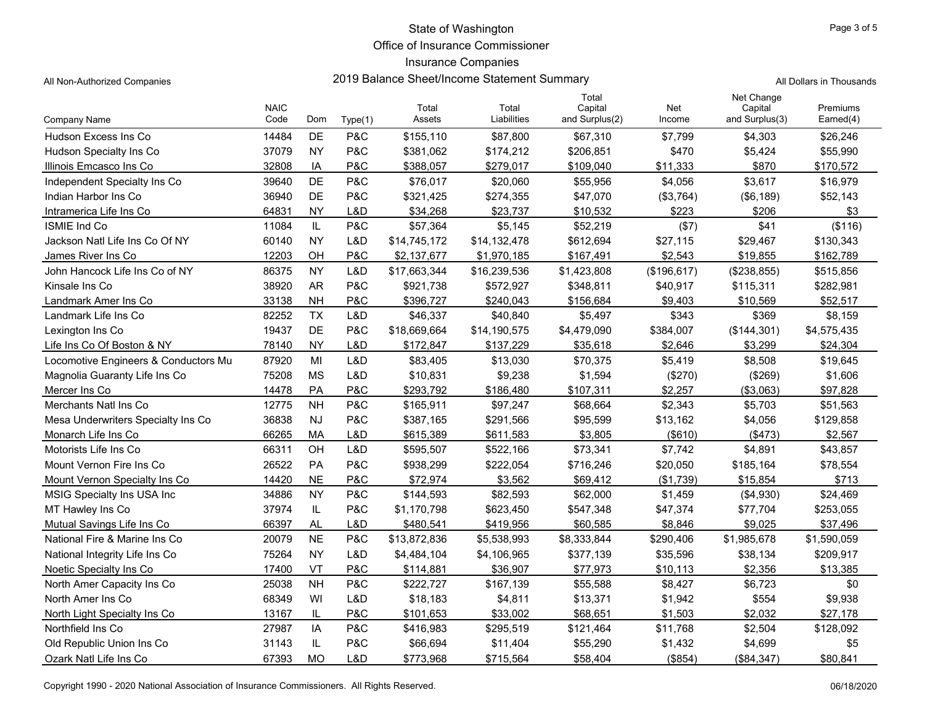Office of Insurance Commissioner

## Insurance Companies

| All Non-Authorized Companies | 2019 Balance Sheet/Income Statement Summary | All Dollars in Thousands |
|------------------------------|---------------------------------------------|--------------------------|
|------------------------------|---------------------------------------------|--------------------------|

|                                      | <b>NAIC</b> |           |                | Total        | Total        | Total<br>Capital | Net         | Net Change<br>Capital | Premiums    |
|--------------------------------------|-------------|-----------|----------------|--------------|--------------|------------------|-------------|-----------------------|-------------|
| Company Name                         | Code        | Dom       | Type(1)        | Assets       | Liabilities  | and Surplus(2)   | Income      | and Surplus(3)        | Earned(4)   |
| Hudson Excess Ins Co                 | 14484       | DE        | P&C            | \$155,110    | \$87,800     | \$67,310         | \$7,799     | \$4,303               | \$26,246    |
| Hudson Specialty Ins Co              | 37079       | <b>NY</b> | P&C            | \$381,062    | \$174,212    | \$206,851        | \$470       | \$5,424               | \$55,990    |
| Illinois Emcasco Ins Co              | 32808       | IA        | P&C            | \$388,057    | \$279,017    | \$109,040        | \$11,333    | \$870                 | \$170,572   |
| Independent Specialty Ins Co         | 39640       | DE        | P&C            | \$76,017     | \$20,060     | \$55,956         | \$4,056     | \$3,617               | \$16,979    |
| Indian Harbor Ins Co                 | 36940       | DE        | <b>P&amp;C</b> | \$321,425    | \$274,355    | \$47,070         | (\$3,764)   | (\$6, 189)            | \$52,143    |
| Intramerica Life Ins Co              | 64831       | <b>NY</b> | L&D            | \$34.268     | \$23.737     | \$10.532         | \$223       | \$206                 | \$3         |
| <b>ISMIE Ind Co</b>                  | 11084       | IL        | <b>P&amp;C</b> | \$57,364     | \$5,145      | \$52,219         | (\$7)       | \$41                  | (\$116)     |
| Jackson Natl Life Ins Co Of NY       | 60140       | <b>NY</b> | L&D            | \$14,745,172 | \$14,132,478 | \$612,694        | \$27,115    | \$29,467              | \$130,343   |
| James River Ins Co                   | 12203       | OH        | P&C            | \$2,137,677  | \$1,970,185  | \$167,491        | \$2,543     | \$19,855              | \$162,789   |
| John Hancock Life Ins Co of NY       | 86375       | <b>NY</b> | L&D            | \$17,663,344 | \$16,239,536 | \$1,423,808      | (\$196,617) | (\$238,855)           | \$515,856   |
| Kinsale Ins Co                       | 38920       | <b>AR</b> | <b>P&amp;C</b> | \$921,738    | \$572,927    | \$348,811        | \$40,917    | \$115,311             | \$282,981   |
| Landmark Amer Ins Co                 | 33138       | <b>NH</b> | P&C            | \$396,727    | \$240,043    | \$156,684        | \$9.403     | \$10,569              | \$52,517    |
| Landmark Life Ins Co                 | 82252       | <b>TX</b> | L&D            | \$46,337     | \$40,840     | \$5,497          | \$343       | \$369                 | \$8,159     |
| Lexington Ins Co                     | 19437       | <b>DE</b> | P&C            | \$18,669,664 | \$14,190,575 | \$4,479,090      | \$384,007   | (\$144,301)           | \$4,575,435 |
| Life Ins Co Of Boston & NY           | 78140       | <b>NY</b> | L&D            | \$172,847    | \$137,229    | \$35,618         | \$2,646     | \$3,299               | \$24,304    |
| Locomotive Engineers & Conductors Mu | 87920       | MI        | L&D            | \$83,405     | \$13,030     | \$70,375         | \$5,419     | \$8,508               | \$19,645    |
| Magnolia Guaranty Life Ins Co        | 75208       | <b>MS</b> | L&D            | \$10,831     | \$9,238      | \$1,594          | (\$270)     | (\$269)               | \$1,606     |
| Mercer Ins Co                        | 14478       | PA        | <b>P&amp;C</b> | \$293,792    | \$186,480    | \$107,311        | \$2,257     | (\$3,063)             | \$97,828    |
| Merchants Natl Ins Co                | 12775       | <b>NH</b> | <b>P&amp;C</b> | \$165,911    | \$97,247     | \$68,664         | \$2,343     | \$5,703               | \$51,563    |
| Mesa Underwriters Specialty Ins Co   | 36838       | <b>NJ</b> | <b>P&amp;C</b> | \$387,165    | \$291,566    | \$95,599         | \$13,162    | \$4,056               | \$129,858   |
| Monarch Life Ins Co                  | 66265       | MA        | L&D            | \$615,389    | \$611,583    | \$3.805          | ( \$610)    | (\$473)               | \$2,567     |
| Motorists Life Ins Co                | 66311       | OH        | L&D            | \$595,507    | \$522,166    | \$73,341         | \$7,742     | \$4,891               | \$43,857    |
| Mount Vernon Fire Ins Co             | 26522       | PA        | P&C            | \$938,299    | \$222,054    | \$716,246        | \$20,050    | \$185,164             | \$78,554    |
| Mount Vernon Specialty Ins Co        | 14420       | <b>NE</b> | <b>P&amp;C</b> | \$72,974     | \$3,562      | \$69,412         | (\$1,739)   | \$15,854              | \$713       |
| MSIG Specialty Ins USA Inc           | 34886       | <b>NY</b> | P&C            | \$144,593    | \$82,593     | \$62,000         | \$1,459     | ( \$4,930)            | \$24,469    |
| MT Hawley Ins Co                     | 37974       | IL        | <b>P&amp;C</b> | \$1,170,798  | \$623,450    | \$547,348        | \$47,374    | \$77,704              | \$253,055   |
| Mutual Savings Life Ins Co           | 66397       | AL        | L&D            | \$480,541    | \$419,956    | \$60,585         | \$8.846     | \$9.025               | \$37,496    |
| National Fire & Marine Ins Co        | 20079       | <b>NE</b> | P&C            | \$13,872,836 | \$5,538,993  | \$8,333,844      | \$290,406   | \$1,985,678           | \$1,590,059 |
| National Integrity Life Ins Co       | 75264       | <b>NY</b> | L&D            | \$4,484,104  | \$4,106,965  | \$377,139        | \$35,596    | \$38,134              | \$209,917   |
| Noetic Specialty Ins Co              | 17400       | VT        | P&C            | \$114,881    | \$36,907     | \$77,973         | \$10,113    | \$2,356               | \$13,385    |
| North Amer Capacity Ins Co           | 25038       | <b>NH</b> | P&C            | \$222,727    | \$167,139    | \$55,588         | \$8,427     | \$6,723               | \$0         |
| North Amer Ins Co                    | 68349       | WI        | L&D            | \$18,183     | \$4,811      | \$13,371         | \$1,942     | \$554                 | \$9,938     |
| North Light Specialty Ins Co         | 13167       | IL        | P&C            | \$101,653    | \$33,002     | \$68,651         | \$1,503     | \$2,032               | \$27,178    |
| Northfield Ins Co.                   | 27987       | IA        | P&C            | \$416,983    | \$295,519    | \$121,464        | \$11,768    | \$2,504               | \$128,092   |
| Old Republic Union Ins Co            | 31143       | IL        | P&C            | \$66,694     | \$11,404     | \$55,290         | \$1,432     | \$4,699               | \$5         |
| Ozark Natl Life Ins Co               | 67393       | <b>MO</b> | L&D            | \$773,968    | \$715,564    | \$58,404         | (\$854)     | (\$84,347)            | \$80,841    |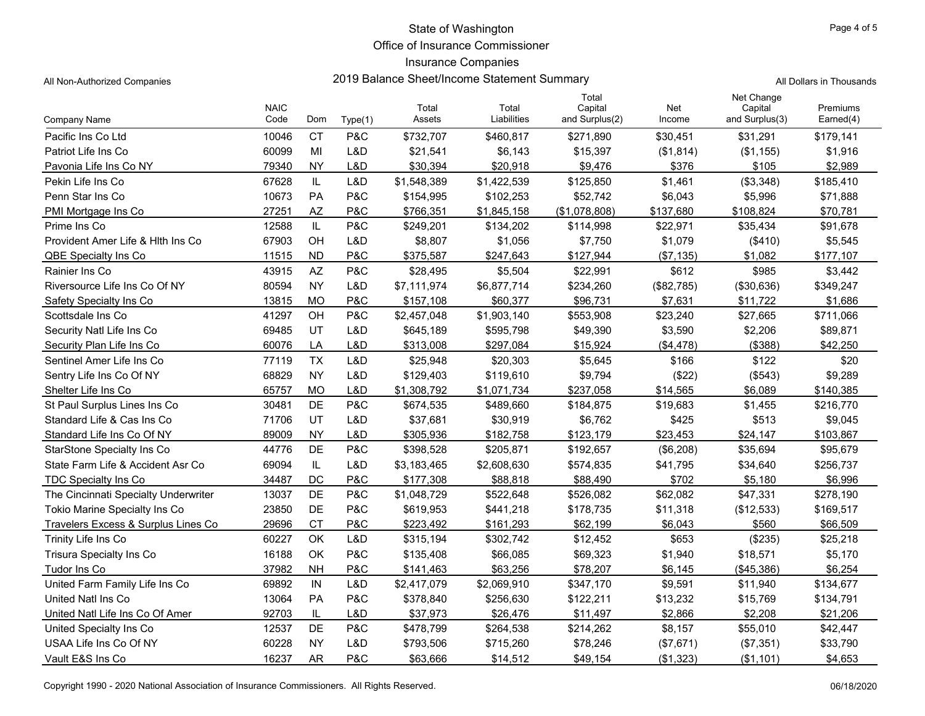Office of Insurance Commissioner

#### Insurance Companies

All Non-Authorized Companies **2019 Balance Sheet/Income Statement Summary** All Dollars in Thousands

|                                      | <b>NAIC</b> |           |         | Total       | Total       | Total<br>Capital | Net        | Net Change<br>Capital | Premiums  |
|--------------------------------------|-------------|-----------|---------|-------------|-------------|------------------|------------|-----------------------|-----------|
| Company Name                         | Code        | Dom       | Type(1) | Assets      | Liabilities | and Surplus(2)   | Income     | and Surplus(3)        | Earned(4) |
| Pacific Ins Co Ltd                   | 10046       | <b>CT</b> | P&C     | \$732,707   | \$460,817   | \$271,890        | \$30,451   | \$31,291              | \$179,141 |
| Patriot Life Ins Co                  | 60099       | MI        | L&D     | \$21,541    | \$6,143     | \$15,397         | (\$1,814)  | (\$1,155)             | \$1,916   |
| Pavonia Life Ins Co NY               | 79340       | <b>NY</b> | L&D     | \$30,394    | \$20,918    | \$9,476          | \$376      | \$105                 | \$2,989   |
| Pekin Life Ins Co                    | 67628       | IL        | L&D     | \$1,548,389 | \$1,422,539 | \$125,850        | \$1,461    | (\$3,348)             | \$185,410 |
| Penn Star Ins Co                     | 10673       | PA        | P&C     | \$154,995   | \$102,253   | \$52,742         | \$6,043    | \$5,996               | \$71,888  |
| PMI Mortgage Ins Co                  | 27251       | <b>AZ</b> | P&C     | \$766,351   | \$1,845,158 | (\$1,078,808)    | \$137,680  | \$108,824             | \$70,781  |
| Prime Ins Co                         | 12588       | IL        | P&C     | \$249,201   | \$134,202   | \$114,998        | \$22,971   | \$35,434              | \$91,678  |
| Provident Amer Life & Hith Ins Co    | 67903       | OH        | L&D     | \$8,807     | \$1,056     | \$7,750          | \$1,079    | (\$410)               | \$5,545   |
| QBE Specialty Ins Co                 | 11515       | <b>ND</b> | P&C     | \$375,587   | \$247,643   | \$127,944        | (\$7,135)  | \$1,082               | \$177,107 |
| Rainier Ins Co                       | 43915       | AZ        | P&C     | \$28,495    | \$5,504     | \$22,991         | \$612      | \$985                 | \$3,442   |
| Riversource Life Ins Co Of NY        | 80594       | <b>NY</b> | L&D     | \$7,111,974 | \$6,877,714 | \$234,260        | (\$82,785) | (\$30,636)            | \$349,247 |
| Safety Specialty Ins Co              | 13815       | <b>MO</b> | P&C     | \$157,108   | \$60,377    | \$96,731         | \$7,631    | \$11,722              | \$1,686   |
| Scottsdale Ins Co                    | 41297       | OH        | P&C     | \$2,457,048 | \$1,903,140 | \$553,908        | \$23,240   | \$27,665              | \$711,066 |
| Security Natl Life Ins Co            | 69485       | UT        | L&D     | \$645,189   | \$595,798   | \$49,390         | \$3,590    | \$2,206               | \$89,871  |
| Security Plan Life Ins Co            | 60076       | LA        | L&D     | \$313,008   | \$297,084   | \$15,924         | (\$4,478)  | (\$388)               | \$42,250  |
| Sentinel Amer Life Ins Co            | 77119       | <b>TX</b> | L&D     | \$25,948    | \$20,303    | \$5,645          | \$166      | \$122                 | \$20      |
| Sentry Life Ins Co Of NY             | 68829       | <b>NY</b> | L&D     | \$129,403   | \$119,610   | \$9,794          | (\$22)     | (\$543)               | \$9,289   |
| Shelter Life Ins Co                  | 65757       | <b>MO</b> | L&D     | \$1,308,792 | \$1,071,734 | \$237,058        | \$14,565   | \$6,089               | \$140,385 |
| St Paul Surplus Lines Ins Co         | 30481       | DE        | P&C     | \$674,535   | \$489,660   | \$184,875        | \$19,683   | \$1,455               | \$216,770 |
| Standard Life & Cas Ins Co           | 71706       | UT        | L&D     | \$37,681    | \$30,919    | \$6,762          | \$425      | \$513                 | \$9,045   |
| Standard Life Ins Co Of NY           | 89009       | <b>NY</b> | L&D     | \$305,936   | \$182,758   | \$123,179        | \$23,453   | \$24.147              | \$103,867 |
| <b>StarStone Specialty Ins Co</b>    | 44776       | DE        | P&C     | \$398,528   | \$205,871   | \$192,657        | (\$6,208)  | \$35,694              | \$95,679  |
| State Farm Life & Accident Asr Co    | 69094       | IL        | L&D     | \$3,183,465 | \$2,608,630 | \$574,835        | \$41,795   | \$34,640              | \$256,737 |
| <b>TDC Specialty Ins Co</b>          | 34487       | DC        | P&C     | \$177,308   | \$88,818    | \$88,490         | \$702      | \$5,180               | \$6,996   |
| The Cincinnati Specialty Underwriter | 13037       | DE        | P&C     | \$1,048,729 | \$522,648   | \$526,082        | \$62,082   | \$47,331              | \$278,190 |
| Tokio Marine Specialty Ins Co        | 23850       | DE        | P&C     | \$619,953   | \$441,218   | \$178,735        | \$11,318   | (\$12,533)            | \$169,517 |
| Travelers Excess & Surplus Lines Co  | 29696       | <b>CT</b> | P&C     | \$223,492   | \$161,293   | \$62,199         | \$6,043    | \$560                 | \$66,509  |
| Trinity Life Ins Co                  | 60227       | OK        | L&D     | \$315,194   | \$302,742   | \$12,452         | \$653      | (\$235)               | \$25,218  |
| Trisura Specialty Ins Co             | 16188       | OK        | P&C     | \$135,408   | \$66,085    | \$69,323         | \$1,940    | \$18,571              | \$5,170   |
| Tudor Ins Co                         | 37982       | <b>NH</b> | P&C     | \$141,463   | \$63,256    | \$78,207         | \$6,145    | (\$45,386)            | \$6,254   |
| United Farm Family Life Ins Co       | 69892       | IN        | L&D     | \$2,417,079 | \$2,069,910 | \$347,170        | \$9,591    | \$11,940              | \$134,677 |
| United Natl Ins Co                   | 13064       | <b>PA</b> | P&C     | \$378,840   | \$256,630   | \$122,211        | \$13,232   | \$15,769              | \$134,791 |
| United Natl Life Ins Co Of Amer      | 92703       | IL        | L&D     | \$37,973    | \$26,476    | \$11,497         | \$2,866    | \$2,208               | \$21,206  |

United Specialty Ins Co **12537** DE P&C \$478,799 \$264,538 \$214,262 \$8,157 \$55,010 \$42,447 USAA Life Ins Co Of NY 1988 ACC ASSAUDED AT A CO 40228 NY 180 LAD \$793,506 \$715,260 \$78,246 (\$7,671) (\$7,351) \$33,790 Vault E&S Ins Co **16237** AR P&C \$63,666 \$14,512 \$49,154 (\$1,323) (\$1,101) \$4,653

Copyright 1990 - 2020 National Association of Insurance Commissioners. All Rights Reserved. 06/18/2020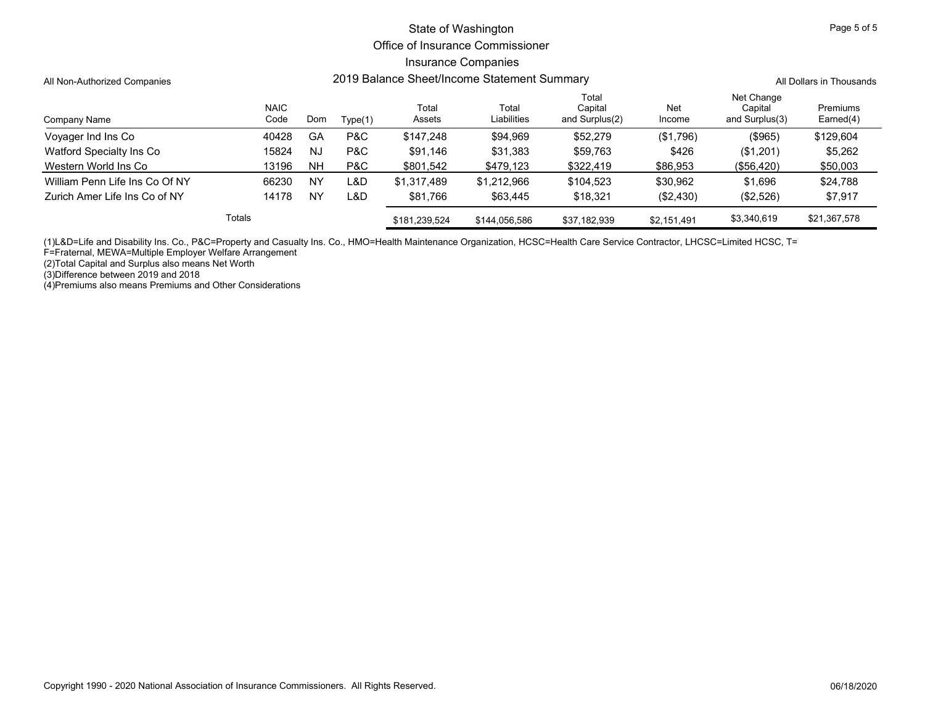#### Office of Insurance Commissioner

### Insurance Companies

All Non-Authorized Companies **2019 Balance Sheet/Income Statement Summary** All Dollars in Thousands

| Company Name                   | <b>NAIC</b><br>Code | Dom       | Type(1) | Total<br>Assets | Total<br>Liabilities | Total<br>Capital<br>and Surplus(2) | Net<br>Income | Net Change<br>Capital<br>and Surplus(3) | Premiums<br>Earned(4) |
|--------------------------------|---------------------|-----------|---------|-----------------|----------------------|------------------------------------|---------------|-----------------------------------------|-----------------------|
| Voyager Ind Ins Co             | 40428               | GA        | P&C     | \$147,248       | \$94,969             | \$52,279                           | (\$1,796)     | (\$965)                                 | \$129,604             |
| Watford Specialty Ins Co       | 15824               | <b>NJ</b> | P&C     | \$91.146        | \$31,383             | \$59,763                           | \$426         | (\$1,201)                               | \$5,262               |
| Western World Ins Co           | 13196               | <b>NH</b> | P&C     | \$801,542       | \$479,123            | \$322,419                          | \$86,953      | (\$56,420)                              | \$50,003              |
| William Penn Life Ins Co Of NY | 66230               | <b>NY</b> | L&D     | \$1,317,489     | \$1.212.966          | \$104,523                          | \$30,962      | \$1.696                                 | \$24,788              |
| Zurich Amer Life Ins Co of NY  | 14178               | NY        | L&D     | \$81.766        | \$63,445             | \$18,321                           | (\$2,430)     | (\$2,526)                               | \$7,917               |
|                                | Totals              |           |         | \$181,239,524   | \$144,056,586        | \$37,182,939                       | \$2,151,491   | \$3,340,619                             | \$21,367,578          |

(1)L&D=Life and Disability Ins. Co., P&C=Property and Casualty Ins. Co., HMO=Health Maintenance Organization, HCSC=Health Care Service Contractor, LHCSC=Limited HCSC, T=T

F=Fraternal, MEWA=Multiple Employer Welfare Arrangement

(2)Total Capital and Surplus also means Net Worth

(3)Difference between 2019 and 2018

(4)Premiums also means Premiums and Other Considerations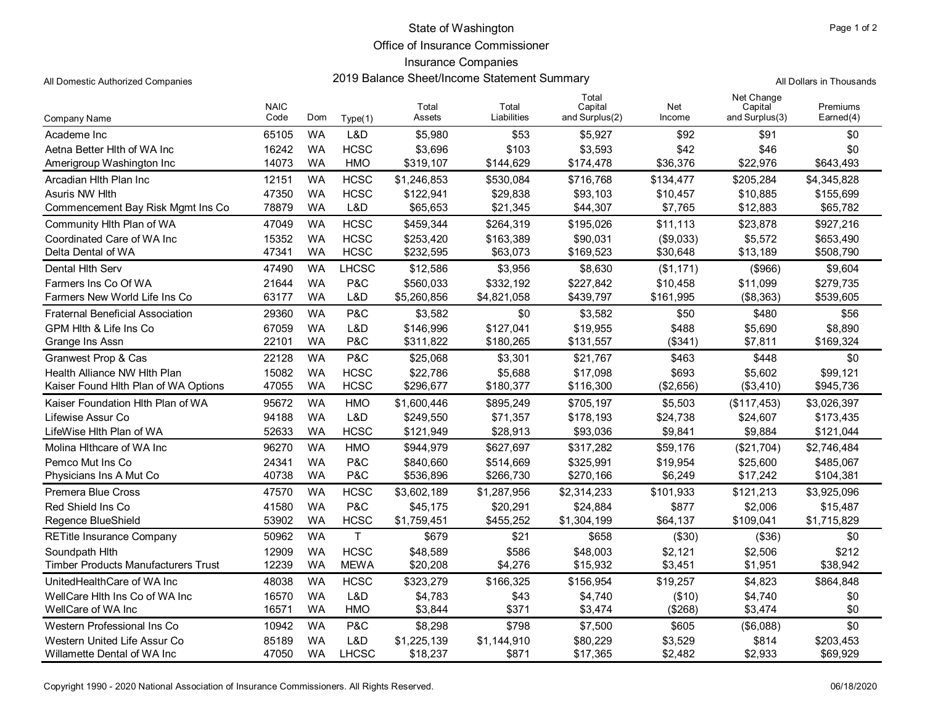Office of Insurance Commissioner

## Insurance Companies

2019 Balance Sheet/Income Statement Summary All Domestic Authorized Companies All Dollars in Thousands

|                                            | <b>NAIC</b> |           |              | Total       | Total       | Total<br>Capital | Net       | Net Change<br>Capital | Premiums    |
|--------------------------------------------|-------------|-----------|--------------|-------------|-------------|------------------|-----------|-----------------------|-------------|
| Company Name                               | Code        | Dom       | Type(1)      | Assets      | Liabilities | and Surplus(2)   | Income    | and Surplus(3)        | Earned(4)   |
| Academe Inc                                | 65105       | <b>WA</b> | L&D          | \$5,980     | \$53        | \$5,927          | \$92      | \$91                  | \$0         |
| Aetna Better Hith of WA Inc                | 16242       | <b>WA</b> | <b>HCSC</b>  | \$3,696     | \$103       | \$3,593          | \$42      | \$46                  | \$0         |
| Amerigroup Washington Inc                  | 14073       | <b>WA</b> | <b>HMO</b>   | \$319,107   | \$144,629   | \$174,478        | \$36,376  | \$22,976              | \$643,493   |
| Arcadian Hith Plan Inc                     | 12151       | <b>WA</b> | <b>HCSC</b>  | \$1,246,853 | \$530,084   | \$716,768        | \$134,477 | \$205,284             | \$4,345,828 |
| Asuris NW Hith                             | 47350       | <b>WA</b> | <b>HCSC</b>  | \$122,941   | \$29,838    | \$93,103         | \$10,457  | \$10,885              | \$155,699   |
| Commencement Bay Risk Mgmt Ins Co          | 78879       | <b>WA</b> | L&D          | \$65,653    | \$21,345    | \$44,307         | \$7,765   | \$12,883              | \$65,782    |
| Community Hith Plan of WA                  | 47049       | <b>WA</b> | <b>HCSC</b>  | \$459,344   | \$264,319   | \$195,026        | \$11,113  | \$23,878              | \$927,216   |
| Coordinated Care of WA Inc                 | 15352       | <b>WA</b> | <b>HCSC</b>  | \$253,420   | \$163,389   | \$90,031         | (\$9,033) | \$5,572               | \$653,490   |
| Delta Dental of WA                         | 47341       | <b>WA</b> | <b>HCSC</b>  | \$232,595   | \$63,073    | \$169,523        | \$30,648  | \$13,189              | \$508,790   |
| Dental Hith Serv                           | 47490       | <b>WA</b> | <b>LHCSC</b> | \$12,586    | \$3,956     | \$8,630          | (\$1,171) | (\$966)               | \$9,604     |
| Farmers Ins Co Of WA                       | 21644       | <b>WA</b> | P&C          | \$560,033   | \$332,192   | \$227,842        | \$10,458  | \$11,099              | \$279,735   |
| Farmers New World Life Ins Co              | 63177       | <b>WA</b> | L&D          | \$5,260,856 | \$4,821,058 | \$439,797        | \$161,995 | (\$8,363)             | \$539,605   |
| <b>Fraternal Beneficial Association</b>    | 29360       | <b>WA</b> | P&C          | \$3,582     | \$0         | \$3,582          | \$50      | \$480                 | \$56        |
| GPM Hith & Life Ins Co                     | 67059       | <b>WA</b> | L&D          | \$146,996   | \$127,041   | \$19,955         | \$488     | \$5,690               | \$8,890     |
| Grange Ins Assn                            | 22101       | <b>WA</b> | P&C          | \$311,822   | \$180,265   | \$131,557        | (\$341)   | \$7,811               | \$169,324   |
| Granwest Prop & Cas                        | 22128       | <b>WA</b> | P&C          | \$25,068    | \$3,301     | \$21,767         | \$463     | \$448                 | \$0         |
| Health Alliance NW Hlth Plan               | 15082       | <b>WA</b> | <b>HCSC</b>  | \$22,786    | \$5,688     | \$17,098         | \$693     | \$5,602               | \$99,121    |
| Kaiser Found Hlth Plan of WA Options       | 47055       | <b>WA</b> | <b>HCSC</b>  | \$296,677   | \$180,377   | \$116,300        | (\$2,656) | (\$3,410)             | \$945,736   |
| Kaiser Foundation Hith Plan of WA          | 95672       | <b>WA</b> | <b>HMO</b>   | \$1,600,446 | \$895,249   | \$705,197        | \$5,503   | (\$117,453)           | \$3,026,397 |
| Lifewise Assur Co                          | 94188       | <b>WA</b> | L&D          | \$249,550   | \$71,357    | \$178,193        | \$24,738  | \$24,607              | \$173,435   |
| LifeWise Hlth Plan of WA                   | 52633       | <b>WA</b> | <b>HCSC</b>  | \$121,949   | \$28,913    | \$93,036         | \$9,841   | \$9,884               | \$121,044   |
| Molina Hithcare of WA Inc                  | 96270       | <b>WA</b> | <b>HMO</b>   | \$944,979   | \$627,697   | \$317,282        | \$59,176  | (\$21,704)            | \$2,746,484 |
| Pemco Mut Ins Co                           | 24341       | <b>WA</b> | P&C          | \$840,660   | \$514,669   | \$325,991        | \$19,954  | \$25,600              | \$485,067   |
| Physicians Ins A Mut Co                    | 40738       | <b>WA</b> | P&C          | \$536,896   | \$266,730   | \$270,166        | \$6,249   | \$17,242              | \$104,381   |
| Premera Blue Cross                         | 47570       | <b>WA</b> | <b>HCSC</b>  | \$3,602,189 | \$1,287,956 | \$2,314,233      | \$101,933 | \$121,213             | \$3,925,096 |
| Red Shield Ins Co                          | 41580       | <b>WA</b> | P&C          | \$45,175    | \$20,291    | \$24,884         | \$877     | \$2,006               | \$15,487    |
| Regence BlueShield                         | 53902       | <b>WA</b> | <b>HCSC</b>  | \$1,759,451 | \$455,252   | \$1,304,199      | \$64,137  | \$109,041             | \$1,715,829 |
| <b>RETitle Insurance Company</b>           | 50962       | <b>WA</b> | $\mathsf{T}$ | \$679       | \$21        | \$658            | (\$30)    | (\$36)                | \$0         |
| Soundpath Hith                             | 12909       | <b>WA</b> | <b>HCSC</b>  | \$48,589    | \$586       | \$48,003         | \$2,121   | \$2,506               | \$212       |
| <b>Timber Products Manufacturers Trust</b> | 12239       | <b>WA</b> | <b>MEWA</b>  | \$20,208    | \$4,276     | \$15,932         | \$3,451   | \$1,951               | \$38,942    |
| UnitedHealthCare of WA Inc                 | 48038       | <b>WA</b> | <b>HCSC</b>  | \$323,279   | \$166,325   | \$156,954        | \$19,257  | \$4,823               | \$864,848   |
| WellCare Hith Ins Co of WA Inc             | 16570       | <b>WA</b> | L&D          | \$4,783     | \$43        | \$4,740          | (\$10)    | \$4,740               | \$0         |
| WellCare of WA Inc                         | 16571       | <b>WA</b> | <b>HMO</b>   | \$3,844     | \$371       | \$3,474          | (\$268)   | \$3,474               | \$0         |
| Western Professional Ins Co                | 10942       | <b>WA</b> | P&C          | \$8,298     | \$798       | \$7,500          | \$605     | (\$6,088)             | \$0         |
| Western United Life Assur Co               | 85189       | <b>WA</b> | L&D          | \$1,225,139 | \$1,144,910 | \$80,229         | \$3,529   | \$814                 | \$203,453   |
| Willamette Dental of WA Inc                | 47050       | <b>WA</b> | <b>LHCSC</b> | \$18,237    | \$871       | \$17,365         | \$2,482   | \$2,933               | \$69,929    |